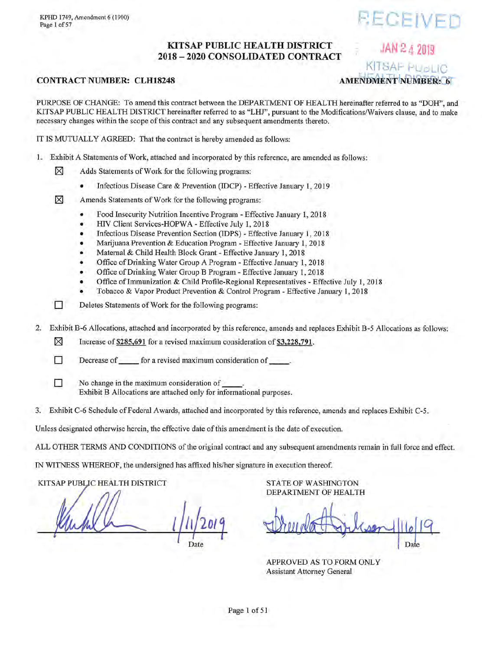JAN 2 4 2019

## KITSAP PUBLIC HEALTH DISTRICT 2018 - 2020 CONSOLIDATED CONTRACT

## **CONTRACT NUMBER: CLH18248**

KITSAF PUBLIC **AMENDMENT NUMBER: 6** 

PURPOSE OF CHANGE: To amend this contract between the DEPARTMENT OF HEALTH hereinafter referred to as "DOH", and KITSAP PUBLIC HEALTH DISTRICT hereinafter referred to as "LHJ", pursuant to the Modifications/Waivers clause, and to make necessary changes within the scope of this contract and any subsequent amendments thereto.

IT IS MUTUALLY AGREED: That the contract is hereby amended as follows:

- 1. Exhibit A Statements of Work, attached and incorporated by this reference, are amended as follows:
	- ⊠ Adds Statements of Work for the following programs:
		- Infectious Disease Care & Prevention (IDCP) Effective January 1, 2019
	- ⊠ Amends Statements of Work for the following programs:
		- Food Insecurity Nutrition Incentive Program Effective January 1, 2018  $\bullet$
		- HIV Client Services-HOPWA Effective July 1, 2018
		- Infectious Disease Prevention Section (IDPS) Effective January 1, 2018
		- Marijuana Prevention & Education Program Effective January 1, 2018
		- Maternal & Child Health Block Grant Effective January 1, 2018
		- Office of Drinking Water Group A Program Effective January 1, 2018
		- Office of Drinking Water Group B Program Effective January 1, 2018
		- Office of Immunization & Child Profile-Regional Representatives Effective July 1, 2018
		- Tobacco & Vapor Product Prevention & Control Program Effective January 1, 2018
		- Deletes Statements of Work for the following programs:
- $2.$ Exhibit B-6 Allocations, attached and incorporated by this reference, amends and replaces Exhibit B-5 Allocations as follows:
	- ⊠ Increase of \$285,691 for a revised maximum consideration of \$3,228,791.
	- П Decrease of <u>come</u> for a revised maximum consideration of contact the contact of contact of the contact of the contact of the contact of the contact of the contact of the contact of the contact of the contact of the contac
		- No change in the maximum consideration of Exhibit B Allocations are attached only for informational purposes.
- 3. Exhibit C-6 Schedule of Federal Awards, attached and incorporated by this reference, amends and replaces Exhibit C-5.

Unless designated otherwise herein, the effective date of this amendment is the date of execution.

ALL OTHER TERMS AND CONDITIONS of the original contract and any subsequent amendments remain in full force and effect.

IN WITNESS WHEREOF, the undersigned has affixed his/her signature in execution thereof.

KITSAP PUBLIC HEALTH DISTRICT

TT.

П

**STATE OF WASHINGTON** DEPARTMENT OF HEALTH

Date

APPROVED AS TO FORM ONLY **Assistant Attorney General**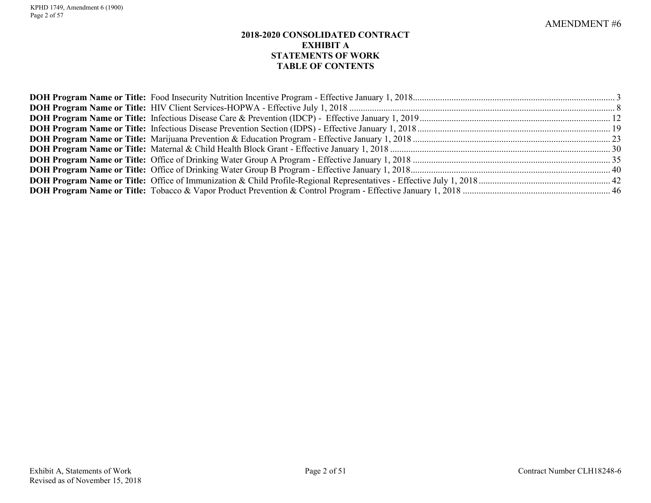## **2018-2020 CONSOLIDATED CONTRACT EXHIBIT A STATEMENTS OF WORK TABLE OF CONTENTS**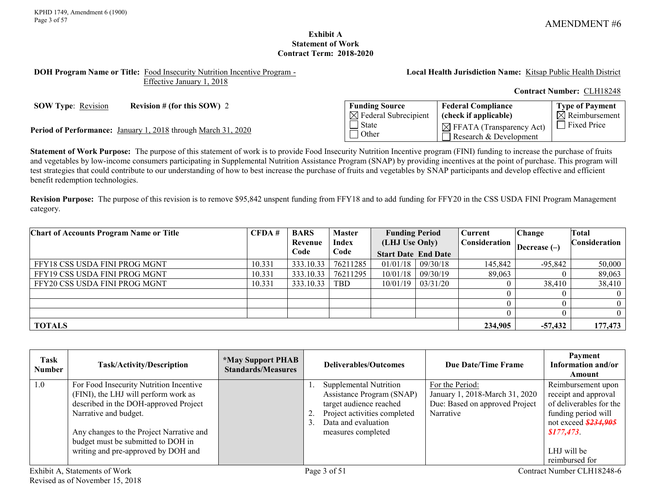**Type of Payment**  $\overline{\boxtimes}$  Reimbursement

## **Exhibit A Statement of Work Contract Term: 2018-2020**

#### <span id="page-2-0"></span>**DOH Program Name or Title:** Food Insecurity Nutrition Incentive Program - Effective January 1, 2018

**Local Health Jurisdiction Name:** Kitsap Public Health District

**Federal Compliance (check if applicable)**

 $\boxtimes$  FFATA (Transparency Act) Research & Development

**Contract Number:** CLH18248

**SOW Type**: Revision **Revision # (for this SOW) 2 Funding Source** 

**Period of Performance:** January 1, 2018 through March 31, 2020

**Statement of Work Purpose:** The purpose of this statement of work is to provide Food Insecurity Nutrition Incentive program (FINI) funding to increase the purchase of fruits and vegetables by low-income consumers participating in Supplemental Nutrition Assistance Program (SNAP) by providing incentives at the point of purchase. This program will test strategies that could contribute to our understanding of how to best increase the purchase of fruits and vegetables by SNAP participants and develop effective and efficient benefit redemption technologies.

 $\boxtimes$  Federal Subrecipient

 $\overline{\Box}$  State **Other** 

**Revision Purpose:** The purpose of this revision is to remove \$95,842 unspent funding from FFY18 and to add funding for FFY20 in the CSS USDA FINI Program Management category.

| <b>Chart of Accounts Program Name or Title</b> | CFDA#  | <b>BARS</b><br>Revenue | <b>Master</b><br><b>Index</b> | <b>Funding Period</b><br>(LHJ Use Only)<br><b>Start Date End Date</b> |                       | Current<br><b>Consideration</b> | <b>Change</b><br>Decrease $(-)$ | Total<br>Consideration |
|------------------------------------------------|--------|------------------------|-------------------------------|-----------------------------------------------------------------------|-----------------------|---------------------------------|---------------------------------|------------------------|
|                                                |        | Code                   | Code                          |                                                                       |                       |                                 |                                 |                        |
| FFY18 CSS USDA FINI PROG MGNT                  | 10.331 | 333.10.33              | 76211285                      |                                                                       | $01/01/18$ 09/30/18   | 145,842                         | $-95,842$                       | 50,000                 |
| FFY19 CSS USDA FINI PROG MGNT                  | 10.331 | 333.10.33              | 76211295                      | 10/01/18                                                              | 09/30/19              | 89,063                          |                                 | 89,063                 |
| FFY20 CSS USDA FINI PROG MGNT                  | 10.331 | 333.10.33              | <b>TBD</b>                    |                                                                       | $10/01/19$   03/31/20 |                                 | 38,410                          | 38,410                 |
|                                                |        |                        |                               |                                                                       |                       |                                 |                                 |                        |
|                                                |        |                        |                               |                                                                       |                       |                                 |                                 |                        |
|                                                |        |                        |                               |                                                                       |                       |                                 |                                 |                        |
| <b>TOTALS</b>                                  |        |                        |                               |                                                                       |                       | 234,905                         | $-57,432$                       | 177,473                |

| Task<br><b>Number</b> | <b>Task/Activity/Description</b>                                                                                                                                                                                                                                           | <i><b>*May Support PHAB</b></i><br><b>Standards/Measures</b> | Deliverables/Outcomes                                                                                                                                              | Due Date/Time Frame                                                                              | Payment<br>Information and/or<br>Amount                                                                                                                            |
|-----------------------|----------------------------------------------------------------------------------------------------------------------------------------------------------------------------------------------------------------------------------------------------------------------------|--------------------------------------------------------------|--------------------------------------------------------------------------------------------------------------------------------------------------------------------|--------------------------------------------------------------------------------------------------|--------------------------------------------------------------------------------------------------------------------------------------------------------------------|
| 1.0                   | For Food Insecurity Nutrition Incentive<br>(FINI), the LHJ will perform work as<br>described in the DOH-approved Project<br>Narrative and budget.<br>Any changes to the Project Narrative and<br>budget must be submitted to DOH in<br>writing and pre-approved by DOH and |                                                              | <b>Supplemental Nutrition</b><br>Assistance Program (SNAP)<br>target audience reached<br>Project activities completed<br>Data and evaluation<br>measures completed | For the Period:<br>January 1, 2018-March 31, 2020<br>Due: Based on approved Project<br>Narrative | Reimbursement upon<br>receipt and approval<br>of deliverables for the<br>funding period will<br>not exceed \$234,905<br>\$177,473<br>LHJ will be<br>reimbursed for |
|                       | Exhibit A, Statements of Work                                                                                                                                                                                                                                              |                                                              | Page 3 of 51                                                                                                                                                       |                                                                                                  | Contract Number CLH18248-6                                                                                                                                         |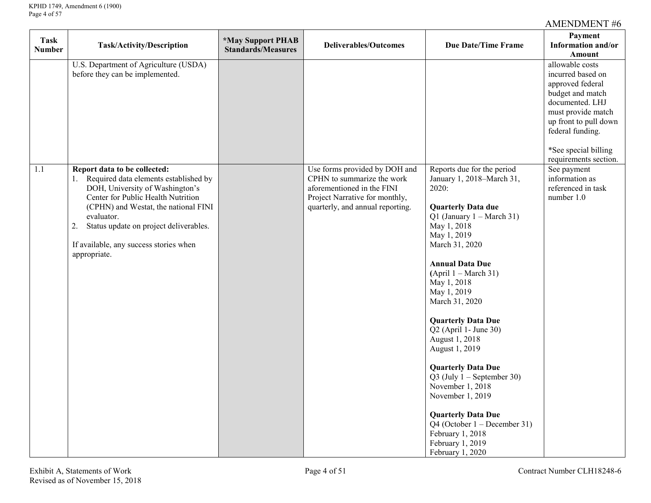| <b>Task</b><br><b>Number</b> | <b>Task/Activity/Description</b>                                                                                                                                                                                                                                                                                  | <i><b>*May Support PHAB</b></i><br><b>Standards/Measures</b> | <b>Deliverables/Outcomes</b>                                                                                                                                    | <b>Due Date/Time Frame</b>                                                                                                                                                                                                                                                                                                                                                                                                                                                                                                                                                                                    | Payment<br>Information and/or<br>Amount                                                                                                                                                                             |
|------------------------------|-------------------------------------------------------------------------------------------------------------------------------------------------------------------------------------------------------------------------------------------------------------------------------------------------------------------|--------------------------------------------------------------|-----------------------------------------------------------------------------------------------------------------------------------------------------------------|---------------------------------------------------------------------------------------------------------------------------------------------------------------------------------------------------------------------------------------------------------------------------------------------------------------------------------------------------------------------------------------------------------------------------------------------------------------------------------------------------------------------------------------------------------------------------------------------------------------|---------------------------------------------------------------------------------------------------------------------------------------------------------------------------------------------------------------------|
|                              | U.S. Department of Agriculture (USDA)<br>before they can be implemented.                                                                                                                                                                                                                                          |                                                              |                                                                                                                                                                 |                                                                                                                                                                                                                                                                                                                                                                                                                                                                                                                                                                                                               | allowable costs<br>incurred based on<br>approved federal<br>budget and match<br>documented. LHJ<br>must provide match<br>up front to pull down<br>federal funding.<br>*See special billing<br>requirements section. |
| 1.1                          | Report data to be collected:<br>1. Required data elements established by<br>DOH, University of Washington's<br>Center for Public Health Nutrition<br>(CPHN) and Westat, the national FINI<br>evaluator.<br>Status update on project deliverables.<br>2.<br>If available, any success stories when<br>appropriate. |                                                              | Use forms provided by DOH and<br>CPHN to summarize the work<br>aforementioned in the FINI<br>Project Narrative for monthly,<br>quarterly, and annual reporting. | Reports due for the period<br>January 1, 2018–March 31,<br>2020:<br><b>Quarterly Data due</b><br>Q1 (January $1 - March 31$ )<br>May 1, 2018<br>May 1, 2019<br>March 31, 2020<br><b>Annual Data Due</b><br>$(April 1 - March 31)$<br>May 1, 2018<br>May 1, 2019<br>March 31, 2020<br><b>Quarterly Data Due</b><br>$Q2$ (April 1- June 30)<br>August 1, 2018<br>August 1, 2019<br><b>Quarterly Data Due</b><br>$Q3$ (July 1 – September 30)<br>November 1, 2018<br>November 1, 2019<br><b>Quarterly Data Due</b><br>Q4 (October $1 -$ December 31)<br>February 1, 2018<br>February 1, 2019<br>February 1, 2020 | See payment<br>information as<br>referenced in task<br>number 1.0                                                                                                                                                   |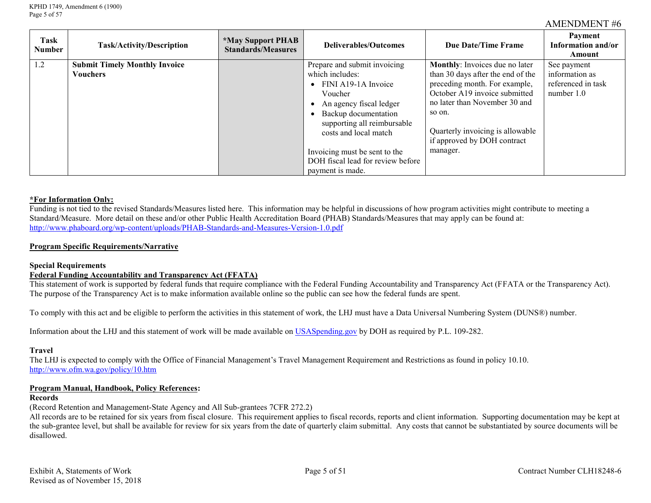| Task<br><b>Number</b> | <b>Task/Activity/Description</b>     | <i><b>*May Support PHAB</b></i><br><b>Standards/Measures</b> | Deliverables/Outcomes             | Due Date/Time Frame               | Payment<br>Information and/or<br>Amount |
|-----------------------|--------------------------------------|--------------------------------------------------------------|-----------------------------------|-----------------------------------|-----------------------------------------|
| 1.2                   | <b>Submit Timely Monthly Invoice</b> |                                                              | Prepare and submit invoicing      | Monthly: Invoices due no later    | See payment                             |
|                       | <b>Vouchers</b>                      |                                                              | which includes:                   | than 30 days after the end of the | information as                          |
|                       |                                      |                                                              | FINI A19-1A Invoice<br>$\bullet$  | preceding month. For example,     | referenced in task                      |
|                       |                                      |                                                              | Voucher                           | October A19 invoice submitted     | number 1.0                              |
|                       |                                      |                                                              | An agency fiscal ledger           | no later than November 30 and     |                                         |
|                       |                                      |                                                              | Backup documentation              | so on.                            |                                         |
|                       |                                      |                                                              | supporting all reimbursable       |                                   |                                         |
|                       |                                      |                                                              | costs and local match             | Quarterly invoicing is allowable  |                                         |
|                       |                                      |                                                              |                                   | if approved by DOH contract       |                                         |
|                       |                                      |                                                              | Invoicing must be sent to the     | manager.                          |                                         |
|                       |                                      |                                                              | DOH fiscal lead for review before |                                   |                                         |
|                       |                                      |                                                              | payment is made.                  |                                   |                                         |

#### **\*For Information Only:**

Funding is not tied to the revised Standards/Measures listed here. This information may be helpful in discussions of how program activities might contribute to meeting a Standard/Measure. More detail on these and/or other Public Health Accreditation Board (PHAB) Standards/Measures that may apply can be found at: <http://www.phaboard.org/wp-content/uploads/PHAB-Standards-and-Measures-Version-1.0.pdf>

#### **Program Specific Requirements/Narrative**

#### **Special Requirements**

### **Federal Funding Accountability and Transparency Act (FFATA)**

This statement of work is supported by federal funds that require compliance with the Federal Funding Accountability and Transparency Act (FFATA or the Transparency Act). The purpose of the Transparency Act is to make information available online so the public can see how the federal funds are spent.

To comply with this act and be eligible to perform the activities in this statement of work, the LHJ must have a Data Universal Numbering System (DUNS®) number.

Information about the LHJ and this statement of work will be made available on [USASpending.gov](https://www.usaspending.gov/Pages/default.aspx) by DOH as required by P.L. 109-282.

#### **Travel**

The LHJ is expected to comply with the Office of Financial Management's Travel Management Requirement and Restrictions as found in policy 10.10. <http://www.ofm.wa.gov/policy/10.htm>

#### **Program Manual, Handbook, Policy References:**

#### **Records**

(Record Retention and Management-State Agency and All Sub-grantees 7CFR 272.2)

All records are to be retained for six years from fiscal closure. This requirement applies to fiscal records, reports and client information. Supporting documentation may be kept at the sub-grantee level, but shall be available for review for six years from the date of quarterly claim submittal. Any costs that cannot be substantiated by source documents will be disallowed.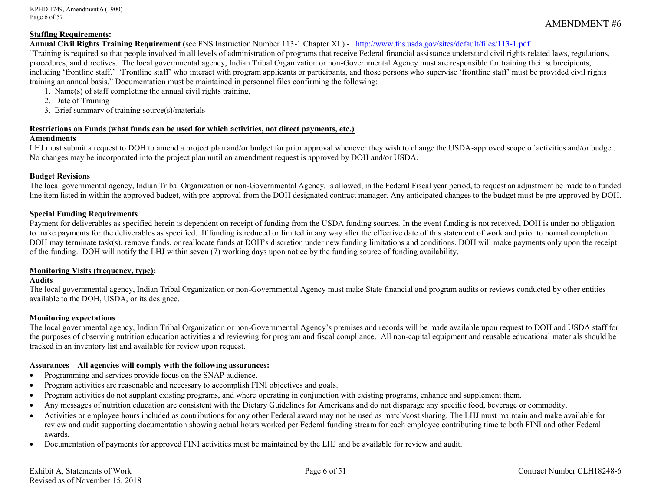KPHD 1749, Amendment 6 (1900) Page 6 of 57

#### **Staffing Requirements:**

#### **Annual Civil Rights Training Requirement** (see FNS Instruction Number 113-1 Chapter XI ) - <http://www.fns.usda.gov/sites/default/files/113-1.pdf>

"Training is required so that people involved in all levels of administration of programs that receive Federal financial assistance understand civil rights related laws, regulations, procedures, and directives. The local governmental agency, Indian Tribal Organization or non-Governmental Agency must are responsible for training their subrecipients, including 'frontline staff.' 'Frontline staff' who interact with program applicants or participants, and those persons who supervise 'frontline staff' must be provided civil rights training an annual basis." Documentation must be maintained in personnel files confirming the following:

- 1. Name(s) of staff completing the annual civil rights training,
- 2. Date of Training
- 3. Brief summary of training source(s)/materials

#### **Restrictions on Funds (what funds can be used for which activities, not direct payments, etc.)**

#### **Amendments**

LHJ must submit a request to DOH to amend a project plan and/or budget for prior approval whenever they wish to change the USDA-approved scope of activities and/or budget. No changes may be incorporated into the project plan until an amendment request is approved by DOH and/or USDA.

#### **Budget Revisions**

The local governmental agency, Indian Tribal Organization or non-Governmental Agency, is allowed, in the Federal Fiscal year period, to request an adjustment be made to a funded line item listed in within the approved budget, with pre-approval from the DOH designated contract manager. Any anticipated changes to the budget must be pre-approved by DOH.

#### **Special Funding Requirements**

Payment for deliverables as specified herein is dependent on receipt of funding from the USDA funding sources. In the event funding is not received, DOH is under no obligation to make payments for the deliverables as specified. If funding is reduced or limited in any way after the effective date of this statement of work and prior to normal completion DOH may terminate task(s), remove funds, or reallocate funds at DOH's discretion under new funding limitations and conditions. DOH will make payments only upon the receipt of the funding. DOH will notify the LHJ within seven (7) working days upon notice by the funding source of funding availability.

#### **Monitoring Visits (frequency, type):**

#### **Audits**

The local governmental agency, Indian Tribal Organization or non-Governmental Agency must make State financial and program audits or reviews conducted by other entities available to the DOH, USDA, or its designee.

#### **Monitoring expectations**

The local governmental agency, Indian Tribal Organization or non-Governmental Agency's premises and records will be made available upon request to DOH and USDA staff for the purposes of observing nutrition education activities and reviewing for program and fiscal compliance. All non-capital equipment and reusable educational materials should be tracked in an inventory list and available for review upon request.

#### **Assurances – All agencies will comply with the following assurances:**

- Programming and services provide focus on the SNAP audience.
- Program activities are reasonable and necessary to accomplish FINI objectives and goals.
- Program activities do not supplant existing programs, and where operating in conjunction with existing programs, enhance and supplement them.
- Any messages of nutrition education are consistent with the Dietary Guidelines for Americans and do not disparage any specific food, beverage or commodity.
- Activities or employee hours included as contributions for any other Federal award may not be used as match/cost sharing. The LHJ must maintain and make available for review and audit supporting documentation showing actual hours worked per Federal funding stream for each employee contributing time to both FINI and other Federal awards.
- Documentation of payments for approved FINI activities must be maintained by the LHJ and be available for review and audit.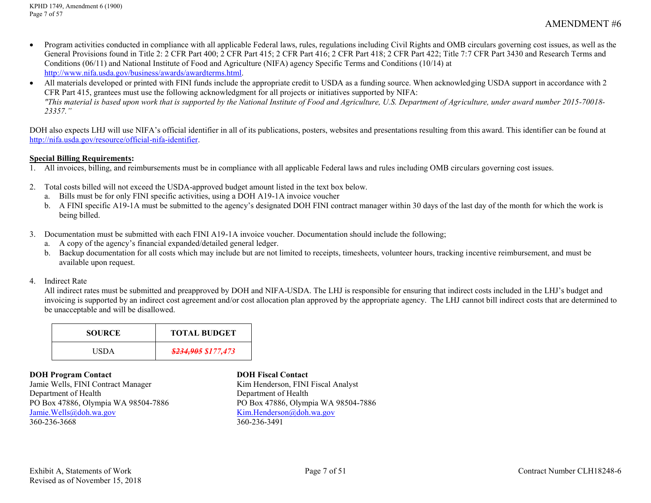- Program activities conducted in compliance with all applicable Federal laws, rules, regulations including Civil Rights and OMB circulars governing cost issues, as well as the General Provisions found in Title 2: 2 CFR Part 400; 2 CFR Part 415; 2 CFR Part 416; 2 CFR Part 418; 2 CFR Part 422; Title 7:7 CFR Part 3430 and Research Terms and Conditions (06/11) and National Institute of Food and Agriculture (NIFA) agency Specific Terms and Conditions (10/14) at [http://www.nifa.usda.gov/business/awards/awardterms.html.](http://www.nifa.usda.gov/business/awards/awardterms.html)
- All materials developed or printed with FINI funds include the appropriate credit to USDA as a funding source. When acknowledging USDA support in accordance with 2 CFR Part 415, grantees must use the following acknowledgment for all projects or initiatives supported by NIFA: *"This material is based upon work that is supported by the National Institute of Food and Agriculture, U.S. Department of Agriculture, under award number 2015-70018- 23357."*

DOH also expects LHJ will use NIFA's official identifier in all of its publications, posters, websites and presentations resulting from this award. This identifier can be found at [http://nifa.usda.gov/resource/official-nifa-identifier.](http://nifa.usda.gov/resource/official-nifa-identifier)

#### **Special Billing Requirements:**

- 1. All invoices, billing, and reimbursements must be in compliance with all applicable Federal laws and rules including OMB circulars governing cost issues.
- 2. Total costs billed will not exceed the USDA-approved budget amount listed in the text box below.
	- a. Bills must be for only FINI specific activities, using a DOH A19-1A invoice voucher
	- b. A FINI specific A19-1A must be submitted to the agency's designated DOH FINI contract manager within 30 days of the last day of the month for which the work is being billed.
- 3. Documentation must be submitted with each FINI A19-1A invoice voucher. Documentation should include the following;
	- a. A copy of the agency's financial expanded/detailed general ledger.
	- b. Backup documentation for all costs which may include but are not limited to receipts, timesheets, volunteer hours, tracking incentive reimbursement, and must be available upon request.

#### 4. Indirect Rate

All indirect rates must be submitted and preapproved by DOH and NIFA-USDA. The LHJ is responsible for ensuring that indirect costs included in the LHJ's budget and invoicing is supported by an indirect cost agreement and/or cost allocation plan approved by the appropriate agency. The LHJ cannot bill indirect costs that are determined to be unacceptable and will be disallowed.

| <b>SOURCE</b> | <b>TOTAL BUDGET</b>            |
|---------------|--------------------------------|
| USDA          | <del>\$234,905</del> \$177,473 |

#### **DOH Program Contact DOH Fiscal Contact**

Jamie Wells, FINI Contract Manager Kim Henderson, FINI Fiscal Analyst Department of Health Department of Health PO Box 47886, Olympia WA 98504-7886<br>
Jamie Wells@doh.wa.gov<br>
Kim.Henderson@doh.wa.gov<br>
Rim.Henderson@doh.wa.gov 360-236-3668

 $Kim.Henderson@doh.wa.gov$ <br>360-236-3491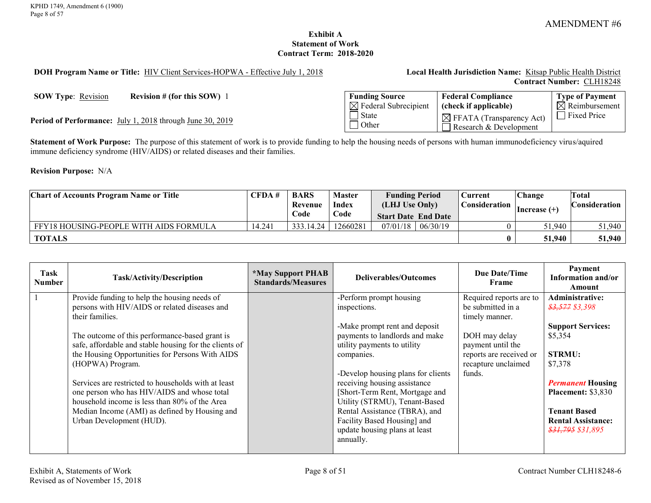## **Exhibit A Statement of Work Contract Term: 2018-2020**

<span id="page-7-0"></span>**DOH Program Name or Title:** HIV Client Services-HOPWA - Effective July 1, 2018 **Local Health Jurisdiction Name:** Kitsap Public Health District

**Contract Number:** CLH18248

**SOW Type:** <u>Revision</u> **Revision # (for this SOW)** 1

Period of Performance: July 1, 2018 through June 30, 2019

| <b>Funding Source</b>            | <b>Federal Compliance</b>                                      | <b>Type of Payment</b> |
|----------------------------------|----------------------------------------------------------------|------------------------|
| $\boxtimes$ Federal Subrecipient | (check if applicable)                                          | $\Box$ Reimbursement   |
| State<br>l Other                 | $\boxtimes$ FFATA (Transparency Act)<br>Research & Development | <b>Fixed Price</b>     |

**Statement of Work Purpose:** The purpose of this statement of work is to provide funding to help the housing needs of persons with human immunodeficiency virus/aquired immune deficiency syndrome (HIV/AIDS) or related diseases and their families.

**Revision Purpose:** N/A

| <b>Chart of Accounts Program Name or Title</b> | CFDA#  | <b>BARS</b> | <b>Master</b> | <b>Funding Period</b>      |          | Current       | Change         | Total                |
|------------------------------------------------|--------|-------------|---------------|----------------------------|----------|---------------|----------------|----------------------|
|                                                |        | Revenue     | Index         | (LHJ Use Only)             |          | Consideration | $Increase (+)$ | <b>Consideration</b> |
|                                                |        | Code        | Code          | <b>Start Date End Date</b> |          |               |                |                      |
| FFY18 HOUSING-PEOPLE WITH AIDS FORMULA         | 14.241 | 333.14.24   | 12660281      | 07/01/18                   | 06/30/19 |               | 51.940         | 51,940               |
| <b>TOTALS</b>                                  |        |             |               |                            |          |               | 51,940         | 51,940               |

| Task<br><b>Number</b> | Task/Activity/Description                              | <i><b>*May Support PHAB</b></i><br><b>Standards/Measures</b> | Deliverables/Outcomes              | Due Date/Time<br>Frame  | Payment<br>Information and/or<br>Amount |
|-----------------------|--------------------------------------------------------|--------------------------------------------------------------|------------------------------------|-------------------------|-----------------------------------------|
|                       | Provide funding to help the housing needs of           |                                                              | -Perform prompt housing            | Required reports are to | Administrative:                         |
|                       | persons with HIV/AIDS or related diseases and          |                                                              | inspections.                       | be submitted in a       | $$3,577$ \$3,398                        |
|                       | their families.                                        |                                                              |                                    | timely manner.          |                                         |
|                       |                                                        |                                                              | -Make prompt rent and deposit      |                         | <b>Support Services:</b>                |
|                       | The outcome of this performance-based grant is         |                                                              | payments to landlords and make     | DOH may delay           | \$5,354                                 |
|                       | safe, affordable and stable housing for the clients of |                                                              | utility payments to utility        | payment until the       |                                         |
|                       | the Housing Opportunities for Persons With AIDS        |                                                              | companies.                         | reports are received or | <b>STRMU:</b>                           |
|                       | (HOPWA) Program.                                       |                                                              |                                    | recapture unclaimed     | \$7,378                                 |
|                       |                                                        |                                                              | -Develop housing plans for clients | funds.                  |                                         |
|                       | Services are restricted to households with at least    |                                                              | receiving housing assistance       |                         | <b>Permanent Housing</b>                |
|                       | one person who has HIV/AIDS and whose total            |                                                              | [Short-Term Rent, Mortgage and     |                         | <b>Placement: \$3,830</b>               |
|                       | household income is less than 80% of the Area          |                                                              | Utility (STRMU), Tenant-Based      |                         |                                         |
|                       | Median Income (AMI) as defined by Housing and          |                                                              | Rental Assistance (TBRA), and      |                         | <b>Tenant Based</b>                     |
|                       | Urban Development (HUD).                               |                                                              | Facility Based Housing] and        |                         | <b>Rental Assistance:</b>               |
|                       |                                                        |                                                              | update housing plans at least      |                         | <del>\$31,795</del> \$31,895            |
|                       |                                                        |                                                              | annually.                          |                         |                                         |
|                       |                                                        |                                                              |                                    |                         |                                         |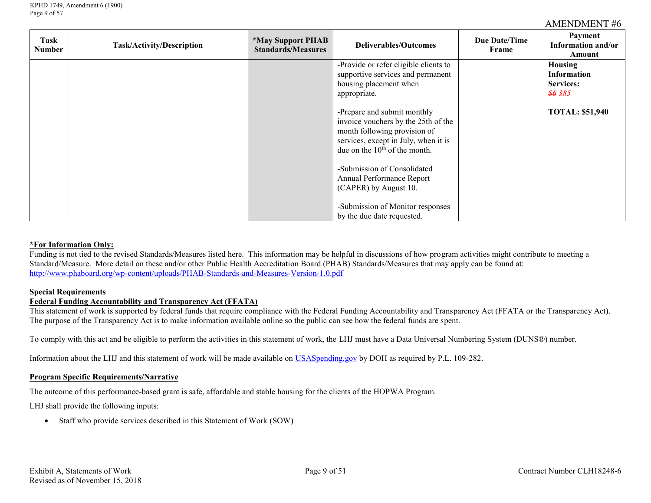| Task<br>Number | Task/Activity/Description | <i><b>*May Support PHAB</b></i><br><b>Standards/Measures</b> | <b>Deliverables/Outcomes</b>                                                                                                                                                     | <b>Due Date/Time</b><br>Frame | Payment<br>Information and/or<br>Amount                                  |
|----------------|---------------------------|--------------------------------------------------------------|----------------------------------------------------------------------------------------------------------------------------------------------------------------------------------|-------------------------------|--------------------------------------------------------------------------|
|                |                           |                                                              | -Provide or refer eligible clients to<br>supportive services and permanent<br>housing placement when<br>appropriate.                                                             |                               | Housing<br><b>Information</b><br><b>Services:</b><br><del>\$6</del> \$85 |
|                |                           |                                                              | -Prepare and submit monthly<br>invoice vouchers by the 25th of the<br>month following provision of<br>services, except in July, when it is<br>due on the $10^{th}$ of the month. |                               | <b>TOTAL: \$51,940</b>                                                   |
|                |                           |                                                              | -Submission of Consolidated<br>Annual Performance Report<br>(CAPER) by August 10.                                                                                                |                               |                                                                          |
|                |                           |                                                              | -Submission of Monitor responses<br>by the due date requested.                                                                                                                   |                               |                                                                          |

#### **\*For Information Only:**

Funding is not tied to the revised Standards/Measures listed here. This information may be helpful in discussions of how program activities might contribute to meeting a Standard/Measure. More detail on these and/or other Public Health Accreditation Board (PHAB) Standards/Measures that may apply can be found at: <http://www.phaboard.org/wp-content/uploads/PHAB-Standards-and-Measures-Version-1.0.pdf>

#### **Special Requirements**

#### **Federal Funding Accountability and Transparency Act (FFATA)**

This statement of work is supported by federal funds that require compliance with the Federal Funding Accountability and Transparency Act (FFATA or the Transparency Act). The purpose of the Transparency Act is to make information available online so the public can see how the federal funds are spent.

To comply with this act and be eligible to perform the activities in this statement of work, the LHJ must have a Data Universal Numbering System (DUNS®) number.

Information about the LHJ and this statement of work will be made available on [USASpending.gov](https://www.usaspending.gov/#/) by DOH as required by P.L. 109-282.

#### **Program Specific Requirements/Narrative**

The outcome of this performance-based grant is safe, affordable and stable housing for the clients of the HOPWA Program.

LHJ shall provide the following inputs:

• Staff who provide services described in this Statement of Work (SOW)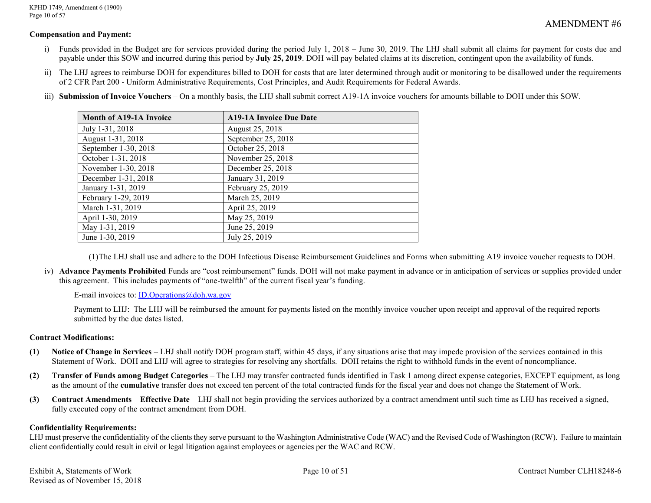KPHD 1749, Amendment 6 (1900) Page 10 of 57

## AMENDMENT #6

### **Compensation and Payment:**

- i) Funds provided in the Budget are for services provided during the period July 1, 2018 June 30, 2019. The LHJ shall submit all claims for payment for costs due and payable under this SOW and incurred during this period by **July 25, 2019**. DOH will pay belated claims at its discretion, contingent upon the availability of funds.
- ii) The LHJ agrees to reimburse DOH for expenditures billed to DOH for costs that are later determined through audit or monitoring to be disallowed under the requirements of 2 CFR Part 200 - Uniform Administrative Requirements, Cost Principles, and Audit Requirements for Federal Awards.
- iii) **Submission of Invoice Vouchers** On a monthly basis, the LHJ shall submit correct A19-1A invoice vouchers for amounts billable to DOH under this SOW.

| <b>Month of A19-1A Invoice</b> | <b>A19-1A Invoice Due Date</b> |
|--------------------------------|--------------------------------|
| July 1-31, 2018                | August 25, 2018                |
| August 1-31, 2018              | September 25, 2018             |
| September 1-30, 2018           | October 25, 2018               |
| October 1-31, 2018             | November 25, 2018              |
| November 1-30, 2018            | December 25, 2018              |
| December 1-31, 2018            | January 31, 2019               |
| January 1-31, 2019             | February 25, 2019              |
| February 1-29, 2019            | March 25, 2019                 |
| March 1-31, 2019               | April 25, 2019                 |
| April 1-30, 2019               | May 25, 2019                   |
| May 1-31, 2019                 | June 25, 2019                  |
| June 1-30, 2019                | July 25, 2019                  |

(1)The LHJ shall use and adhere to the DOH Infectious Disease Reimbursement Guidelines and Forms when submitting A19 invoice voucher requests to DOH.

iv) **Advance Payments Prohibited** Funds are "cost reimbursement" funds. DOH will not make payment in advance or in anticipation of services or supplies provided under this agreement. This includes payments of "one-twelfth" of the current fiscal year's funding.

E-mail invoices to: [ID.Operations@doh.wa.gov](mailto:ID.Operations@doh.wa.gov)

Payment to LHJ: The LHJ will be reimbursed the amount for payments listed on the monthly invoice voucher upon receipt and approval of the required reports submitted by the due dates listed.

#### **Contract Modifications:**

- **(1) Notice of Change in Services**  LHJ shall notify DOH program staff, within 45 days, if any situations arise that may impede provision of the services contained in this Statement of Work. DOH and LHJ will agree to strategies for resolving any shortfalls. DOH retains the right to withhold funds in the event of noncompliance.
- **(2) Transfer of Funds among Budget Categories**  The LHJ may transfer contracted funds identified in Task 1 among direct expense categories, EXCEPT equipment, as long as the amount of the **cumulative** transfer does not exceed ten percent of the total contracted funds for the fiscal year and does not change the Statement of Work.
- **(3) Contract Amendments Effective Date**  LHJ shall not begin providing the services authorized by a contract amendment until such time as LHJ has received a signed, fully executed copy of the contract amendment from DOH.

#### **Confidentiality Requirements:**

LHJ must preserve the confidentiality of the clients they serve pursuant to the Washington Administrative Code (WAC) and the Revised Code of Washington (RCW). Failure to maintain client confidentially could result in civil or legal litigation against employees or agencies per the WAC and RCW.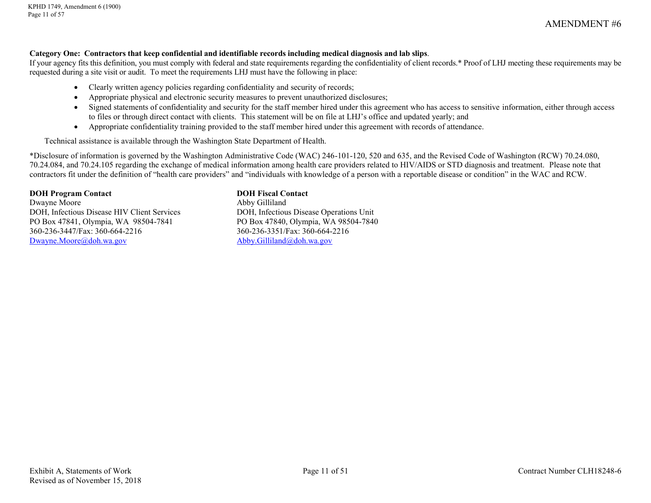#### **Category One:****Contractors that keep confidential and identifiable records including medical diagnosis and lab slips**.

If your agency fits this definition, you must comply with federal and state requirements regarding the confidentiality of client records.\* Proof of LHJ meeting these requirements may be requested during a site visit or audit. To meet the requirements LHJ must have the following in place:

- Clearly written agency policies regarding confidentiality and security of records;
- Appropriate physical and electronic security measures to prevent unauthorized disclosures;
- Signed statements of confidentiality and security for the staff member hired under this agreement who has access to sensitive information, either through access to files or through direct contact with clients. This statement will be on file at LHJ's office and updated yearly; and
- Appropriate confidentiality training provided to the staff member hired under this agreement with records of attendance.

Technical assistance is available through the Washington State Department of Health.

\*Disclosure of information is governed by the Washington Administrative Code (WAC) 246-101-120, 520 and 635, and the Revised Code of Washington (RCW) 70.24.080, 70.24.084, and 70.24.105 regarding the exchange of medical information among health care providers related to HIV/AIDS or STD diagnosis and treatment. Please note that contractors fit under the definition of "health care providers" and "individuals with knowledge of a person with a reportable disease or condition" in the WAC and RCW.

#### **DOH Program Contact DOH Fiscal Contact**

Dwayne Moore Abby Gilliland DOH, Infectious Disease HIV Client Services DOH, Infectious Disease Operations Unit<br>
PO Box 47841, Olympia, WA 98504-7841 PO Box 47840, Olympia, WA 98504-7840 PO Box 47841, Olympia, WA 98504-7841 360-236-3447/Fax: 360-664-2216 360-236-3351/Fax: 360-664-2216 [Dwayne.Moore@doh.wa.gov](mailto:Dwayne.Moore@doh.wa.gov) [Abby.Gilliland@doh.wa.gov](mailto:Abby.Gilliland@doh.wa.gov)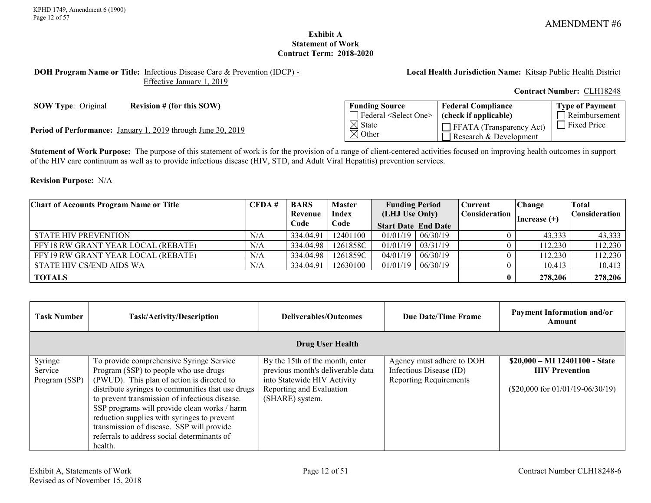### **Exhibit A Statement of Work Contract Term: 2018-2020**

#### <span id="page-11-0"></span>**DOH Program Name or Title:** Infectious Disease Care & Prevention (IDCP) - Effective January 1, 2019

**Local Health Jurisdiction Name:** Kitsap Public Health District

#### **Contract Number:** CLH18248

**SOW Type:** Original **Revision # (for this SOW)** 

Period of Performance: January 1, 2019 through June 30, 2019

| <b>Funding Source</b>                  | <b>Federal Compliance</b>                                 | Type of Payment |
|----------------------------------------|-----------------------------------------------------------|-----------------|
| Federal <select one=""></select>       | (check if applicable)                                     | Reimbursement   |
| $\boxtimes$ State<br>$\boxtimes$ Other | $\Box$ FFATA (Transparency Act)<br>Research & Development | Fixed Price     |

**Statement of Work Purpose:** The purpose of this statement of work is for the provision of a range of client-centered activities focused on improving health outcomes in support of the HIV care continuum as well as to provide infectious disease (HIV, STD, and Adult Viral Hepatitis) prevention services.

#### **Revision Purpose:** N/A

| <b>Chart of Accounts Program Name or Title</b> | CFDA# | <b>BARS</b> | <b>Master</b> | <b>Funding Period</b>      |          | Current       | <b>Change</b>  | Total                |
|------------------------------------------------|-------|-------------|---------------|----------------------------|----------|---------------|----------------|----------------------|
|                                                |       | Revenue     | <b>Index</b>  | (LHJ Use Only)             |          | Consideration | Increase $(+)$ | <b>Consideration</b> |
|                                                |       | Code        | Code          | <b>Start Date End Date</b> |          |               |                |                      |
| <b>STATE HIV PREVENTION</b>                    | N/A   | 334.04.91   | 12401100      | $01/01/19$ 06/30/19        |          |               | 43.333         | 43,333               |
| FFY18 RW GRANT YEAR LOCAL (REBATE)             | N/A   | 334.04.98   | 1261858C      | $01/01/19$   $03/31/19$    |          |               | 112,230        | 112,230              |
| FFY19 RW GRANT YEAR LOCAL (REBATE)             | N/A   | 334.04.98   | 1261859C      | 04/01/19                   | 06/30/19 |               | 112,230        | 112,230              |
| STATE HIV CS/END AIDS WA                       | N/A   | 334.04.91   | 12630100      | $01/01/19$   06/30/19      |          |               | 10,413         | 10,413               |
| <b>TOTALS</b>                                  |       |             |               |                            |          |               | 278,206        | 278,206              |

| Task Number   | <b>Task/Activity/Description</b>                  | Deliverables/Outcomes             | <b>Due Date/Time Frame</b>    | <b>Payment Information and/or</b><br>Amount |
|---------------|---------------------------------------------------|-----------------------------------|-------------------------------|---------------------------------------------|
|               |                                                   | <b>Drug User Health</b>           |                               |                                             |
| Syringe       | To provide comprehensive Syringe Service          | By the 15th of the month, enter   | Agency must adhere to DOH     | $$20,000 - MI$ 12401100 - State             |
| Service       | Program (SSP) to people who use drugs             | previous month's deliverable data | Infectious Disease (ID)       | <b>HIV Prevention</b>                       |
| Program (SSP) | (PWUD). This plan of action is directed to        | into Statewide HIV Activity       | <b>Reporting Requirements</b> |                                             |
|               | distribute syringes to communities that use drugs | Reporting and Evaluation          |                               | $(\$20,000$ for $01/01/19-06/30/19)$        |
|               | to prevent transmission of infectious disease.    | (SHARE) system.                   |                               |                                             |
|               | SSP programs will provide clean works / harm      |                                   |                               |                                             |
|               | reduction supplies with syringes to prevent       |                                   |                               |                                             |
|               | transmission of disease. SSP will provide         |                                   |                               |                                             |
|               | referrals to address social determinants of       |                                   |                               |                                             |
|               | health.                                           |                                   |                               |                                             |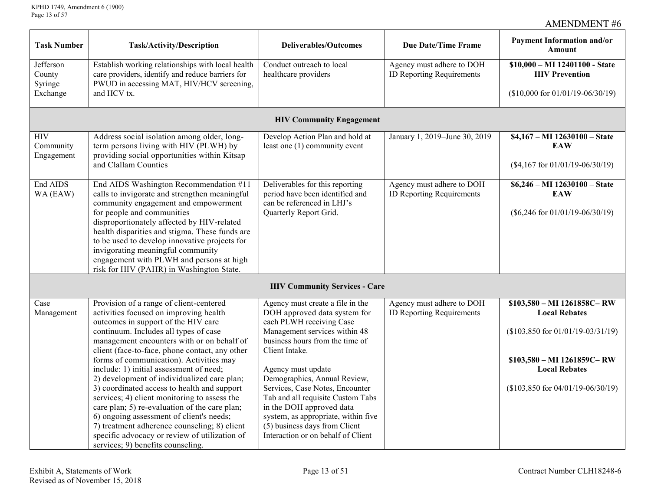| <b>Task Number</b>             | Task/Activity/Description                                                                                                                          | <b>Deliverables/Outcomes</b>                                         | <b>Due Date/Time Frame</b>                                    | <b>Payment Information and/or</b><br><b>Amount</b>       |
|--------------------------------|----------------------------------------------------------------------------------------------------------------------------------------------------|----------------------------------------------------------------------|---------------------------------------------------------------|----------------------------------------------------------|
| Jefferson<br>County<br>Syringe | Establish working relationships with local health<br>care providers, identify and reduce barriers for<br>PWUD in accessing MAT, HIV/HCV screening, | Conduct outreach to local<br>healthcare providers                    | Agency must adhere to DOH<br><b>ID Reporting Requirements</b> | $$10,000 - MI$ 12401100 - State<br><b>HIV Prevention</b> |
| Exchange                       | and HCV tx.                                                                                                                                        |                                                                      |                                                               | $($10,000$ for $01/01/19 - 06/30/19)$                    |
|                                |                                                                                                                                                    | <b>HIV Community Engagement</b>                                      |                                                               |                                                          |
| <b>HIV</b><br>Community        | Address social isolation among older, long-<br>term persons living with HIV (PLWH) by                                                              | Develop Action Plan and hold at<br>least one (1) community event     | January 1, 2019-June 30, 2019                                 | \$4,167 - MI 12630100 - State<br><b>EAW</b>              |
| Engagement                     | providing social opportunities within Kitsap<br>and Clallam Counties                                                                               |                                                                      |                                                               | $($4,167$ for $01/01/19 - 06/30/19)$                     |
| End AIDS<br>WA (EAW)           | End AIDS Washington Recommendation #11<br>calls to invigorate and strengthen meaningful                                                            | Deliverables for this reporting<br>period have been identified and   | Agency must adhere to DOH<br><b>ID Reporting Requirements</b> | \$6,246 - MI 12630100 - State<br><b>EAW</b>              |
|                                | community engagement and empowerment<br>for people and communities<br>disproportionately affected by HIV-related                                   | can be referenced in LHJ's<br>Quarterly Report Grid.                 |                                                               | $(\$6,246$ for $01/01/19-06/30/19)$                      |
|                                | health disparities and stigma. These funds are<br>to be used to develop innovative projects for                                                    |                                                                      |                                                               |                                                          |
|                                | invigorating meaningful community<br>engagement with PLWH and persons at high<br>risk for HIV (PAHR) in Washington State.                          |                                                                      |                                                               |                                                          |
|                                |                                                                                                                                                    | <b>HIV Community Services - Care</b>                                 |                                                               |                                                          |
| Case                           | Provision of a range of client-centered                                                                                                            | Agency must create a file in the                                     | Agency must adhere to DOH                                     | \$103,580 - MI 1261858C-RW                               |
| Management                     | activities focused on improving health<br>outcomes in support of the HIV care                                                                      | DOH approved data system for<br>each PLWH receiving Case             | <b>ID Reporting Requirements</b>                              | <b>Local Rebates</b>                                     |
|                                | continuum. Includes all types of case<br>management encounters with or on behalf of                                                                | Management services within 48<br>business hours from the time of     |                                                               | $($103,850$ for $01/01/19 - 03/31/19)$                   |
|                                | client (face-to-face, phone contact, any other                                                                                                     | Client Intake.                                                       |                                                               |                                                          |
|                                | forms of communication). Activities may                                                                                                            |                                                                      |                                                               | \$103,580 - MI 1261859C-RW                               |
|                                | include: 1) initial assessment of need;                                                                                                            | Agency must update                                                   |                                                               | <b>Local Rebates</b>                                     |
|                                | 2) development of individualized care plan;                                                                                                        | Demographics, Annual Review,                                         |                                                               |                                                          |
|                                | 3) coordinated access to health and support<br>services; 4) client monitoring to assess the                                                        | Services, Case Notes, Encounter<br>Tab and all requisite Custom Tabs |                                                               | $($103,850$ for $04/01/19 - 06/30/19)$                   |
|                                | care plan; 5) re-evaluation of the care plan;                                                                                                      | in the DOH approved data                                             |                                                               |                                                          |
|                                | 6) ongoing assessment of client's needs;                                                                                                           | system, as appropriate, within five                                  |                                                               |                                                          |
|                                | 7) treatment adherence counseling; 8) client                                                                                                       | (5) business days from Client                                        |                                                               |                                                          |
|                                | specific advocacy or review of utilization of                                                                                                      | Interaction or on behalf of Client                                   |                                                               |                                                          |
|                                | services; 9) benefits counseling.                                                                                                                  |                                                                      |                                                               |                                                          |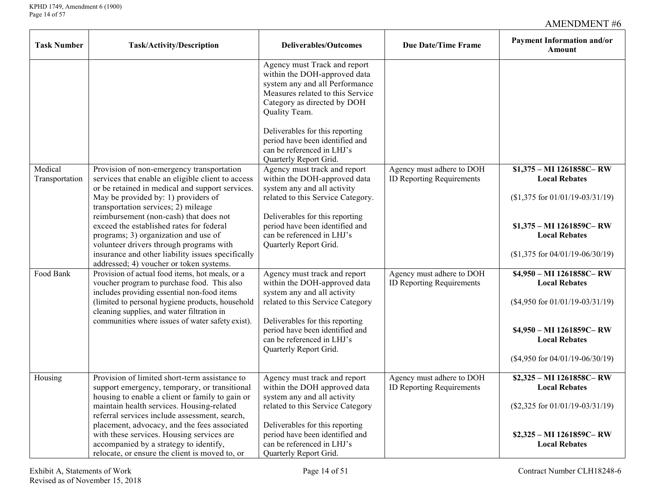| <b>Task Number</b>        | Task/Activity/Description                                                                                                                                                                                                                                                                                                                                                                                                                                                                                | <b>Deliverables/Outcomes</b>                                                                                                                                                                                                                                                                                     | <b>Due Date/Time Frame</b>                                    | <b>Payment Information and/or</b><br>Amount                                                                                                                                          |
|---------------------------|----------------------------------------------------------------------------------------------------------------------------------------------------------------------------------------------------------------------------------------------------------------------------------------------------------------------------------------------------------------------------------------------------------------------------------------------------------------------------------------------------------|------------------------------------------------------------------------------------------------------------------------------------------------------------------------------------------------------------------------------------------------------------------------------------------------------------------|---------------------------------------------------------------|--------------------------------------------------------------------------------------------------------------------------------------------------------------------------------------|
|                           |                                                                                                                                                                                                                                                                                                                                                                                                                                                                                                          | Agency must Track and report<br>within the DOH-approved data<br>system any and all Performance<br>Measures related to this Service<br>Category as directed by DOH<br>Quality Team.<br>Deliverables for this reporting<br>period have been identified and<br>can be referenced in LHJ's<br>Quarterly Report Grid. |                                                               |                                                                                                                                                                                      |
| Medical<br>Transportation | Provision of non-emergency transportation<br>services that enable an eligible client to access<br>or be retained in medical and support services.<br>May be provided by: 1) providers of<br>transportation services; 2) mileage<br>reimbursement (non-cash) that does not<br>exceed the established rates for federal<br>programs; 3) organization and use of<br>volunteer drivers through programs with<br>insurance and other liability issues specifically<br>addressed; 4) voucher or token systems. | Agency must track and report<br>within the DOH-approved data<br>system any and all activity<br>related to this Service Category.<br>Deliverables for this reporting<br>period have been identified and<br>can be referenced in LHJ's<br>Quarterly Report Grid.                                                   | Agency must adhere to DOH<br><b>ID Reporting Requirements</b> | \$1,375 - MI 1261858C-RW<br><b>Local Rebates</b><br>$$1,375$ for $01/01/19 - 03/31/19)$<br>$$1,375 - MI$ 1261859C-RW<br><b>Local Rebates</b><br>$($1,375$ for $04/01/19 - 06/30/19)$ |
| Food Bank                 | Provision of actual food items, hot meals, or a<br>voucher program to purchase food. This also<br>includes providing essential non-food items<br>(limited to personal hygiene products, household<br>cleaning supplies, and water filtration in<br>communities where issues of water safety exist).                                                                                                                                                                                                      | Agency must track and report<br>within the DOH-approved data<br>system any and all activity<br>related to this Service Category<br>Deliverables for this reporting<br>period have been identified and<br>can be referenced in LHJ's<br>Quarterly Report Grid.                                                    | Agency must adhere to DOH<br><b>ID Reporting Requirements</b> | \$4,950 - MI 1261858C-RW<br><b>Local Rebates</b><br>$(\$4,950$ for $01/01/19-03/31/19)$<br>\$4,950 - MI 1261859C-RW<br><b>Local Rebates</b><br>$(\$4,950$ for $04/01/19-06/30/19)$   |
| Housing                   | Provision of limited short-term assistance to<br>support emergency, temporary, or transitional<br>housing to enable a client or family to gain or<br>maintain health services. Housing-related<br>referral services include assessment, search,<br>placement, advocacy, and the fees associated<br>with these services. Housing services are<br>accompanied by a strategy to identify,<br>relocate, or ensure the client is moved to, or                                                                 | Agency must track and report<br>within the DOH approved data<br>system any and all activity<br>related to this Service Category<br>Deliverables for this reporting<br>period have been identified and<br>can be referenced in LHJ's<br>Quarterly Report Grid.                                                    | Agency must adhere to DOH<br><b>ID Reporting Requirements</b> | \$2,325 - MI 1261858C-RW<br><b>Local Rebates</b><br>$(\$2,325$ for $01/01/19-03/31/19)$<br>\$2,325 - MI 1261859C-RW<br><b>Local Rebates</b>                                          |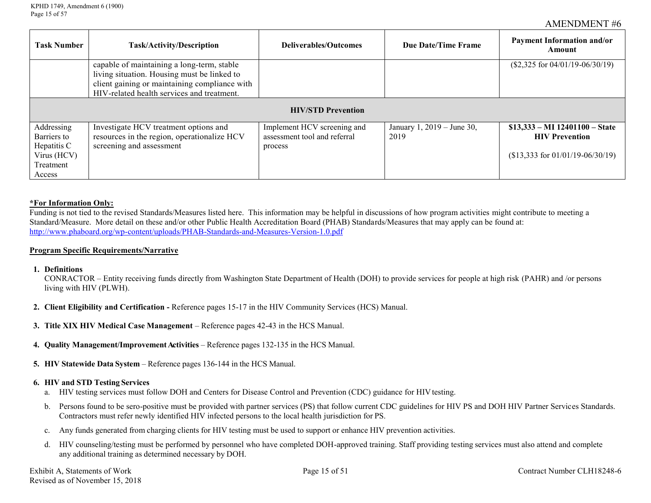| Task Number               | <b>Task/Activity/Description</b>                                                          | Deliverables/Outcomes                                       | Due Date/Time Frame                | <b>Payment Information and/or</b><br>Amount              |  |  |
|---------------------------|-------------------------------------------------------------------------------------------|-------------------------------------------------------------|------------------------------------|----------------------------------------------------------|--|--|
|                           | capable of maintaining a long-term, stable<br>living situation. Housing must be linked to |                                                             |                                    | $($2,325 \text{ for } 04/01/19 - 06/30/19)$              |  |  |
|                           | client gaining or maintaining compliance with                                             |                                                             |                                    |                                                          |  |  |
|                           | HIV-related health services and treatment.                                                |                                                             |                                    |                                                          |  |  |
|                           | <b>HIV/STD Prevention</b>                                                                 |                                                             |                                    |                                                          |  |  |
| Addressing<br>Barriers to | Investigate HCV treatment options and<br>resources in the region, operationalize HCV      | Implement HCV screening and<br>assessment tool and referral | January 1, 2019 – June 30,<br>2019 | $$13,333 - MI$ 12401100 - State<br><b>HIV Prevention</b> |  |  |
| Hepatitis C               | screening and assessment                                                                  | process                                                     |                                    |                                                          |  |  |
| Virus (HCV)               |                                                                                           |                                                             |                                    | $($13,333$ for $01/01/19 - 06/30/19)$                    |  |  |
| Treatment                 |                                                                                           |                                                             |                                    |                                                          |  |  |
| Access                    |                                                                                           |                                                             |                                    |                                                          |  |  |

#### **\*For Information Only:**

Funding is not tied to the revised Standards/Measures listed here. This information may be helpful in discussions of how program activities might contribute to meeting a Standard/Measure. More detail on these and/or other Public Health Accreditation Board (PHAB) Standards/Measures that may apply can be found at: <http://www.phaboard.org/wp-content/uploads/PHAB-Standards-and-Measures-Version-1.0.pdf>

#### **Program Specific Requirements/Narrative**

**1. Definitions**

CONRACTOR – Entity receiving funds directly from Washington State Department of Health (DOH) to provide services for people at high risk (PAHR) and /or persons living with HIV (PLWH).

- **2. Client Eligibility and Certification -** Reference pages 15-17 in the HIV Community Services (HCS) Manual.
- **3. Title XIX HIV Medical Case Management** Reference pages 42-43 in the HCS Manual.
- **4. Ouality Management/Improvement Activities** Reference pages 132-135 in the HCS Manual.
- **5. HIV Statewide Data System** Reference pages 136-144 in the HCS Manual.

#### **6. HIV and STD Testing Services**

- a. HIV testing services must follow DOH and Centers for Disease Control and Prevention (CDC) guidance for HIV testing.
- b. Persons found to be sero-positive must be provided with partner services (PS) that follow current CDC guidelines for HIV PS and DOH HIV Partner Services Standards. Contractors must refer newly identified HIV infected persons to the local health jurisdiction for PS.
- c. Any funds generated from charging clients for HIV testing must be used to support or enhance HIV prevention activities.
- d. HIV counseling/testing must be performed by personnel who have completed DOH-approved training. Staff providing testing services must also attend and complete any additional training as determined necessary by DOH.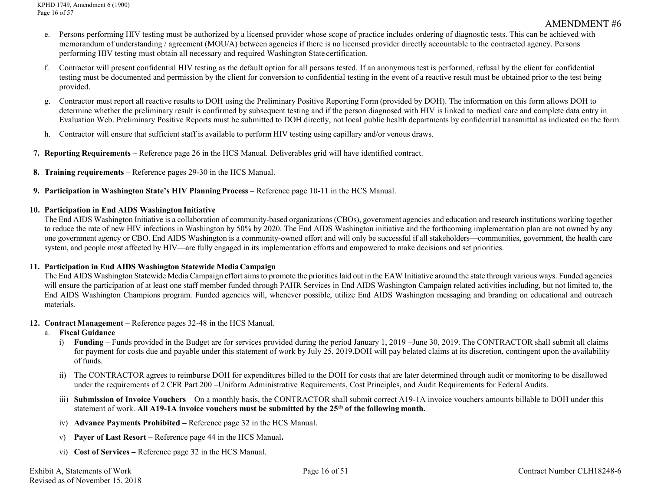- e. Persons performing HIV testing must be authorized by a licensed provider whose scope of practice includes ordering of diagnostic tests. This can be achieved with memorandum of understanding / agreement (MOU/A) between agencies if there is no licensed provider directly accountable to the contracted agency. Persons performing HIV testing must obtain all necessary and required Washington State certification.
- f. Contractor will present confidential HIV testing as the default option for all persons tested. If an anonymous test is performed, refusal by the client for confidential testing must be documented and permission by the client for conversion to confidential testing in the event of a reactive result must be obtained prior to the test being provided.
- g. Contractor must report all reactive results to DOH using the Preliminary Positive Reporting Form (provided by DOH). The information on this form allows DOH to determine whether the preliminary result is confirmed by subsequent testing and if the person diagnosed with HIV is linked to medical care and complete data entry in Evaluation Web. Preliminary Positive Reports must be submitted to DOH directly, not local public health departments by confidential transmittal as indicated on the form.
- h. Contractor will ensure that sufficient staff is available to perform HIV testing using capillary and/or venous draws.
- **7. Reporting Requirements** Reference page 26 in the HCS Manual. Deliverables grid will have identified contract.
- **8. Training requirements** Reference pages 29-30 in the HCS Manual.
- **9. Participation in Washington State's HIV PlanningProcess** Reference page 10-11 in the HCS Manual.

## **10. Participation in End AIDS Washington Initiative**

The End AIDS Washington Initiative is a collaboration of community-based organizations (CBOs), government agencies and education and research institutions working together to reduce the rate of new HIV infections in Washington by 50% by 2020. The End AIDS Washington initiative and the forthcoming implementation plan are not owned by any one government agency or CBO. End AIDS Washington is a community-owned effort and will only be successful if all stakeholders—communities, government, the health care system, and people most affected by HIV—are fully engaged in its implementation efforts and empowered to make decisions and set priorities.

### **11. Participation in End AIDS Washington Statewide MediaCampaign**

The End AIDS Washington Statewide Media Campaign effort aims to promote the priorities laid out in the EAW Initiative around the state through various ways. Funded agencies will ensure the participation of at least one staff member funded through PAHR Services in End AIDS Washington Campaign related activities including, but not limited to, the End AIDS Washington Champions program. Funded agencies will, whenever possible, utilize End AIDS Washington messaging and branding on educational and outreach materials.

### **12. Contract Management** – Reference pages 32-48 in the HCS Manual.

### a. **Fiscal Guidance**

- i) **Funding**  Funds provided in the Budget are for services provided during the period January 1, 2019 –June 30, 2019. The CONTRACTOR shall submit all claims for payment for costs due and payable under this statement of work by July 25, 2019.DOH will pay belated claims at its discretion, contingent upon the availability of funds.
- ii) The CONTRACTOR agrees to reimburse DOH for expenditures billed to the DOH for costs that are later determined through audit or monitoring to be disallowed under the requirements of 2 CFR Part 200 –Uniform Administrative Requirements, Cost Principles, and Audit Requirements for Federal Audits.
- iii) **Submission of Invoice Vouchers**  On a monthly basis, the CONTRACTOR shall submit correct A19-1A invoice vouchers amounts billable to DOH under this statement of work. **All A19-1A invoice vouchers must be submitted by the 25th of the following month.**
- iv) **Advance Payments Prohibited –** Reference page 32 in the HCS Manual.
- v) **Payer of Last Resort –** Reference page 44 in the HCS Manual**.**
- vi) **Cost of Services –** Reference page 32 in the HCS Manual.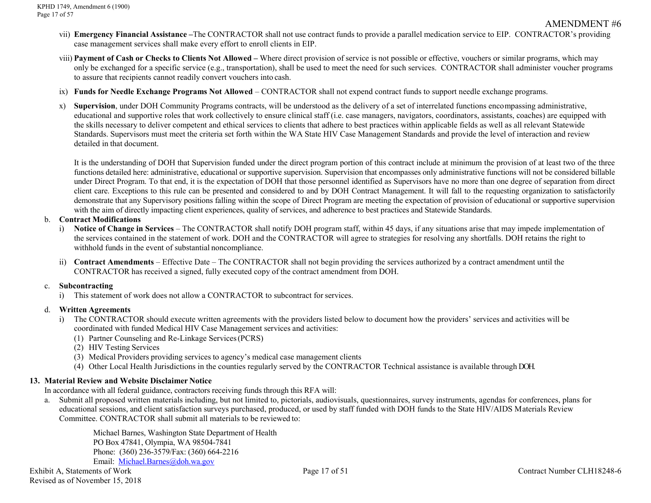- vii) **Emergency Financial Assistance –**The CONTRACTOR shall not use contract funds to provide a parallel medication service to EIP. CONTRACTOR's providing case management services shall make every effort to enroll clients in EIP.
- viii) Payment of Cash or Checks to Clients Not Allowed Where direct provision of service is not possible or effective, vouchers or similar programs, which may only be exchanged for a specific service (e.g., transportation), shall be used to meet the need for such services. CONTRACTOR shall administer voucher programs to assure that recipients cannot readily convert vouchers into cash.
- ix) **Funds for Needle Exchange Programs Not Allowed**  CONTRACTOR shall not expend contract funds to support needle exchange programs.
- x) **Supervision**, under DOH Community Programs contracts, will be understood as the delivery of a set of interrelated functions encompassing administrative, educational and supportive roles that work collectively to ensure clinical staff (i.e. case managers, navigators, coordinators, assistants, coaches) are equipped with the skills necessary to deliver competent and ethical services to clients that adhere to best practices within applicable fields as well as all relevant Statewide Standards. Supervisors must meet the criteria set forth within the WA State HIV Case Management Standards and provide the level of interaction and review detailed in that document.

It is the understanding of DOH that Supervision funded under the direct program portion of this contract include at minimum the provision of at least two of the three functions detailed here: administrative, educational or supportive supervision. Supervision that encompasses only administrative functions will not be considered billable under Direct Program. To that end, it is the expectation of DOH that those personnel identified as Supervisors have no more than one degree of separation from direct client care. Exceptions to this rule can be presented and considered to and by DOH Contract Management. It will fall to the requesting organization to satisfactorily demonstrate that any Supervisory positions falling within the scope of Direct Program are meeting the expectation of provision of educational or supportive supervision with the aim of directly impacting client experiences, quality of services, and adherence to best practices and Statewide Standards.

#### b. **Contract Modifications**

- i) **Notice of Change in Services**  The CONTRACTOR shall notify DOH program staff, within 45 days, if any situations arise that may impede implementation of the services contained in the statement of work. DOH and the CONTRACTOR will agree to strategies for resolving any shortfalls. DOH retains the right to withhold funds in the event of substantial noncompliance.
- ii) **Contract Amendments**  Effective Date The CONTRACTOR shall not begin providing the services authorized by a contract amendment until the CONTRACTOR has received a signed, fully executed copy of the contract amendment from DOH.

### c. **Subcontracting**

i) This statement of work does not allow a CONTRACTOR to subcontract for services.

### d. **Written Agreements**

- i) The CONTRACTOR should execute written agreements with the providers listed below to document how the providers' services and activities will be coordinated with funded Medical HIV Case Management services and activities:
	- (1) Partner Counseling and Re-Linkage Services(PCRS)
	- (2) HIV Testing Services
	- (3) Medical Providers providing services to agency's medical case management clients
	- (4) Other Local Health Jurisdictions in the counties regularly served by the CONTRACTOR Technical assistance is available through DOH.

### **13. Material Review and Website Disclaimer Notice**

In accordance with all federal guidance, contractors receiving funds through this RFA will:

a. Submit all proposed written materials including, but not limited to, pictorials, audiovisuals, questionnaires, survey instruments, agendas for conferences, plans for educational sessions, and client satisfaction surveys purchased, produced, or used by staff funded with DOH funds to the State HIV/AIDS Materials Review Committee. CONTRACTOR shall submit all materials to be reviewed to:

Michael Barnes, Washington State Department of Health PO Box 47841, Olympia, WA 98504-7841 Phone: (360) 236-3579/Fax: (360) 664-2216 Email: [Michael.Barnes@doh.wa.gov](mailto:Michael.Barnes@doh.wa.gov)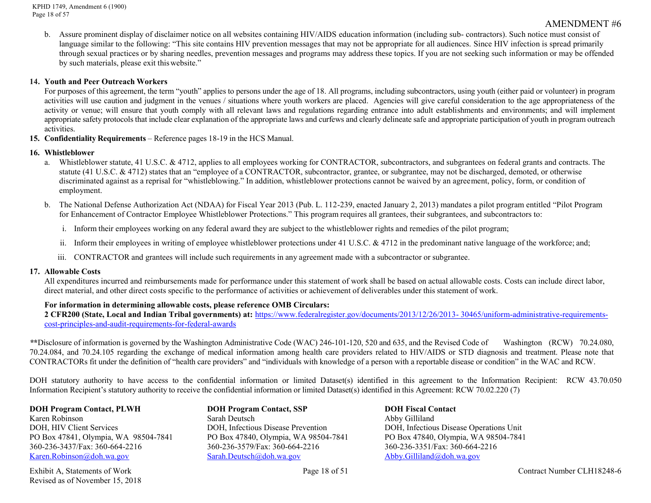KPHD 1749, Amendment 6 (1900) Page 18 of 57

#### AMENDMENT #6

b. Assure prominent display of disclaimer notice on all websites containing HIV/AIDS education information (including sub- contractors). Such notice must consist of language similar to the following: "This site contains HIV prevention messages that may not be appropriate for all audiences. Since HIV infection is spread primarily through sexual practices or by sharing needles, prevention messages and programs may address these topics. If you are not seeking such information or may be offended by such materials, please exit thiswebsite."

#### **14. Youth and Peer Outreach Workers**

For purposes of this agreement, the term "youth" applies to persons under the age of 18. All programs, including subcontractors, using youth (either paid or volunteer) in program activities will use caution and judgment in the venues / situations where youth workers are placed. Agencies will give careful consideration to the age appropriateness of the activity or venue; will ensure that youth comply with all relevant laws and regulations regarding entrance into adult establishments and environments; and will implement appropriate safety protocols that include clear explanation of the appropriate laws and curfews and clearly delineate safe and appropriate participation of youth in program outreach activities.

**15. Confidentiality Requirements** – Reference pages 18-19 in the HCS Manual.

#### **16. Whistleblower**

- a. Whistleblower statute, 41 U.S.C. & 4712, applies to all employees working for CONTRACTOR, subcontractors, and subgrantees on federal grants and contracts. The statute (41 U.S.C. & 4712) states that an "employee of a CONTRACTOR, subcontractor, grantee, or subgrantee, may not be discharged, demoted, or otherwise discriminated against as a reprisal for "whistleblowing." In addition, whistleblower protections cannot be waived by an agreement, policy, form, or condition of employment.
- b. The National Defense Authorization Act (NDAA) for Fiscal Year 2013 (Pub. L. 112-239, enacted January 2, 2013) mandates a pilot program entitled "Pilot Program for Enhancement of Contractor Employee Whistleblower Protections." This program requires all grantees, their subgrantees, and subcontractors to:
	- i. Inform their employees working on any federal award they are subject to the whistleblower rights and remedies of the pilot program;
	- ii. Inform their employees in writing of employee whistleblower protections under 41 U.S.C. & 4712 in the predominant native language of the workforce; and;
	- iii. CONTRACTOR and grantees will include such requirements in any agreement made with a subcontractor or subgrantee.

#### **17. Allowable Costs**

All expenditures incurred and reimbursements made for performance under this statement of work shall be based on actual allowable costs. Costs can include direct labor, direct material, and other direct costs specific to the performance of activities or achievement of deliverables under this statement of work.

#### **For information in determining allowable costs, please reference OMB Circulars:**

**2 CFR200 (State, Local and Indian Tribal governments) at:** [https://www.federalregister.gov/documents/2013/12/26/2013-](https://www.federalregister.gov/documents/2013/12/26/2013-30465/uniform-administrative-requirements-cost-principles-and-audit-requirements-for-federal-awards) [30465/uniform-administrative-requirements](https://www.federalregister.gov/documents/2013/12/26/2013-30465/uniform-administrative-requirements-cost-principles-and-audit-requirements-for-federal-awards)[cost-principles-and-audit-requirements-for-federal-awards](https://www.federalregister.gov/documents/2013/12/26/2013-30465/uniform-administrative-requirements-cost-principles-and-audit-requirements-for-federal-awards)

*\****\***Disclosure of information is governed by the Washington Administrative Code (WAC) 246-101-120, 520 and 635, and the Revised Code of Washington (RCW) 70.24.080, 70.24.084, and 70.24.105 regarding the exchange of medical information among health care providers related to HIV/AIDS or STD diagnosis and treatment. Please note that CONTRACTORs fit under the definition of "health care providers" and "individuals with knowledge of a person with a reportable disease or condition" in the WAC and RCW.

DOH statutory authority to have access to the confidential information or limited Dataset(s) identified in this agreement to the Information Recipient: RCW 43.70.050 Information Recipient's statutory authority to receive the confidential information or limited Dataset(s) identified in this Agreement: RCW 70.02.220 (7)

Karen Robinson **Sarah Deutsch Abby Gilliland** Abby Gilliland DOH, Infectious Disease Prevention DOH, Infectious Disease Operations Unit<br>
PO Box 47840, Olympia, WA 98504-7841<br>
PO Box 47840, Olympia, WA 98504-7841 PO Box 47841, Olympia, WA 98504-7841 PO Box 47840, Olympia, WA 98504-7841 PO Box 47840, Olympia, WA 98504-7841 360-236-3437/Fax: 360-664-2216 360-236-3579/Fax: 360-664-2216 360-236-3351/Fax: 360-664-2216 [Karen.Robinson@doh.wa.gov](mailto:Karen.Robinson@doh.wa.gov) [Sarah.Deutsch@doh.wa.gov](mailto:Sarah.Deutsch@doh.wa.gov) [Abby.G](mailto:Abby.)illiland@doh.wa.gov

Exhibit A, Statements of Work Page 18 of 51 Contract Number CLH18248-6 Revised as of November 15, 2018

**DOH Program Contact, PLWH DOH Program Contact, SSP DOH Fiscal Contact**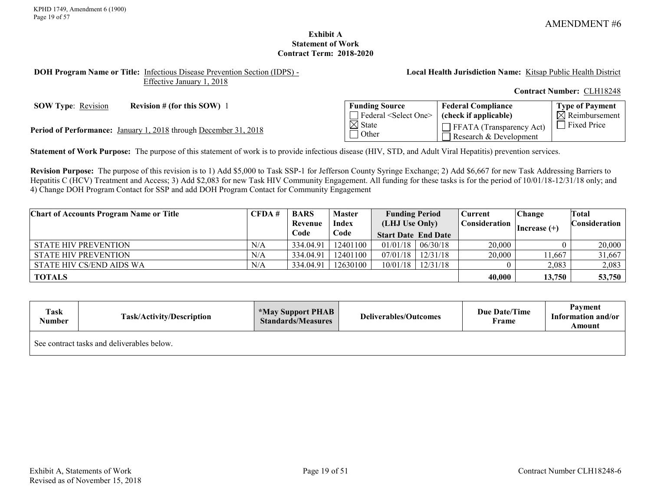### **Exhibit A Statement of Work Contract Term: 2018-2020**

#### <span id="page-18-0"></span>**DOH Program Name or Title:** Infectious Disease Prevention Section (IDPS) - Effective January 1, 2018

**Local Health Jurisdiction Name:** Kitsap Public Health District

**Contract Number:** CLH18248

**SOW Type:** Revision **Revision # (for this SOW)** 1

Period of Performance: January 1, 2018 through December 31, 2018

| <b>Funding Source</b>            | <b>Federal Compliance</b>                                 | <b>Type of Payment</b>    |
|----------------------------------|-----------------------------------------------------------|---------------------------|
| Federal <select one=""></select> | (check if applicable)                                     | $\boxtimes$ Reimbursement |
| $\boxtimes$ State<br>l Other     | $\Box$ FFATA (Transparency Act)<br>Research & Development | □ Fixed Price             |

**Statement of Work Purpose:** The purpose of this statement of work is to provide infectious disease (HIV, STD, and Adult Viral Hepatitis) prevention services.

**Revision Purpose:** The purpose of this revision is to 1) Add \$5,000 to Task SSP-1 for Jefferson County Syringe Exchange; 2) Add \$6,667 for new Task Addressing Barriers to Hepatitis C (HCV) Treatment and Access; 3) Add \$2,083 for new Task HIV Community Engagement. All funding for these tasks is for the period of 10/01/18-12/31/18 only; and 4) Change DOH Program Contact for SSP and add DOH Program Contact for Community Engagement

| <b>Chart of Accounts Program Name or Title</b> | CFDA# | <b>BARS</b> | <b>Master</b> | <b>Funding Period</b>      |                         | <b>Current</b> | Change         | Total                |
|------------------------------------------------|-------|-------------|---------------|----------------------------|-------------------------|----------------|----------------|----------------------|
|                                                |       | Revenue     | <b>Index</b>  | (LHJ Use Only)             |                         | Consideration  | Increase $(+)$ | <b>Consideration</b> |
|                                                |       | Code        | Code          | <b>Start Date End Date</b> |                         |                |                |                      |
| <b>STATE HIV PREVENTION</b>                    | N/A   | 334.04.91   | 12401100      | $01/01/18$   06/30/18      |                         | 20,000         |                | 20,000               |
| <b>STATE HIV PREVENTION</b>                    | N/A   | 334.04.91   | 12401100      | $07/01/18$   $12/31/18$    |                         | 20,000         | 11,667         | 31,667               |
| STATE HIV CS/END AIDS WA                       | N/A   | 334.04.91   | 12630100      |                            | $10/01/18$   $12/31/18$ |                | 2,083          | 2,083                |
| <b>TOTALS</b>                                  |       |             |               |                            |                         | 40,000         | 13,750         | 53,750               |

| Task<br>Number                             | <b>Task/Activity/Description</b> | <b>*May Support PHAB</b><br><b>Standards/Measures</b> | <b>Deliverables/Outcomes</b> | <b>Due Date/Time</b><br>Frame | Payment<br>Information and/or<br>Amount |
|--------------------------------------------|----------------------------------|-------------------------------------------------------|------------------------------|-------------------------------|-----------------------------------------|
| See contract tasks and deliverables below. |                                  |                                                       |                              |                               |                                         |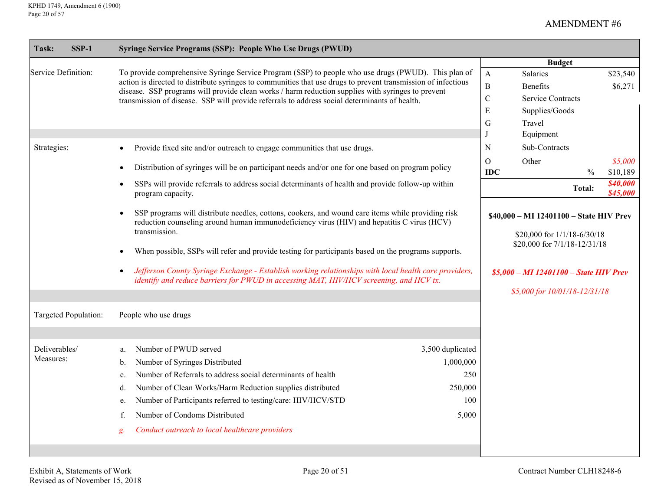| $SSP-1$<br><b>Task:</b>    | Syringe Service Programs (SSP): People Who Use Drugs (PWUD)                                                                                                                                                                                                                                                                                                                                                                                                                                                                                                                            |                                                                 |                                                               |                                                                                                                                                   |                         |                                 |
|----------------------------|----------------------------------------------------------------------------------------------------------------------------------------------------------------------------------------------------------------------------------------------------------------------------------------------------------------------------------------------------------------------------------------------------------------------------------------------------------------------------------------------------------------------------------------------------------------------------------------|-----------------------------------------------------------------|---------------------------------------------------------------|---------------------------------------------------------------------------------------------------------------------------------------------------|-------------------------|---------------------------------|
| Service Definition:        | To provide comprehensive Syringe Service Program (SSP) to people who use drugs (PWUD). This plan of<br>action is directed to distribute syringes to communities that use drugs to prevent transmission of infectious<br>disease. SSP programs will provide clean works / harm reduction supplies with syringes to prevent<br>transmission of disease. SSP will provide referrals to address social determinants of health.                                                                                                                                                             |                                                                 | $\mathbf{A}$<br>$\, {\bf B}$<br>$\mathbf C$<br>${\bf E}$<br>G | <b>Budget</b><br>Salaries<br><b>Benefits</b><br><b>Service Contracts</b><br>Supplies/Goods<br>Travel                                              |                         | \$23,540<br>\$6,271             |
| Strategies:                | Provide fixed site and/or outreach to engage communities that use drugs.<br>$\bullet$<br>Distribution of syringes will be on participant needs and/or one for one based on program policy<br>$\bullet$<br>SSPs will provide referrals to address social determinants of health and provide follow-up within<br>$\bullet$                                                                                                                                                                                                                                                               |                                                                 | N<br>O<br><b>IDC</b>                                          | Equipment<br>Sub-Contracts<br>Other                                                                                                               | $\frac{0}{0}$<br>Total: | \$5,000<br>\$10,189<br>\$40,000 |
|                            | program capacity.<br>SSP programs will distribute needles, cottons, cookers, and wound care items while providing risk<br>$\bullet$<br>reduction counseling around human immunodeficiency virus (HIV) and hepatitis C virus (HCV)<br>transmission.<br>When possible, SSPs will refer and provide testing for participants based on the programs supports.<br>$\bullet$<br>Jefferson County Syringe Exchange - Establish working relationships with local health care providers,<br>$\bullet$<br>identify and reduce barriers for PWUD in accessing MAT, HIV/HCV screening, and HCV tx. |                                                                 |                                                               | \$40,000 - MI 12401100 - State HIV Prev<br>\$20,000 for 1/1/18-6/30/18<br>\$20,000 for 7/1/18-12/31/18<br>$$5,000 - MI$ 12401100 - State HIV Prev |                         | \$45,000                        |
| Targeted Population:       | People who use drugs                                                                                                                                                                                                                                                                                                                                                                                                                                                                                                                                                                   |                                                                 |                                                               | \$5,000 for 10/01/18-12/31/18                                                                                                                     |                         |                                 |
| Deliverables/<br>Measures: | Number of PWUD served<br>a.<br>Number of Syringes Distributed<br>b.<br>Number of Referrals to address social determinants of health<br>c.<br>Number of Clean Works/Harm Reduction supplies distributed<br>d.<br>Number of Participants referred to testing/care: HIV/HCV/STD<br>e.<br>Number of Condoms Distributed<br>f.<br>Conduct outreach to local healthcare providers<br>g.                                                                                                                                                                                                      | 3,500 duplicated<br>1,000,000<br>250<br>250,000<br>100<br>5,000 |                                                               |                                                                                                                                                   |                         |                                 |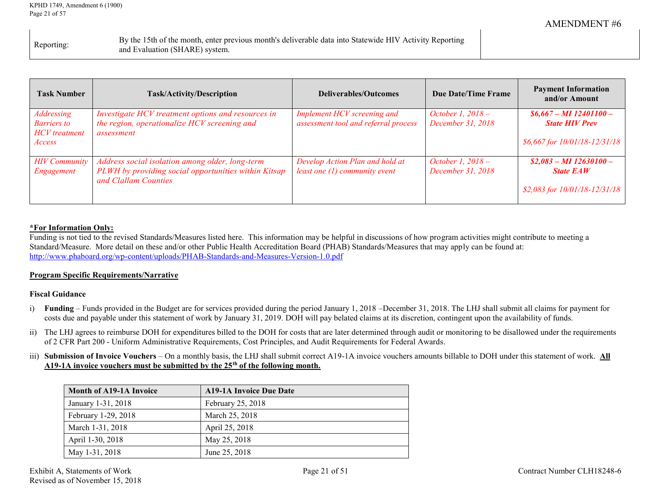|            | By the 15th of the month, enter previous month's deliverable data into Statewide HIV Activity Reporting |
|------------|---------------------------------------------------------------------------------------------------------|
| Reporting: | and Evaluation (SHARE) system.                                                                          |

| <b>Task Number</b>                                                 | <b>Task/Activity/Description</b>                                                                                                | <b>Deliverables/Outcomes</b>                                        | <b>Due Date/Time Frame</b>             | <b>Payment Information</b><br>and/or Amount                                        |
|--------------------------------------------------------------------|---------------------------------------------------------------------------------------------------------------------------------|---------------------------------------------------------------------|----------------------------------------|------------------------------------------------------------------------------------|
| Addressing<br><b>Barriers</b> to<br><b>HCV</b> treatment<br>Access | Investigate HCV treatment options and resources in<br>the region, operationalize HCV screening and<br>assessment                | Implement HCV screening and<br>assessment tool and referral process | October 1, 2018 –<br>December 31, 2018 | $$6,667 - MI$ 12401100 -<br><b>State HIV Prev</b><br>\$6,667 for 10/01/18-12/31/18 |
| <b>HIV</b> Community<br>Engagement                                 | Address social isolation among older, long-term<br>PLWH by providing social opportunities within Kitsap<br>and Clallam Counties | Develop Action Plan and hold at<br>least one $(1)$ community event  | October 1, 2018 –<br>December 31, 2018 | $$2,083 - MI$ 12630100 -<br><b>State EAW</b><br>\$2,083 for 10/01/18-12/31/18      |

## **\*For Information Only:**

Funding is not tied to the revised Standards/Measures listed here. This information may be helpful in discussions of how program activities might contribute to meeting a Standard/Measure. More detail on these and/or other Public Health Accreditation Board (PHAB) Standards/Measures that may apply can be found at: <http://www.phaboard.org/wp-content/uploads/PHAB-Standards-and-Measures-Version-1.0.pdf>

### **Program Specific Requirements/Narrative**

### **Fiscal Guidance**

- i) **Funding** Funds provided in the Budget are for services provided during the period January 1, 2018 –December 31, 2018. The LHJ shall submit all claims for payment for costs due and payable under this statement of work by January 31, 2019. DOH will pay belated claims at its discretion, contingent upon the availability of funds.
- ii) The LHJ agrees to reimburse DOH for expenditures billed to the DOH for costs that are later determined through audit or monitoring to be disallowed under the requirements of 2 CFR Part 200 - Uniform Administrative Requirements, Cost Principles, and Audit Requirements for Federal Awards.
- iii) **Submission of Invoice Vouchers** On a monthly basis, the LHJ shall submit correct A19-1A invoice vouchers amounts billable to DOH under this statement of work. **All A19-1A invoice vouchers must be submitted by the 25th of the following month.**

| <b>Month of A19-1A Invoice</b> | <b>A19-1A Invoice Due Date</b> |
|--------------------------------|--------------------------------|
| January 1-31, 2018             | February 25, 2018              |
| February 1-29, 2018            | March 25, 2018                 |
| March 1-31, 2018               | April 25, 2018                 |
| April 1-30, 2018               | May 25, 2018                   |
| May 1-31, 2018                 | June 25, 2018                  |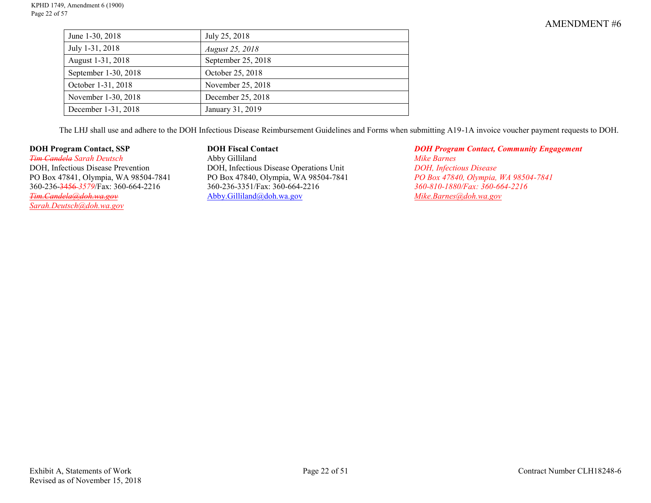| June 1-30, 2018      | July 25, 2018      |
|----------------------|--------------------|
| July 1-31, 2018      | August 25, 2018    |
| August 1-31, 2018    | September 25, 2018 |
| September 1-30, 2018 | October 25, 2018   |
| October 1-31, 2018   | November 25, 2018  |
| November 1-30, 2018  | December 25, 2018  |
| December 1-31, 2018  | January 31, 2019   |

The LHJ shall use and adhere to the DOH Infectious Disease Reimbursement Guidelines and Forms when submitting A19-1A invoice voucher payment requests to DOH.

DOH, Infectious Disease Prevention DOH, Infectious Disease Operations Unit *DOH, Infectious Disease*<br>
PO Box 47840, Olympia, WA 98504-7841<br>
PO Box 47840, Olympia, WA 98504-7841<br>
PO Box 47840, Olympia, WA 98504-7841 360-236-<del>3456</del>-3579/Fax: 360-664-2216 360-236-3351/Fax: 360-664-2216 360-810-1880/Fax: 360-664-2216<br>*360-810-1880/Fax: 360-664-2216* **360-810-1880/Fax: 360-664-2216 360-810-1880/Fax: 360-664-2216** *[Sarah.Deutsch@doh.wa.gov](mailto:Sarah.Deutsch@doh.wa.gov)*

*Tim Candela Sarah Deutsch* Abby Gilliland *Mike Barnes* PO Box 47841, Olympia, WA 98504-7841 PO Box 47840, Olympia, WA 98504-7841 *PO Box 47840, Olympia, WA 98504-7841 [Tim.Candela@doh.wa.gov](mailto:Tim.Candela@doh.wa.gov)* [Abby.Gilliland@doh.wa.gov](mailto:Tim.Candela@doh.wa.gov) *[Mike.Barnes@doh.wa.gov](mailto:Mike.Barnes@doh.wa.gov)*

**DOH Program Contact, SSP**  $\qquad$  **DOH Fiscal Contact**  $\qquad$  **DOH Program Contact, Community Engagement**<br> **DOH Program Contact, Community Engagement**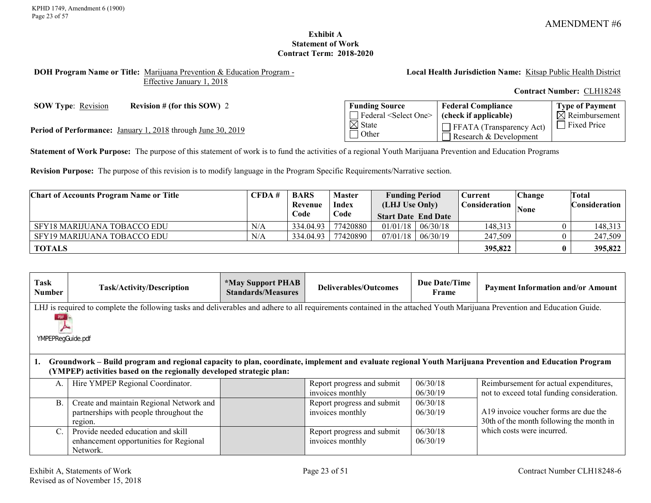## **Exhibit A Statement of Work Contract Term: 2018-2020**

#### <span id="page-22-0"></span>**DOH Program Name or Title:** Marijuana Prevention & Education Program - Effective January 1, 2018

**Local Health Jurisdiction Name:** Kitsap Public Health District

**Contract Number:** CLH18248

**SOW Type**: <u>Revision</u> **Revision # (for this SOW) 2 Funding Source** 

Federal <Select One>  $\overline{\boxtimes}$  State  $\Box$  Other **Federal Compliance (check if applicable)** FFATA (Transparency Act) Research & Development **Type of Payment**  $\overline{\mathsf{N}}$  Reimbursement **Period of Performance:** January 1, 2018 through June 30, 2019<br> **Example 2018** State<br> **Example 2019** Other<br> **Example 2018** Other<br> **Example 2018** Persearch & Development

**Statement of Work Purpose:** The purpose of this statement of work is to fund the activities of a regional Youth Marijuana Prevention and Education Programs

**Revision Purpose:** The purpose of this revision is to modify language in the Program Specific Requirements/Narrative section.

| <b>Chart of Accounts Program Name or Title</b> | CFDA# | <b>BARS</b> | <b>Master</b> | <b>Funding Period</b>      |          | <b>Current</b> | Change      | Total                      |
|------------------------------------------------|-------|-------------|---------------|----------------------------|----------|----------------|-------------|----------------------------|
|                                                |       | Revenue     | <b>Index</b>  | (LHJ Use Only)             |          | Consideration  | <b>None</b> | $\cap$ onsideration $\cap$ |
|                                                |       | Code        | Code          | <b>Start Date End Date</b> |          |                |             |                            |
| SFY18 MARIJUANA TOBACCO EDU                    | N/A   | 334.04.93   | 77420880      | 01/01/18                   | 06/30/18 | 148,313        |             | 148,313                    |
| SFY19 MARIJUANA TOBACCO EDU                    | N/A   | 334.04.93   | 77420890      | 07/01/18                   | 06/30/19 | 247.509        |             | 247,509                    |
| <b>TOTALS</b>                                  |       |             |               |                            |          | 395,822        |             | 395,822                    |

| Task<br>Number | <b>Task/Activity/Description</b>                                                                                                                                                                                               | <i><b>*May Support PHAB</b></i><br><b>Standards/Measures</b> | Deliverables/Outcomes                          | Due Date/Time<br>Frame | <b>Payment Information and/or Amount</b>                                             |  |  |  |  |
|----------------|--------------------------------------------------------------------------------------------------------------------------------------------------------------------------------------------------------------------------------|--------------------------------------------------------------|------------------------------------------------|------------------------|--------------------------------------------------------------------------------------|--|--|--|--|
|                | LHJ is required to complete the following tasks and deliverables and adhere to all requirements contained in the attached Youth Marijuana Prevention and Education Guide.<br>YMPEPRegGuide.pdf                                 |                                                              |                                                |                        |                                                                                      |  |  |  |  |
| 1.             | Groundwork - Build program and regional capacity to plan, coordinate, implement and evaluate regional Youth Marijuana Prevention and Education Program<br>(YMPEP) activities based on the regionally developed strategic plan: |                                                              |                                                |                        |                                                                                      |  |  |  |  |
| A.             | Hire YMPEP Regional Coordinator.                                                                                                                                                                                               |                                                              | Report progress and submit<br>invoices monthly | 06/30/18<br>06/30/19   | Reimbursement for actual expenditures,<br>not to exceed total funding consideration. |  |  |  |  |
| B              | Create and maintain Regional Network and<br>partnerships with people throughout the<br>region.                                                                                                                                 |                                                              | Report progress and submit<br>invoices monthly | 06/30/18<br>06/30/19   | A19 invoice voucher forms are due the<br>30th of the month following the month in    |  |  |  |  |
|                | Provide needed education and skill<br>enhancement opportunities for Regional<br>Network.                                                                                                                                       |                                                              | Report progress and submit<br>invoices monthly | 06/30/18<br>06/30/19   | which costs were incurred.                                                           |  |  |  |  |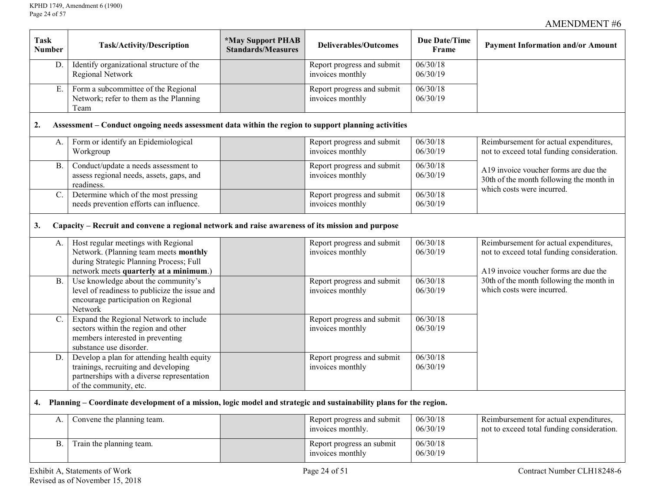| <b>Task</b><br><b>Number</b> | Task/Activity/Description                                                                                                                                         | *May Support PHAB<br><b>Standards/Measures</b> | <b>Due Date/Time</b><br><b>Deliverables/Outcomes</b> |                      | <b>Payment Information and/or Amount</b>                                                                                      |
|------------------------------|-------------------------------------------------------------------------------------------------------------------------------------------------------------------|------------------------------------------------|------------------------------------------------------|----------------------|-------------------------------------------------------------------------------------------------------------------------------|
| D.                           | Identify organizational structure of the<br>Regional Network                                                                                                      |                                                | Report progress and submit<br>invoices monthly       | 06/30/18<br>06/30/19 |                                                                                                                               |
| E.                           | Form a subcommittee of the Regional<br>Network; refer to them as the Planning<br>Team                                                                             |                                                | Report progress and submit<br>invoices monthly       | 06/30/18<br>06/30/19 |                                                                                                                               |
| 2.                           | Assessment – Conduct ongoing needs assessment data within the region to support planning activities                                                               |                                                |                                                      |                      |                                                                                                                               |
| A.                           | Form or identify an Epidemiological<br>Workgroup                                                                                                                  |                                                | Report progress and submit<br>invoices monthly       | 06/30/18<br>06/30/19 | Reimbursement for actual expenditures,<br>not to exceed total funding consideration.                                          |
| <b>B.</b>                    | Conduct/update a needs assessment to<br>assess regional needs, assets, gaps, and<br>readiness.                                                                    |                                                | Report progress and submit<br>invoices monthly       | 06/30/18<br>06/30/19 | A19 invoice voucher forms are due the<br>30th of the month following the month in<br>which costs were incurred.               |
| $C$ .                        | Determine which of the most pressing<br>needs prevention efforts can influence.                                                                                   |                                                | Report progress and submit<br>invoices monthly       | 06/30/18<br>06/30/19 |                                                                                                                               |
| 3.                           | Capacity – Recruit and convene a regional network and raise awareness of its mission and purpose                                                                  |                                                |                                                      |                      |                                                                                                                               |
| A.                           | Host regular meetings with Regional<br>Network. (Planning team meets monthly<br>during Strategic Planning Process; Full<br>network meets quarterly at a minimum.) |                                                | Report progress and submit<br>invoices monthly       | 06/30/18<br>06/30/19 | Reimbursement for actual expenditures,<br>not to exceed total funding consideration.<br>A19 invoice voucher forms are due the |
| B.                           | Use knowledge about the community's<br>level of readiness to publicize the issue and<br>encourage participation on Regional<br>Network                            |                                                | Report progress and submit<br>invoices monthly       | 06/30/18<br>06/30/19 | 30th of the month following the month in<br>which costs were incurred.                                                        |
| $C_{\cdot}$                  | Expand the Regional Network to include<br>sectors within the region and other<br>members interested in preventing<br>substance use disorder.                      |                                                | Report progress and submit<br>invoices monthly       | 06/30/18<br>06/30/19 |                                                                                                                               |
| D.                           | Develop a plan for attending health equity<br>trainings, recruiting and developing<br>partnerships with a diverse representation<br>of the community, etc.        |                                                | Report progress and submit<br>invoices monthly       | 06/30/18<br>06/30/19 |                                                                                                                               |
| 4.                           | Planning – Coordinate development of a mission, logic model and strategic and sustainability plans for the region.                                                |                                                |                                                      |                      |                                                                                                                               |
| A.                           | Convene the planning team.                                                                                                                                        |                                                | Report progress and submit<br>invoices monthly.      | 06/30/18<br>06/30/19 | Reimbursement for actual expenditures,<br>not to exceed total funding consideration.                                          |
| <b>B.</b>                    | Train the planning team.                                                                                                                                          |                                                | Report progress an submit<br>invoices monthly        | 06/30/18<br>06/30/19 |                                                                                                                               |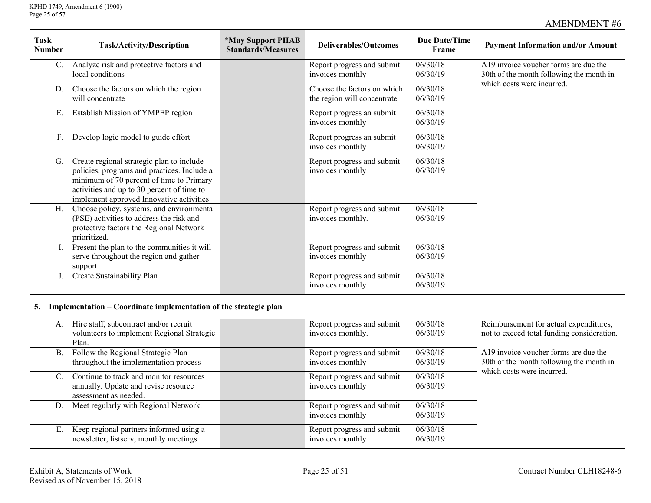$\Gamma$ 

## AMENDMENT #6

| <b>Task</b><br><b>Number</b> | <b>Task/Activity/Description</b>                                                                                                                                                                                               | <i><b>*May Support PHAB</b></i><br><b>Standards/Measures</b> | <b>Deliverables/Outcomes</b>                               | <b>Due Date/Time</b><br>Frame | <b>Payment Information and/or Amount</b>                                                                        |
|------------------------------|--------------------------------------------------------------------------------------------------------------------------------------------------------------------------------------------------------------------------------|--------------------------------------------------------------|------------------------------------------------------------|-------------------------------|-----------------------------------------------------------------------------------------------------------------|
| $C$ .                        | Analyze risk and protective factors and<br>local conditions                                                                                                                                                                    |                                                              | Report progress and submit<br>invoices monthly             | 06/30/18<br>06/30/19          | A19 invoice voucher forms are due the<br>30th of the month following the month in<br>which costs were incurred. |
| D.                           | Choose the factors on which the region<br>will concentrate                                                                                                                                                                     |                                                              | Choose the factors on which<br>the region will concentrate | 06/30/18<br>06/30/19          |                                                                                                                 |
| E                            | Establish Mission of YMPEP region                                                                                                                                                                                              |                                                              | Report progress an submit<br>invoices monthly              | 06/30/18<br>06/30/19          |                                                                                                                 |
| F.                           | Develop logic model to guide effort                                                                                                                                                                                            |                                                              | Report progress an submit<br>invoices monthly              | 06/30/18<br>06/30/19          |                                                                                                                 |
| G.                           | Create regional strategic plan to include<br>policies, programs and practices. Include a<br>minimum of 70 percent of time to Primary<br>activities and up to 30 percent of time to<br>implement approved Innovative activities |                                                              | Report progress and submit<br>invoices monthly             | 06/30/18<br>06/30/19          |                                                                                                                 |
| H.                           | Choose policy, systems, and environmental<br>(PSE) activities to address the risk and<br>protective factors the Regional Network<br>prioritized.                                                                               |                                                              | Report progress and submit<br>invoices monthly.            | 06/30/18<br>06/30/19          |                                                                                                                 |
|                              | Present the plan to the communities it will<br>serve throughout the region and gather<br>support                                                                                                                               |                                                              | Report progress and submit<br>invoices monthly             | 06/30/18<br>06/30/19          |                                                                                                                 |
| J.                           | Create Sustainability Plan                                                                                                                                                                                                     |                                                              | Report progress and submit<br>invoices monthly             | 06/30/18<br>06/30/19          |                                                                                                                 |
| 5.                           | Implementation - Coordinate implementation of the strategic plan                                                                                                                                                               |                                                              |                                                            |                               |                                                                                                                 |
| A.                           | Hire staff, subcontract and/or recruit<br>volunteers to implement Regional Strategic<br>Plan.                                                                                                                                  |                                                              | Report progress and submit<br>invoices monthly.            | 06/30/18<br>06/30/19          | Reimbursement for actual expenditures,<br>not to exceed total funding consideration.                            |
| B.                           | Follow the Regional Strategic Plan<br>throughout the implementation process                                                                                                                                                    |                                                              | Report progress and submit<br>invoices monthly             | 06/30/18<br>06/30/19          | A19 invoice voucher forms are due the<br>30th of the month following the month in<br>which costs were incurred. |
| $\mathcal{C}$ .              | Continue to track and monitor resources<br>annually. Update and revise resource<br>assessment as needed.                                                                                                                       |                                                              | Report progress and submit<br>invoices monthly             | 06/30/18<br>06/30/19          |                                                                                                                 |
| $D$ .                        | Meet regularly with Regional Network.                                                                                                                                                                                          |                                                              | Report progress and submit<br>invoices monthly             | 06/30/18<br>06/30/19          |                                                                                                                 |
| Ε.                           | Keep regional partners informed using a<br>newsletter, listserv, monthly meetings                                                                                                                                              |                                                              | Report progress and submit<br>invoices monthly             | 06/30/18<br>06/30/19          |                                                                                                                 |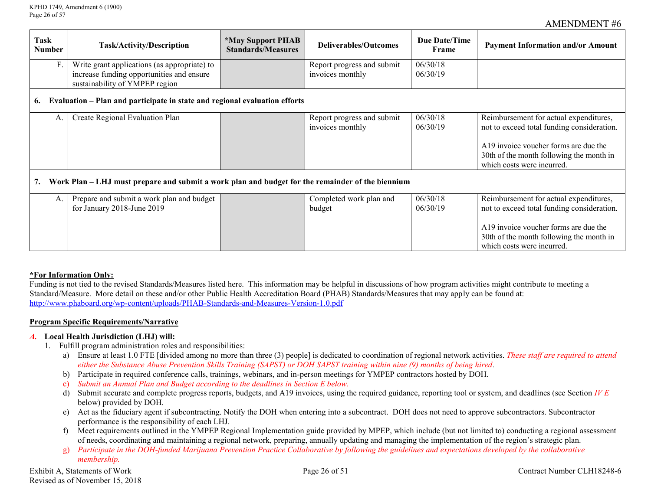| Task<br><b>Number</b>                                                                            | <b>Task/Activity/Description</b>                                                                                            | <i><b>*May Support PHAB</b></i><br>Deliverables/Outcomes<br><b>Standards/Measures</b> |                                                | <b>Due Date/Time</b><br>Frame | <b>Payment Information and/or Amount</b>                                                                                                                                                                |  |  |  |  |
|--------------------------------------------------------------------------------------------------|-----------------------------------------------------------------------------------------------------------------------------|---------------------------------------------------------------------------------------|------------------------------------------------|-------------------------------|---------------------------------------------------------------------------------------------------------------------------------------------------------------------------------------------------------|--|--|--|--|
| F.                                                                                               | Write grant applications (as appropriate) to<br>increase funding opportunities and ensure<br>sustainability of YMPEP region |                                                                                       | Report progress and submit<br>invoices monthly | 06/30/18<br>06/30/19          |                                                                                                                                                                                                         |  |  |  |  |
| 6.                                                                                               | Evaluation – Plan and participate in state and regional evaluation efforts                                                  |                                                                                       |                                                |                               |                                                                                                                                                                                                         |  |  |  |  |
| A.                                                                                               | Create Regional Evaluation Plan                                                                                             |                                                                                       | Report progress and submit<br>invoices monthly | 06/30/18<br>06/30/19          | Reimbursement for actual expenditures,<br>not to exceed total funding consideration.<br>A19 invoice voucher forms are due the<br>30th of the month following the month in<br>which costs were incurred. |  |  |  |  |
| Work Plan – LHJ must prepare and submit a work plan and budget for the remainder of the biennium |                                                                                                                             |                                                                                       |                                                |                               |                                                                                                                                                                                                         |  |  |  |  |
| A.                                                                                               | Prepare and submit a work plan and budget<br>for January 2018-June 2019                                                     |                                                                                       | Completed work plan and<br>budget              | 06/30/18<br>06/30/19          | Reimbursement for actual expenditures,<br>not to exceed total funding consideration.<br>A19 invoice voucher forms are due the<br>30th of the month following the month in<br>which costs were incurred. |  |  |  |  |

### **\*For Information Only:**

Funding is not tied to the revised Standards/Measures listed here. This information may be helpful in discussions of how program activities might contribute to meeting a Standard/Measure. More detail on these and/or other Public Health Accreditation Board (PHAB) Standards/Measures that may apply can be found at: <http://www.phaboard.org/wp-content/uploads/PHAB-Standards-and-Measures-Version-1.0.pdf>

#### **Program Specific Requirements/Narrative**

#### *A.* **Local Health Jurisdiction (LHJ) will:**

- 1. Fulfill program administration roles and responsibilities:
	- a) Ensure at least 1.0 FTE [divided among no more than three (3) people] is dedicated to coordination of regional network activities. *These staff are required to attend either the Substance Abuse Prevention Skills Training (SAPST) or DOH SAPST training within nine (9) months of being hired.*
	- b) Participate in required conference calls, trainings, webinars, and in-person meetings for YMPEP contractors hosted by DOH.
	- c) *Submit an Annual Plan and Budget according to the deadlines in Section E below.*
	- d) Submit accurate and complete progress reports, budgets, and A19 invoices, using the required guidance, reporting tool or system, and deadlines (see Section  $H\llcorner E$ below) provided by DOH.
	- e) Act as the fiduciary agent if subcontracting. Notify the DOH when entering into a subcontract. DOH does not need to approve subcontractors. Subcontractor performance is the responsibility of each LHJ.
	- f) Meet requirements outlined in the YMPEP Regional Implementation guide provided by MPEP, which include (but not limited to) conducting a regional assessment of needs, coordinating and maintaining a regional network, preparing, annually updating and managing the implementation of the region's strategic plan.
	- g) *Participate in the DOH-funded Marijuana Prevention Practice Collaborative by following the guidelines and expectations developed by the collaborative membership.*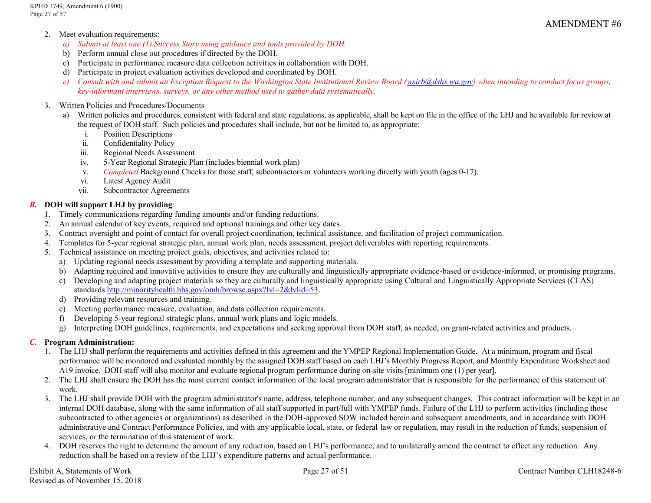KPHD 1749, Amendment 6 (1900) Page 27 of 57

- 2. Meet evaluation requirements:
	- *a) Submit at least one (1) Success Story using guidance and tools provided by DOH.*
	- b) Perform annual close out procedures if directed by the DOH.
	- c) Participate in performance measure data collection activities in collaboration with DOH.
	- d) Participate in project evaluation activities developed and coordinated by DOH.
	- *e) Consult with and submit an Exception Request to the Washington State Institutional Review Board [\(wsirb@dshs.wa.gov\)](mailto:wsirb@dshs.wa.gov) when intending to conduct focus groups, key-informant interviews, surveys, or any other method used to gather data systematically.*

### 3. Written Policies and Procedures/Documents

- a) Written policies and procedures, consistent with federal and state regulations, as applicable, shall be kept on file in the office of the LHJ and be available for review at the request of DOH staff. Such policies and procedures shall include, but not be limited to, as appropriate:
	- i. Position Descriptions
	- ii. Confidentiality Policy
	- iii. Regional Needs Assessment
	- iv. 5-Year Regional Strategic Plan (includes biennial work plan)
	- v. *Completed* Background Checks for those staff, subcontractors or volunteers working directly with youth (ages 0-17).
	- vi. Latest Agency Audit
	- vii. Subcontractor Agreements

## *B.* **DOH will support LHJ by providing**:

- 1. Timely communications regarding funding amounts and/or funding reductions.
- 2. An annual calendar of key events, required and optional trainings and other key dates.
- 3. Contract oversight and point of contact for overall project coordination, technical assistance, and facilitation of project communication.
- 4. Templates for 5-year regional strategic plan, annual work plan, needs assessment, project deliverables with reporting requirements.
- 5. Technical assistance on meeting project goals, objectives, and activities related to:
	- a) Updating regional needs assessment by providing a template and supporting materials.
	- b) Adapting required and innovative activities to ensure they are culturally and linguistically appropriate evidence-based or evidence-informed, or promising programs.
	- c) Developing and adapting project materials so they are culturally and linguistically appropriate using Cultural and Linguistically Appropriate Services (CLAS) standards [http://minorityhealth.hhs.gov/omh/browse.aspx?lvl=2&lvlid=53.](http://minorityhealth.hhs.gov/omh/browse.aspx?lvl=2&lvlid=53)
	- d) Providing relevant resources and training.
	- e) Meeting performance measure, evaluation, and data collection requirements.
	- f) Developing 5-year regional strategic plans, annual work plans and logic models.
	- g) Interpreting DOH guidelines, requirements, and expectations and seeking approval from DOH staff, as needed, on grant-related activities and products.

## *C.* **Program Administration:**

- 1. The LHJ shall perform the requirements and activities defined in this agreement and the YMPEP Regional Implementation Guide. At a minimum, program and fiscal performance will be monitored and evaluated monthly by the assigned DOH staff based on each LHJ's Monthly Progress Report, and Monthly Expenditure Worksheet and A19 invoice. DOH staff will also monitor and evaluate regional program performance during on-site visits [minimum one (1) per year].
- 2. The LHJ shall ensure the DOH has the most current contact information of the local program administrator that is responsible for the performance of this statement of work.
- 3. The LHJ shall provide DOH with the program administrator's name, address, telephone number, and any subsequent changes. This contract information will be kept in an internal DOH database, along with the same information of all staff supported in part/full with YMPEP funds. Failure of the LHJ to perform activities (including those subcontracted to other agencies or organizations) as described in the DOH-approved SOW included herein and subsequent amendments, and in accordance with DOH administrative and Contract Performance Policies, and with any applicable local, state, or federal law or regulation, may result in the reduction of funds, suspension of services, or the termination of this statement of work.
- 4. DOH reserves the right to determine the amount of any reduction, based on LHJ's performance, and to unilaterally amend the contract to effect any reduction. Any reduction shall be based on a review of the LHJ's expenditure patterns and actual performance.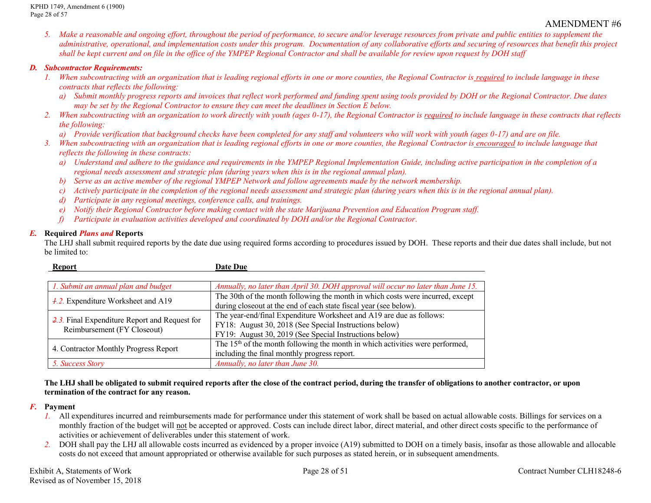*5. Make a reasonable and ongoing effort, throughout the period of performance, to secure and/or leverage resources from private and public entities to supplement the administrative, operational, and implementation costs under this program. Documentation of any collaborative efforts and securing of resources that benefit this project shall be kept current and on file in the office of the YMPEP Regional Contractor and shall be available for review upon request by DOH staff*

#### *D. Subcontractor Requirements:*

- *1. When subcontracting with an organization that is leading regional efforts in one or more counties, the Regional Contractor is <u>required</u> to include language in these contracts that reflects the following:*
	- *a) Submit monthly progress reports and invoices that reflect work performed and funding spent using tools provided by DOH or the Regional Contractor. Due dates may be set by the Regional Contractor to ensure they can meet the deadlines in Section E below.*
- 2. *When subcontracting with an organization to work directly with youth (ages 0-17), the Regional Contractor is required to include language in these contracts that reflects the following:*

*a) Provide verification that background checks have been completed for any staff and volunteers who will work with youth (ages 0-17) and are on file.*

- *3. When subcontracting with an organization that is leading regional efforts in one or more counties, the Regional Contractor is encouraged to include language that reflects the following in these contracts:*
	- *a) Understand and adhere to the guidance and requirements in the YMPEP Regional Implementation Guide, including active participation in the completion of a regional needs assessment and strategic plan (during years when this is in the regional annual plan).*
	- *b) Serve as an active member of the regional YMPEP Network and follow agreements made by the network membership.*
	- *c) Actively participate in the completion of the regional needs assessment and strategic plan (during years when this is in the regional annual plan).*
	- *d) Participate in any regional meetings, conference calls, and trainings.*
	- *e) Notify their Regional Contractor before making contact with the state Marijuana Prevention and Education Program staff.*
	- *f) Participate in evaluation activities developed and coordinated by DOH and/or the Regional Contractor.*

### *E.* **Required** *Plans and* **Reports**

The LHJ shall submit required reports by the date due using required forms according to procedures issued by DOH. These reports and their due dates shall include, but not be limited to:

| Report                                                                                  | <b>Date Due</b>                                                                           |  |  |  |  |
|-----------------------------------------------------------------------------------------|-------------------------------------------------------------------------------------------|--|--|--|--|
|                                                                                         |                                                                                           |  |  |  |  |
| 1. Submit an annual plan and budget                                                     | Annually, no later than April 30. DOH approval will occur no later than June 15.          |  |  |  |  |
|                                                                                         | The 30th of the month following the month in which costs were incurred, except            |  |  |  |  |
| $\frac{1}{2}$ . Expenditure Worksheet and A19                                           | during closeout at the end of each state fiscal year (see below).                         |  |  |  |  |
|                                                                                         | The year-end/final Expenditure Worksheet and A19 are due as follows:                      |  |  |  |  |
| $\frac{2}{2}$ . Final Expenditure Report and Request for<br>Reimbursement (FY Closeout) | FY18: August 30, 2018 (See Special Instructions below)                                    |  |  |  |  |
|                                                                                         | FY19: August 30, 2019 (See Special Instructions below)                                    |  |  |  |  |
|                                                                                         | The 15 <sup>th</sup> of the month following the month in which activities were performed. |  |  |  |  |
| 4. Contractor Monthly Progress Report                                                   | including the final monthly progress report.                                              |  |  |  |  |
| 5. Success Story                                                                        | Annually, no later than June 30.                                                          |  |  |  |  |

#### **The LHJ shall be obligated to submit required reports after the close of the contract period, during the transfer of obligations to another contractor, or upon termination of the contract for any reason.**

### *F.* **Payment**

- *1.* All expenditures incurred and reimbursements made for performance under this statement of work shall be based on actual allowable costs. Billings for services on a monthly fraction of the budget will not be accepted or approved. Costs can include direct labor, direct material, and other direct costs specific to the performance of activities or achievement of deliverables under this statement of work.
- *2.* DOH shall pay the LHJ all allowable costs incurred as evidenced by a proper invoice (A19) submitted to DOH on a timely basis, insofar as those allowable and allocable costs do not exceed that amount appropriated or otherwise available for such purposes as stated herein, or in subsequent amendments.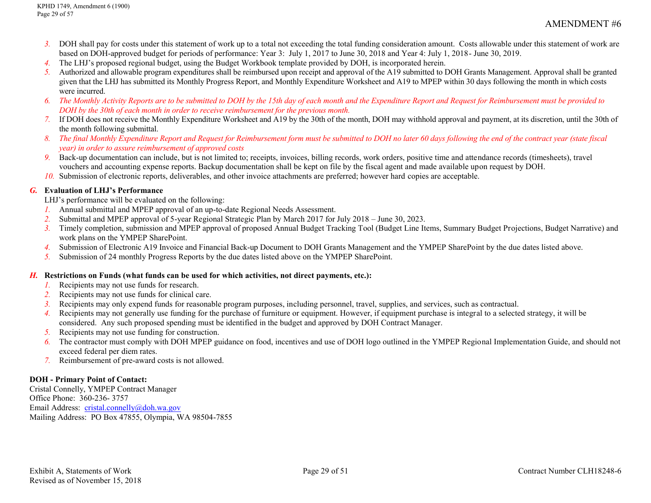- *3.* DOH shall pay for costs under this statement of work up to a total not exceeding the total funding consideration amount. Costs allowable under this statement of work are based on DOH-approved budget for periods of performance: Year 3: July 1, 2017 to June 30, 2018 and Year 4: July 1, 2018- June 30, 2019.
- *4.* The LHJ's proposed regional budget, using the Budget Workbook template provided by DOH, is incorporated herein.
- *5.* Authorized and allowable program expenditures shall be reimbursed upon receipt and approval of the A19 submitted to DOH Grants Management. Approval shall be granted given that the LHJ has submitted its Monthly Progress Report, and Monthly Expenditure Worksheet and A19 to MPEP within 30 days following the month in which costs were incurred.
- *6. The Monthly Activity Reports are to be submitted to DOH by the 15th day of each month and the Expenditure Report and Request for Reimbursement must be provided to DOH by the 30th of each month in order to receive reimbursement for the previous month.*
- *7.* If DOH does not receive the Monthly Expenditure Worksheet and A19 by the 30th of the month, DOH may withhold approval and payment, at its discretion, until the 30th of the month following submittal.
- *8. The final Monthly Expenditure Report and Request for Reimbursement form must be submitted to DOH no later 60 days following the end of the contract year (state fiscal year) in order to assure reimbursement of approved costs*
- *9.* Back-up documentation can include, but is not limited to; receipts, invoices, billing records, work orders, positive time and attendance records (timesheets), travel vouchers and accounting expense reports. Backup documentation shall be kept on file by the fiscal agent and made available upon request by DOH.
- *10.* Submission of electronic reports, deliverables, and other invoice attachments are preferred; however hard copies are acceptable.

### *G.* **Evaluation of LHJ's Performance**

LHJ's performance will be evaluated on the following:

- *1.* Annual submittal and MPEP approval of an up-to-date Regional Needs Assessment.
- *2.* Submittal and MPEP approval of 5-year Regional Strategic Plan by March 2017 for July 2018 June 30, 2023.
- *3.* Timely completion, submission and MPEP approval of proposed Annual Budget Tracking Tool (Budget Line Items, Summary Budget Projections, Budget Narrative) and work plans on the YMPEP SharePoint.
- *4.* Submission of Electronic A19 Invoice and Financial Back-up Document to DOH Grants Management and the YMPEP SharePoint by the due dates listed above.
- *5.* Submission of 24 monthly Progress Reports by the due dates listed above on the YMPEP SharePoint.

### *H.* **Restrictions on Funds (what funds can be used for which activities, not direct payments, etc.):**

- *1.* Recipients may not use funds for research.
- *2.* Recipients may not use funds for clinical care.
- *3.* Recipients may only expend funds for reasonable program purposes, including personnel, travel, supplies, and services, such as contractual.
- *4.* Recipients may not generally use funding for the purchase of furniture or equipment. However, if equipment purchase is integral to a selected strategy, it will be considered. Any such proposed spending must be identified in the budget and approved by DOH Contract Manager.
- *5.* Recipients may not use funding for construction.
- *6.* The contractor must comply with DOH MPEP guidance on food, incentives and use of DOH logo outlined in the YMPEP Regional Implementation Guide, and should not exceed federal per diem rates.
- *7.* Reimbursement of pre-award costs is not allowed.

## **DOH - Primary Point of Contact:**

Cristal Connelly, YMPEP Contract Manager Office Phone: 360-236- 3757 Email Address: [cristal.connelly@doh.wa.gov](mailto:cristal.connelly@doh.wa.gov) Mailing Address: PO Box 47855, Olympia, WA 98504-7855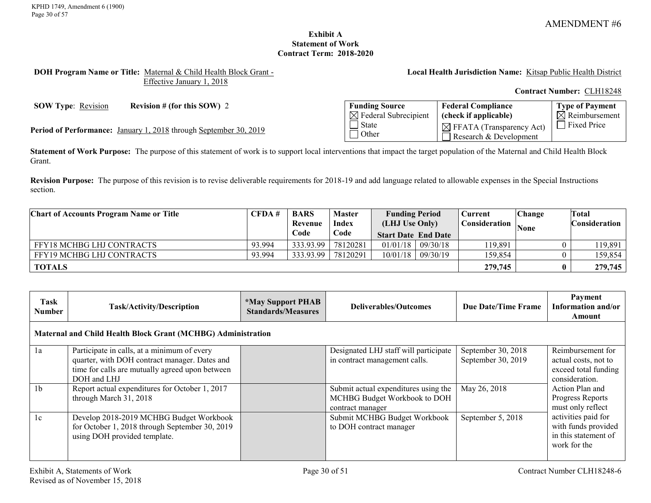### **Exhibit A Statement of Work Contract Term: 2018-2020**

#### <span id="page-29-0"></span>**DOH Program Name or Title:** Maternal & Child Health Block Grant - Effective January 1, 2018

**Local Health Jurisdiction Name:** Kitsap Public Health District

**Contract Number:** CLH18248

**SOW Type:** <u>Revision</u> **Revision # (for this SOW)** 2

Period of Performance: January 1, 2018 through September 30, 2019

| <b>Funding Source</b>            | <b>Federal Compliance</b>                                        | <b>Type of Payment</b>    |
|----------------------------------|------------------------------------------------------------------|---------------------------|
| $\boxtimes$ Federal Subrecipient | (check if applicable)                                            | $\boxtimes$ Reimbursement |
| State<br>  Other                 | $\boxtimes$ FFATA (Transparency Act)<br>Research $&$ Development | Fixed Price               |

**Statement of Work Purpose:** The purpose of this statement of work is to support local interventions that impact the target population of the Maternal and Child Health Block Grant.

**Revision Purpose:** The purpose of this revision is to revise deliverable requirements for 2018-19 and add language related to allowable expenses in the Special Instructions section.

| <b>Chart of Accounts Program Name or Title</b> | CFDA#  | <b>BARS</b><br>Revenue | <b>Master</b><br><b>Index</b> | <b>Funding Period</b><br>(LHJ Use Only) |          | 2urrent⊃<br>Consideration | <b>Change</b> | Total<br>Consideration |
|------------------------------------------------|--------|------------------------|-------------------------------|-----------------------------------------|----------|---------------------------|---------------|------------------------|
|                                                |        | Code                   | Code                          | <b>Start Date End Date</b>              |          |                           | <b>None</b>   |                        |
| <b>FFY18 MCHBG LHJ CONTRACTS</b>               | 93.994 | 333.93.99              | 78120281                      | 01/01/18                                | 09/30/18 | 119,891                   |               | 119,891                |
| <b>FFY19 MCHBG LHJ CONTRACTS</b>               | 93.994 | 333.93.99              | 78120291                      | 10/01/18                                | 09/30/19 | 159.854                   |               | 159,854                |
| <b>TOTALS</b>                                  |        |                        |                               |                                         |          | 279,745                   |               | 279,745                |

| Task<br>Number                                               | Task/Activity/Description                                                                                                                                      | <i><b>*May Support PHAB</b></i><br><b>Standards/Measures</b> | Deliverables/Outcomes                                                                    | Due Date/Time Frame                      | Payment<br>Information and/or<br>Amount                                             |  |  |  |  |
|--------------------------------------------------------------|----------------------------------------------------------------------------------------------------------------------------------------------------------------|--------------------------------------------------------------|------------------------------------------------------------------------------------------|------------------------------------------|-------------------------------------------------------------------------------------|--|--|--|--|
| Maternal and Child Health Block Grant (MCHBG) Administration |                                                                                                                                                                |                                                              |                                                                                          |                                          |                                                                                     |  |  |  |  |
| 1a                                                           | Participate in calls, at a minimum of every<br>quarter, with DOH contract manager. Dates and<br>time for calls are mutually agreed upon between<br>DOH and LHJ |                                                              | Designated LHJ staff will participate<br>in contract management calls.                   | September 30, 2018<br>September 30, 2019 | Reimbursement for<br>actual costs, not to<br>exceed total funding<br>consideration. |  |  |  |  |
| 1 <sub>b</sub>                                               | Report actual expenditures for October 1, 2017<br>through March 31, 2018                                                                                       |                                                              | Submit actual expenditures using the<br>MCHBG Budget Workbook to DOH<br>contract manager | May 26, 2018                             | Action Plan and<br>Progress Reports<br>must only reflect                            |  |  |  |  |
| 1c                                                           | Develop 2018-2019 MCHBG Budget Workbook<br>for October 1, 2018 through September 30, 2019<br>using DOH provided template.                                      |                                                              | Submit MCHBG Budget Workbook<br>to DOH contract manager                                  | September 5, 2018                        | activities paid for<br>with funds provided<br>in this statement of<br>work for the  |  |  |  |  |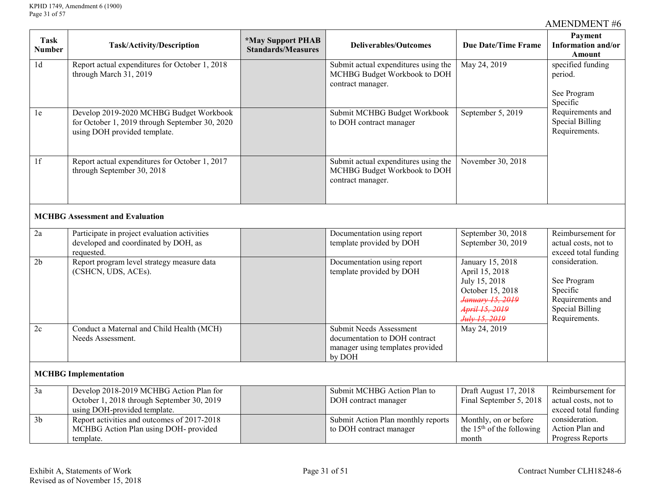| <b>Task</b><br><b>Number</b> | <b>Task/Activity/Description</b>                                                                                          | *May Support PHAB<br><b>Standards/Measures</b> | <b>Deliverables/Outcomes</b>                                                                           | <b>Due Date/Time Frame</b>                                                                                                     | Payment<br>Information and/or<br><b>Amount</b>                                                           |
|------------------------------|---------------------------------------------------------------------------------------------------------------------------|------------------------------------------------|--------------------------------------------------------------------------------------------------------|--------------------------------------------------------------------------------------------------------------------------------|----------------------------------------------------------------------------------------------------------|
| 1 <sub>d</sub>               | Report actual expenditures for October 1, 2018<br>through March 31, 2019                                                  |                                                | Submit actual expenditures using the<br>MCHBG Budget Workbook to DOH<br>contract manager.              | May 24, 2019                                                                                                                   | specified funding<br>period.                                                                             |
|                              |                                                                                                                           |                                                |                                                                                                        |                                                                                                                                | See Program<br>Specific                                                                                  |
| 1e                           | Develop 2019-2020 MCHBG Budget Workbook<br>for October 1, 2019 through September 30, 2020<br>using DOH provided template. |                                                | Submit MCHBG Budget Workbook<br>to DOH contract manager                                                | September 5, 2019                                                                                                              | Requirements and<br><b>Special Billing</b><br>Requirements.                                              |
| $\overline{1f}$              | Report actual expenditures for October 1, 2017<br>through September 30, 2018                                              |                                                | Submit actual expenditures using the<br>MCHBG Budget Workbook to DOH<br>contract manager.              | November 30, 2018                                                                                                              |                                                                                                          |
|                              | <b>MCHBG Assessment and Evaluation</b>                                                                                    |                                                |                                                                                                        |                                                                                                                                |                                                                                                          |
| 2a                           | Participate in project evaluation activities<br>developed and coordinated by DOH, as<br>requested.                        |                                                | Documentation using report<br>template provided by DOH                                                 | September 30, 2018<br>September 30, 2019                                                                                       | Reimbursement for<br>actual costs, not to<br>exceed total funding                                        |
| 2 <sub>b</sub>               | Report program level strategy measure data<br>(CSHCN, UDS, ACEs).                                                         |                                                | Documentation using report<br>template provided by DOH                                                 | January 15, 2018<br>April 15, 2018<br>July 15, 2018<br>October 15, 2018<br>January 15, 2019<br>April 15, 2019<br>July 15, 2019 | consideration.<br>See Program<br>Specific<br>Requirements and<br><b>Special Billing</b><br>Requirements. |
| 2c                           | Conduct a Maternal and Child Health (MCH)<br>Needs Assessment.                                                            |                                                | Submit Needs Assessment<br>documentation to DOH contract<br>manager using templates provided<br>by DOH | May 24, 2019                                                                                                                   |                                                                                                          |
|                              | <b>MCHBG</b> Implementation                                                                                               |                                                |                                                                                                        |                                                                                                                                |                                                                                                          |
| 3a                           | Develop 2018-2019 MCHBG Action Plan for<br>October 1, 2018 through September 30, 2019<br>using DOH-provided template.     |                                                | Submit MCHBG Action Plan to<br>DOH contract manager                                                    | Draft August 17, 2018<br>Final September 5, 2018                                                                               | Reimbursement for<br>actual costs, not to<br>exceed total funding                                        |
| 3 <sub>b</sub>               | Report activities and outcomes of 2017-2018<br>MCHBG Action Plan using DOH- provided<br>template.                         |                                                | Submit Action Plan monthly reports<br>to DOH contract manager                                          | Monthly, on or before<br>the $15th$ of the following<br>month                                                                  | consideration.<br>Action Plan and<br><b>Progress Reports</b>                                             |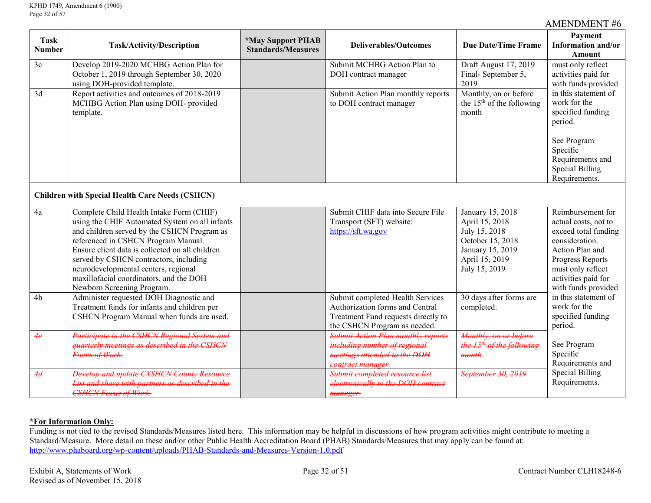| <b>Task</b><br><b>Number</b> | Task/Activity/Description                                                                                                                                                                                                                                                                                                                                                                      | <i><b>*May Support PHAB</b></i><br><b>Standards/Measures</b> | <b>Deliverables/Outcomes</b>                                                                                                               | <b>Due Date/Time Frame</b>                                                                                                     | Payment<br>Information and/or<br>Amount                                                                                                                                                       |
|------------------------------|------------------------------------------------------------------------------------------------------------------------------------------------------------------------------------------------------------------------------------------------------------------------------------------------------------------------------------------------------------------------------------------------|--------------------------------------------------------------|--------------------------------------------------------------------------------------------------------------------------------------------|--------------------------------------------------------------------------------------------------------------------------------|-----------------------------------------------------------------------------------------------------------------------------------------------------------------------------------------------|
| 3c                           | Develop 2019-2020 MCHBG Action Plan for<br>October 1, 2019 through September 30, 2020<br>using DOH-provided template.                                                                                                                                                                                                                                                                          |                                                              | Submit MCHBG Action Plan to<br>DOH contract manager                                                                                        | Draft August 17, 2019<br>Final-September 5,<br>2019                                                                            | must only reflect<br>activities paid for<br>with funds provided                                                                                                                               |
| 3d                           | Report activities and outcomes of 2018-2019<br>MCHBG Action Plan using DOH- provided<br>template.                                                                                                                                                                                                                                                                                              |                                                              | Submit Action Plan monthly reports<br>to DOH contract manager                                                                              | Monthly, on or before<br>the $15th$ of the following<br>month                                                                  | in this statement of<br>work for the<br>specified funding<br>period.                                                                                                                          |
|                              |                                                                                                                                                                                                                                                                                                                                                                                                |                                                              |                                                                                                                                            |                                                                                                                                | See Program<br>Specific<br>Requirements and<br><b>Special Billing</b><br>Requirements.                                                                                                        |
|                              | <b>Children with Special Health Care Needs (CSHCN)</b>                                                                                                                                                                                                                                                                                                                                         |                                                              |                                                                                                                                            |                                                                                                                                |                                                                                                                                                                                               |
| 4a                           | Complete Child Health Intake Form (CHIF)<br>using the CHIF Automated System on all infants<br>and children served by the CSHCN Program as<br>referenced in CSHCN Program Manual.<br>Ensure client data is collected on all children<br>served by CSHCN contractors, including<br>neurodevelopmental centers, regional<br>maxillofacial coordinators, and the DOH<br>Newborn Screening Program. |                                                              | Submit CHIF data into Secure File<br>Transport (SFT) website:<br>https://sft.wa.gov                                                        | January 15, 2018<br>April 15, 2018<br>July 15, 2018<br>October 15, 2018<br>January 15, 2019<br>April 15, 2019<br>July 15, 2019 | Reimbursement for<br>actual costs, not to<br>exceed total funding<br>consideration.<br>Action Plan and<br>Progress Reports<br>must only reflect<br>activities paid for<br>with funds provided |
| 4 <sub>b</sub>               | Administer requested DOH Diagnostic and<br>Treatment funds for infants and children per<br>CSHCN Program Manual when funds are used.                                                                                                                                                                                                                                                           |                                                              | Submit completed Health Services<br>Authorization forms and Central<br>Treatment Fund requests directly to<br>the CSHCN Program as needed. | $\overline{30}$ days after forms are<br>completed.                                                                             | in this statement of<br>work for the<br>specified funding<br>period.                                                                                                                          |
| 4e                           | Participate in the CSHCN Regional System and<br>quarterly meetings as described in the CSHCN<br>Foeus of Work.                                                                                                                                                                                                                                                                                 |                                                              | <b>Submit Action Plan monthly reports</b><br>including number of regional<br>meetings attended to the DOH<br>contract manager.             | Monthly, on or before<br>the 15 <sup>th</sup> of the following<br>month                                                        | See Program<br>Specific<br>Requirements and                                                                                                                                                   |
| 4d                           | <b>Develop and update CYSHCN County Resource</b><br>List and share with partners as described in the<br><b>CSHCN Focus of Work.</b>                                                                                                                                                                                                                                                            |                                                              | Submit completed resource list<br>electronically to the DOH contract<br>manager.                                                           | September 30, 2019                                                                                                             | <b>Special Billing</b><br>Requirements.                                                                                                                                                       |

### **\*For Information Only:**

Funding is not tied to the revised Standards/Measures listed here. This information may be helpful in discussions of how program activities might contribute to meeting a Standard/Measure. More detail on these and/or other Public Health Accreditation Board (PHAB) Standards/Measures that may apply can be found at: <http://www.phaboard.org/wp-content/uploads/PHAB-Standards-and-Measures-Version-1.0.pdf>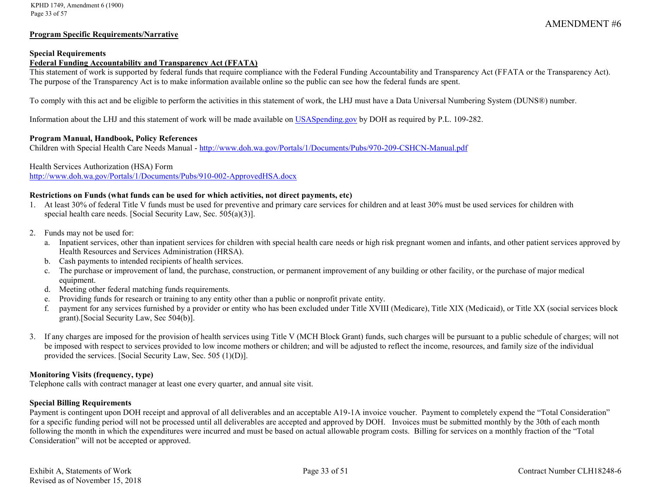#### **Program Specific Requirements/Narrative**

#### **Special Requirements**

## **Federal Funding Accountability and Transparency Act (FFATA)**

This statement of work is supported by federal funds that require compliance with the Federal Funding Accountability and Transparency Act (FFATA or the Transparency Act). The purpose of the Transparency Act is to make information available online so the public can see how the federal funds are spent.

To comply with this act and be eligible to perform the activities in this statement of work, the LHJ must have a Data Universal Numbering System (DUNS®) number.

Information about the LHJ and this statement of work will be made available on [USASpending.gov](https://www.usaspending.gov/#/) by DOH as required by P.L. 109-282.

#### **Program Manual, Handbook, Policy References**

Children with Special Health Care Needs Manual - <http://www.doh.wa.gov/Portals/1/Documents/Pubs/970-209-CSHCN-Manual.pdf>

#### Health Services Authorization (HSA) Form

<http://www.doh.wa.gov/Portals/1/Documents/Pubs/910-002-ApprovedHSA.docx>

#### **Restrictions on Funds (what funds can be used for which activities, not direct payments, etc)**

- 1. At least 30% of federal Title V funds must be used for preventive and primary care services for children and at least 30% must be used services for children with special health care needs. [Social Security Law, Sec. 505(a)(3)].
- 2. Funds may not be used for:
	- a. Inpatient services, other than inpatient services for children with special health care needs or high risk pregnant women and infants, and other patient services approved by Health Resources and Services Administration (HRSA).
	- b. Cash payments to intended recipients of health services.
	- c. The purchase or improvement of land, the purchase, construction, or permanent improvement of any building or other facility, or the purchase of major medical equipment.
	- d. Meeting other federal matching funds requirements.
	- e. Providing funds for research or training to any entity other than a public or nonprofit private entity.
	- f. payment for any services furnished by a provider or entity who has been excluded under Title XVIII (Medicare), Title XIX (Medicaid), or Title XX (social services block grant).[Social Security Law, Sec 504(b)].
- 3. If any charges are imposed for the provision of health services using Title V (MCH Block Grant) funds, such charges will be pursuant to a public schedule of charges; will not be imposed with respect to services provided to low income mothers or children; and will be adjusted to reflect the income, resources, and family size of the individual provided the services. [Social Security Law, Sec. 505 (1)(D)].

#### **Monitoring Visits (frequency, type)**

Telephone calls with contract manager at least one every quarter, and annual site visit.

#### **Special Billing Requirements**

Payment is contingent upon DOH receipt and approval of all deliverables and an acceptable A19-1A invoice voucher. Payment to completely expend the "Total Consideration" for a specific funding period will not be processed until all deliverables are accepted and approved by DOH. Invoices must be submitted monthly by the 30th of each month following the month in which the expenditures were incurred and must be based on actual allowable program costs. Billing for services on a monthly fraction of the "Total Consideration" will not be accepted or approved.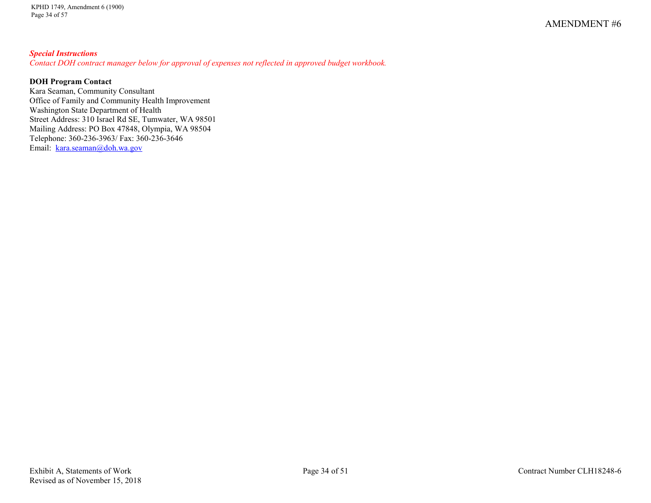## *Special Instructions*

*Contact DOH contract manager below for approval of expenses not reflected in approved budget workbook.*

## **DOH Program Contact**

Kara Seaman, Community Consultant Office of Family and Community Health Improvement Washington State Department of Health Street Address: 310 Israel Rd SE, Tumwater, WA 98501 Mailing Address: PO Box 47848, Olympia, WA 98504 Telephone: 360-236-3963/ Fax: 360-236-3646 Email: [kara.seaman@doh.wa.gov](mailto:kara.seaman@doh.wa.gov)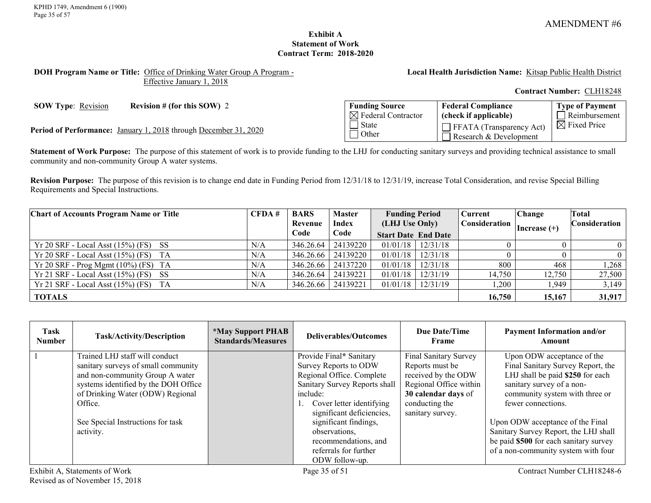### **Exhibit A Statement of Work Contract Term: 2018-2020**

#### <span id="page-34-0"></span>**DOH Program Name or Title:** Office of Drinking Water Group A Program - Effective January 1, 2018

**Local Health Jurisdiction Name:** Kitsap Public Health District

**Contract Number:** CLH18248

**SOW Type:** <u>Revision</u> **Revision # (for this SOW)** 2

Period of Performance: January 1, 2018 through December 31, 2020

| <b>Funding Source</b>          | <b>Federal Compliance</b>                                 | <b>Type of Payment</b>  |
|--------------------------------|-----------------------------------------------------------|-------------------------|
| $\boxtimes$ Federal Contractor | $\int$ (check if applicable)                              | $\Box$ Reimbursement    |
| l State<br>1 Other             | $\Box$ FFATA (Transparency Act)<br>Research & Development | $\boxtimes$ Fixed Price |

**Statement of Work Purpose:** The purpose of this statement of work is to provide funding to the LHJ for conducting sanitary surveys and providing technical assistance to small community and non-community Group A water systems.

**Revision Purpose:** The purpose of this revision is to change end date in Funding Period from 12/31/18 to 12/31/19, increase Total Consideration, and revise Special Billing Requirements and Special Instructions.

| <b>Chart of Accounts Program Name or Title</b> | CFDA# | <b>BARS</b> | <b>Master</b> | <b>Funding Period</b>                                           |  | Current | <b>Change</b>  | Total         |
|------------------------------------------------|-------|-------------|---------------|-----------------------------------------------------------------|--|---------|----------------|---------------|
|                                                |       | Revenue     | Index         | Consideration  <br>(LHJ Use Only)<br><b>Start Date End Date</b> |  |         | Increase $(+)$ | Consideration |
|                                                |       | Code        | Code          |                                                                 |  |         |                |               |
| $Yr 20$ SRF - Local Asst (15%) (FS) SS         | N/A   | 346.26.64   | 24139220      | $01/01/18$   $12/31/18$                                         |  |         |                | $\theta$      |
| $Yr 20$ SRF - Local Asst $(15\%)$ (FS) TA      | N/A   | 346.26.66   | 24139220      | $01/01/18$   $12/31/18$                                         |  |         |                |               |
| $Yr 20$ SRF - Prog Mgmt (10%) (FS) TA          | N/A   | 346.26.66   | 24137220      | $01/01/18$   $12/31/18$                                         |  | 800     | 468            | ,268          |
| $Yr 21$ SRF - Local Asst (15%) (FS) SS         | N/A   | 346.26.64   | 24139221      | $01/01/18$   $12/31/19$                                         |  | 14,750  | 12,750         | 27,500        |
| $Yr 21$ SRF - Local Asst (15%) (FS) TA         | N/A   | 346.26.66   | 24139221      | $01/01/18$   $12/31/19$                                         |  | ,200    | <b>949.</b>    | 3,149         |
| <b>TOTALS</b>                                  |       |             |               |                                                                 |  | 16,750  | 15,167         | 31,917        |

| Task<br><b>Number</b>         | Task/Activity/Description                                                                                                                                                                                                                         | <i><b>*May Support PHAB</b></i><br><b>Standards/Measures</b> | Deliverables/Outcomes                                                                                                                                                                                                                                                                               | Due Date/Time<br>Frame                                                                                                                                 | <b>Payment Information and/or</b><br>Amount                                                                                                                                                                                                                                                                                                            |
|-------------------------------|---------------------------------------------------------------------------------------------------------------------------------------------------------------------------------------------------------------------------------------------------|--------------------------------------------------------------|-----------------------------------------------------------------------------------------------------------------------------------------------------------------------------------------------------------------------------------------------------------------------------------------------------|--------------------------------------------------------------------------------------------------------------------------------------------------------|--------------------------------------------------------------------------------------------------------------------------------------------------------------------------------------------------------------------------------------------------------------------------------------------------------------------------------------------------------|
|                               | Trained LHJ staff will conduct<br>sanitary surveys of small community<br>and non-community Group A water<br>systems identified by the DOH Office<br>of Drinking Water (ODW) Regional<br>Office.<br>See Special Instructions for task<br>activity. |                                                              | Provide Final* Sanitary<br>Survey Reports to ODW<br>Regional Office. Complete<br>Sanitary Survey Reports shall<br>include:<br>1. Cover letter identifying<br>significant deficiencies,<br>significant findings,<br>observations,<br>recommendations, and<br>referrals for further<br>ODW follow-up. | Final Sanitary Survey<br>Reports must be<br>received by the ODW<br>Regional Office within<br>30 calendar days of<br>conducting the<br>sanitary survey. | Upon ODW acceptance of the<br>Final Sanitary Survey Report, the<br>LHJ shall be paid \$250 for each<br>sanitary survey of a non-<br>community system with three or<br>fewer connections.<br>Upon ODW acceptance of the Final<br>Sanitary Survey Report, the LHJ shall<br>be paid \$500 for each sanitary survey<br>of a non-community system with four |
| Exhibit A, Statements of Work |                                                                                                                                                                                                                                                   | Page 35 of 51                                                |                                                                                                                                                                                                                                                                                                     | Contract Number CLH18248-6                                                                                                                             |                                                                                                                                                                                                                                                                                                                                                        |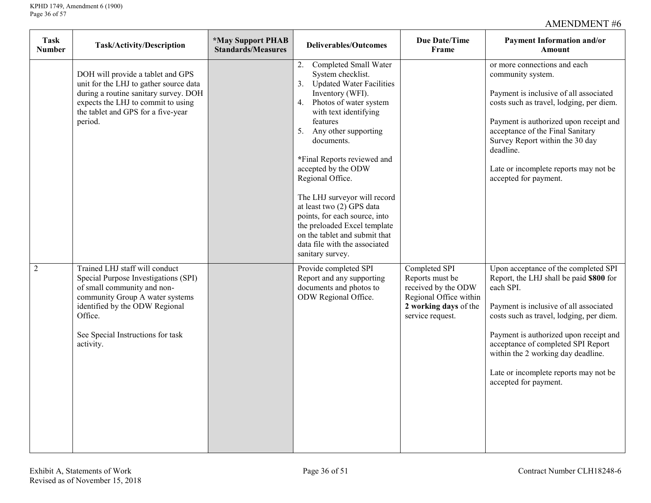| <b>Task</b><br><b>Number</b> | <b>Task/Activity/Description</b>                                                                                                                                                                                                        | <i><b>*May Support PHAB</b></i><br><b>Standards/Measures</b> | <b>Deliverables/Outcomes</b>                                                                                                                                                                                                                                                                                                                                                                                                                                                                                           | Due Date/Time<br>Frame                                                                                                         | <b>Payment Information and/or</b><br>Amount                                                                                                                                                                                                                                                                                                                                |
|------------------------------|-----------------------------------------------------------------------------------------------------------------------------------------------------------------------------------------------------------------------------------------|--------------------------------------------------------------|------------------------------------------------------------------------------------------------------------------------------------------------------------------------------------------------------------------------------------------------------------------------------------------------------------------------------------------------------------------------------------------------------------------------------------------------------------------------------------------------------------------------|--------------------------------------------------------------------------------------------------------------------------------|----------------------------------------------------------------------------------------------------------------------------------------------------------------------------------------------------------------------------------------------------------------------------------------------------------------------------------------------------------------------------|
|                              | DOH will provide a tablet and GPS<br>unit for the LHJ to gather source data<br>during a routine sanitary survey. DOH<br>expects the LHJ to commit to using<br>the tablet and GPS for a five-year<br>period.                             |                                                              | 2. Completed Small Water<br>System checklist.<br><b>Updated Water Facilities</b><br>3.<br>Inventory (WFI).<br>Photos of water system<br>4.<br>with text identifying<br>features<br>5. Any other supporting<br>documents.<br>*Final Reports reviewed and<br>accepted by the ODW<br>Regional Office.<br>The LHJ surveyor will record<br>at least two (2) GPS data<br>points, for each source, into<br>the preloaded Excel template<br>on the tablet and submit that<br>data file with the associated<br>sanitary survey. |                                                                                                                                | or more connections and each<br>community system.<br>Payment is inclusive of all associated<br>costs such as travel, lodging, per diem.<br>Payment is authorized upon receipt and<br>acceptance of the Final Sanitary<br>Survey Report within the 30 day<br>deadline.<br>Late or incomplete reports may not be<br>accepted for payment.                                    |
| $\overline{2}$               | Trained LHJ staff will conduct<br>Special Purpose Investigations (SPI)<br>of small community and non-<br>community Group A water systems<br>identified by the ODW Regional<br>Office.<br>See Special Instructions for task<br>activity. |                                                              | Provide completed SPI<br>Report and any supporting<br>documents and photos to<br>ODW Regional Office.                                                                                                                                                                                                                                                                                                                                                                                                                  | Completed SPI<br>Reports must be<br>received by the ODW<br>Regional Office within<br>2 working days of the<br>service request. | Upon acceptance of the completed SPI<br>Report, the LHJ shall be paid \$800 for<br>each SPI.<br>Payment is inclusive of all associated<br>costs such as travel, lodging, per diem.<br>Payment is authorized upon receipt and<br>acceptance of completed SPI Report<br>within the 2 working day deadline.<br>Late or incomplete reports may not be<br>accepted for payment. |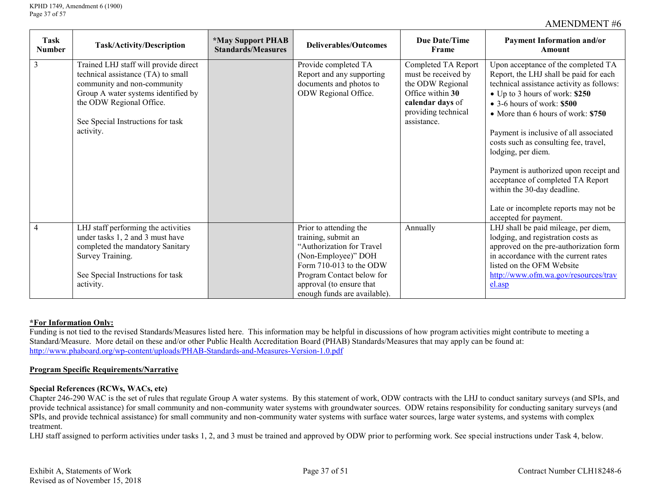| Task<br><b>Number</b> | Task/Activity/Description                                                                                                                                                                                                       | <i><b>*May Support PHAB</b></i><br><b>Standards/Measures</b> | <b>Deliverables/Outcomes</b>                                                                                                                                                                                          | Due Date/Time<br>Frame                                                                                                                       | <b>Payment Information and/or</b><br>Amount                                                                                                                                                                                                                                                                                                                                                                                                                                                                                       |
|-----------------------|---------------------------------------------------------------------------------------------------------------------------------------------------------------------------------------------------------------------------------|--------------------------------------------------------------|-----------------------------------------------------------------------------------------------------------------------------------------------------------------------------------------------------------------------|----------------------------------------------------------------------------------------------------------------------------------------------|-----------------------------------------------------------------------------------------------------------------------------------------------------------------------------------------------------------------------------------------------------------------------------------------------------------------------------------------------------------------------------------------------------------------------------------------------------------------------------------------------------------------------------------|
| 3                     | Trained LHJ staff will provide direct<br>technical assistance (TA) to small<br>community and non-community<br>Group A water systems identified by<br>the ODW Regional Office.<br>See Special Instructions for task<br>activity. |                                                              | Provide completed TA<br>Report and any supporting<br>documents and photos to<br>ODW Regional Office.                                                                                                                  | Completed TA Report<br>must be received by<br>the ODW Regional<br>Office within 30<br>calendar days of<br>providing technical<br>assistance. | Upon acceptance of the completed TA<br>Report, the LHJ shall be paid for each<br>technical assistance activity as follows:<br>• Up to 3 hours of work: \$250<br>$\bullet$ 3-6 hours of work: \$500<br>• More than 6 hours of work: \$750<br>Payment is inclusive of all associated<br>costs such as consulting fee, travel,<br>lodging, per diem.<br>Payment is authorized upon receipt and<br>acceptance of completed TA Report<br>within the 30-day deadline.<br>Late or incomplete reports may not be<br>accepted for payment. |
| 4                     | LHJ staff performing the activities<br>under tasks 1, 2 and 3 must have<br>completed the mandatory Sanitary<br>Survey Training.<br>See Special Instructions for task<br>activity.                                               |                                                              | Prior to attending the<br>training, submit an<br>"Authorization for Travel<br>(Non-Employee)" DOH<br>Form 710-013 to the ODW<br>Program Contact below for<br>approval (to ensure that<br>enough funds are available). | Annually                                                                                                                                     | LHJ shall be paid mileage, per diem,<br>lodging, and registration costs as<br>approved on the pre-authorization form<br>in accordance with the current rates<br>listed on the OFM Website<br>http://www.ofm.wa.gov/resources/trav<br>el.asp                                                                                                                                                                                                                                                                                       |

### **\*For Information Only:**

Funding is not tied to the revised Standards/Measures listed here. This information may be helpful in discussions of how program activities might contribute to meeting a Standard/Measure. More detail on these and/or other Public Health Accreditation Board (PHAB) Standards/Measures that may apply can be found at: <http://www.phaboard.org/wp-content/uploads/PHAB-Standards-and-Measures-Version-1.0.pdf>

#### **Program Specific Requirements/Narrative**

#### **Special References (RCWs, WACs, etc)**

Chapter 246-290 WAC is the set of rules that regulate Group A water systems. By this statement of work, ODW contracts with the LHJ to conduct sanitary surveys (and SPIs, and provide technical assistance) for small community and non-community water systems with groundwater sources. ODW retains responsibility for conducting sanitary surveys (and SPIs, and provide technical assistance) for small community and non-community water systems with surface water sources, large water systems, and systems with complex treatment.

LHJ staff assigned to perform activities under tasks 1, 2, and 3 must be trained and approved by ODW prior to performing work. See special instructions under Task 4, below.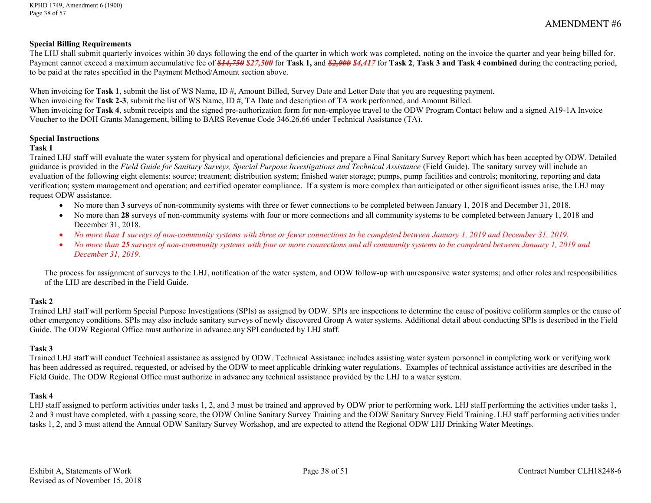#### **Special Billing Requirements**

The LHJ shall submit quarterly invoices within 30 days following the end of the quarter in which work was completed, noting on the invoice the quarter and year being billed for. Payment cannot exceed a maximum accumulative fee of *\$14,750 \$27,500* for **Task 1,** and *\$2,000 \$4,417* for **Task 2**, **Task 3 and Task 4 combined** during the contracting period, to be paid at the rates specified in the Payment Method/Amount section above.

When invoicing for **Task 1**, submit the list of WS Name, ID #, Amount Billed, Survey Date and Letter Date that you are requesting payment. When invoicing for **Task 2-3**, submit the list of WS Name, ID #, TA Date and description of TA work performed, and Amount Billed.

When invoicing for **Task 4**, submit [receipts](http://dohweb.doh.wa.lcl/OFS/FinancialServicesWeb/TravelWeb/Glossary.htm#Receipts__) and the signed pre-authorization form for non-employee travel to the ODW Program Contact below and a signed A19-1A Invoice Voucher to the DOH Grants Management, billing to BARS Revenue Code 346.26.66 under Technical Assistance (TA).

#### **Special Instructions**

#### **Task 1**

Trained LHJ staff will evaluate the water system for physical and operational deficiencies and prepare a Final Sanitary Survey Report which has been accepted by ODW. Detailed guidance is provided in the *Field Guide for Sanitary Surveys, Special Purpose Investigations and Technical Assistance* (Field Guide). The sanitary survey will include an evaluation of the following eight elements: source; treatment; distribution system; finished water storage; pumps, pump facilities and controls; monitoring, reporting and data verification; system management and operation; and certified operator compliance. If a system is more complex than anticipated or other significant issues arise, the LHJ may request ODW assistance.

- No more than 3 surveys of non-community systems with three or fewer connections to be completed between January 1, 2018 and December 31, 2018.
- No more than **28** surveys of non-community systems with four or more connections and all community systems to be completed between January 1, 2018 and December 31, 2018.
- *No more than 1 surveys of non-community systems with three or fewer connections to be completed between January 1, 2019 and December 31, 2019.*
- *No more than 25 surveys of non-community systems with four or more connections and all community systems to be completed between January 1, 2019 and December 31, 2019.*

The process for assignment of surveys to the LHJ, notification of the water system, and ODW follow-up with unresponsive water systems; and other roles and responsibilities of the LHJ are described in the Field Guide.

### **Task 2**

Trained LHJ staff will perform Special Purpose Investigations (SPIs) as assigned by ODW. SPIs are inspections to determine the cause of positive coliform samples or the cause of other emergency conditions. SPIs may also include sanitary surveys of newly discovered Group A water systems. Additional detail about conducting SPIs is described in the Field Guide. The ODW Regional Office must authorize in advance any SPI conducted by LHJ staff.

### **Task 3**

Trained LHJ staff will conduct Technical assistance as assigned by ODW. Technical Assistance includes assisting water system personnel in completing work or verifying work has been addressed as required, requested, or advised by the ODW to meet applicable drinking water regulations. Examples of technical assistance activities are described in the Field Guide. The ODW Regional Office must authorize in advance any technical assistance provided by the LHJ to a water system.

### **Task 4**

LHJ staff assigned to perform activities under tasks 1, 2, and 3 must be trained and approved by ODW prior to performing work. LHJ staff performing the activities under tasks 1, 2 and 3 must have completed, with a passing score, the ODW Online Sanitary Survey Training and the ODW Sanitary Survey Field Training. LHJ staff performing activities under tasks 1, 2, and 3 must attend the Annual ODW Sanitary Survey Workshop, and are expected to attend the Regional ODW LHJ Drinking Water Meetings.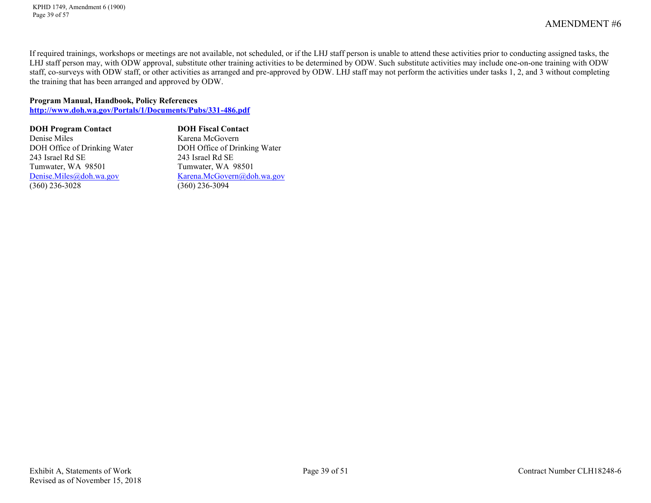KPHD 1749, Amendment 6 (1900) Page 39 of 57

AMENDMENT #6

If required trainings, workshops or meetings are not available, not scheduled, or if the LHJ staff person is unable to attend these activities prior to conducting assigned tasks, the LHJ staff person may, with ODW approval, substitute other training activities to be determined by ODW. Such substitute activities may include one-on-one training with ODW staff, co-surveys with ODW staff, or other activities as arranged and pre-approved by ODW. LHJ staff may not perform the activities under tasks 1, 2, and 3 without completing the training that has been arranged and approved by ODW.

#### **Program Manual, Handbook, Policy References**

**<http://www.doh.wa.gov/Portals/1/Documents/Pubs/331-486.pdf>**

| <b>DOH Program Contact</b>   | <b>DOH Fiscal Contact</b>    |
|------------------------------|------------------------------|
| Denise Miles                 | Karena McGovern              |
| DOH Office of Drinking Water | DOH Office of Drinking Water |
| 243 Israel Rd SE             | 243 Israel Rd SE             |
| Tumwater, WA 98501           | Tumwater, WA 98501           |
| Denise.Miles@doh.wa.gov      | Karena.McGovern@doh.wa.gov   |
| $(360)$ 236-3028             | $(360)$ 236-3094             |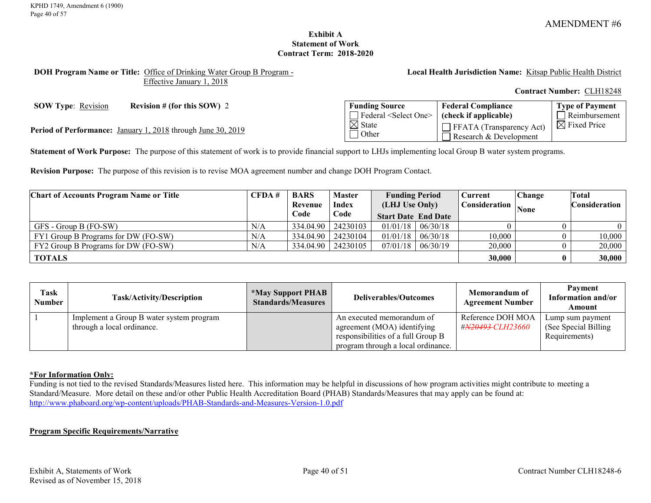### **Exhibit A Statement of Work Contract Term: 2018-2020**

#### <span id="page-39-0"></span>**DOH Program Name or Title:** Office of Drinking Water Group B Program - Effective January 1, 2018

**Local Health Jurisdiction Name:** Kitsap Public Health District

**Contract Number:** CLH18248

**SOW Type:** Revision **Revision # (for this SOW)** 2

Period of Performance: January 1, 2018 through June 30, 2019

| <b>Funding Source</b>                                                            | <b>Federal Compliance</b>                                 | <b>Type of Payment</b>  |
|----------------------------------------------------------------------------------|-----------------------------------------------------------|-------------------------|
| $\Box$ Federal <select one=""> <math>\vert</math> (check if applicable)</select> |                                                           | $\Box$ Reimbursement    |
| $\boxtimes$ State<br>1 Other                                                     | $\Box$ FFATA (Transparency Act)<br>Research & Development | $\boxtimes$ Fixed Price |

**Statement of Work Purpose:** The purpose of this statement of work is to provide financial support to LHJs implementing local Group B water system programs.

**Revision Purpose:** The purpose of this revision is to revise MOA agreement number and change DOH Program Contact.

| <b>Chart of Accounts Program Name or Title</b> | CFDA# | <b>BARS</b> | <b>Master</b> | <b>Funding Period</b>      |                | <b>Current</b> | Change                         | Total         |
|------------------------------------------------|-------|-------------|---------------|----------------------------|----------------|----------------|--------------------------------|---------------|
|                                                |       | Revenue     | <b>Index</b>  |                            | (LHJ Use Only) |                | Consideration  <br><b>None</b> | Consideration |
|                                                |       | Code        | Code          | <b>Start Date End Date</b> |                |                |                                |               |
| GFS - Group B (FO-SW)                          | N/A   | 334.04.90   | 24230103      | 01/01/18                   | 06/30/18       |                |                                |               |
| FY1 Group B Programs for DW (FO-SW)            | N/A   | 334.04.90   | 24230104      | 01/01/18                   | 06/30/18       | 10,000         |                                | 10,000        |
| FY2 Group B Programs for DW (FO-SW)            | N/A   | 334.04.90   | 24230105      | 07/01/18                   | 06/30/19       | 20,000         |                                | 20,000        |
| <b>TOTALS</b>                                  |       |             |               |                            |                | 30,000         |                                | 30,000        |

| Task<br>Number | Task/Activity/Description                                              | <b>*May Support PHAB</b><br><b>Standards/Measures</b> | <b>Deliverables/Outcomes</b>                                                                                                         | Memorandum of<br><b>Agreement Number</b>           | Payment<br>Information and/or<br>Amount                    |
|----------------|------------------------------------------------------------------------|-------------------------------------------------------|--------------------------------------------------------------------------------------------------------------------------------------|----------------------------------------------------|------------------------------------------------------------|
|                | Implement a Group B water system program<br>through a local ordinance. |                                                       | An executed memorandum of<br>agreement (MOA) identifying<br>responsibilities of a full Group B<br>program through a local ordinance. | Reference DOH MOA<br># <del>N20493-</del> CLH23660 | Lump sum payment<br>(See Special Billing)<br>Requirements) |

### **\*For Information Only:**

Funding is not tied to the revised Standards/Measures listed here. This information may be helpful in discussions of how program activities might contribute to meeting a Standard/Measure. More detail on these and/or other Public Health Accreditation Board (PHAB) Standards/Measures that may apply can be found at: <http://www.phaboard.org/wp-content/uploads/PHAB-Standards-and-Measures-Version-1.0.pdf>

### **Program Specific Requirements/Narrative**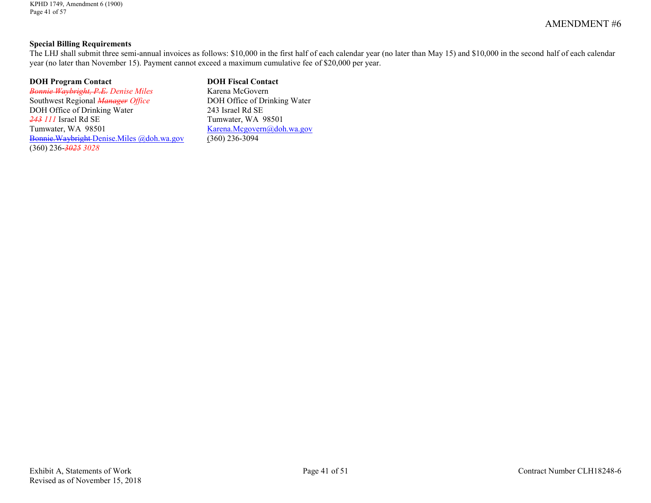#### **Special Billing Requirements**

The LHJ shall submit three semi-annual invoices as follows: \$10,000 in the first half of each calendar year (no later than May 15) and \$10,000 in the second half of each calendar year (no later than November 15). Payment cannot exceed a maximum cumulative fee of \$20,000 per year.

#### **DOH Program Contact DOH Fiscal Contact**

*Bonnie Waybright, P.E. Denise Miles* Karena McGovern<br>
Southwest Regional *Manager Office* DOH Office of Drinking Water Southwest Regional *Manager Office* DOH Office of Drinking Water 243 Israel Rd SE<br>243 III Israel Rd SE Tumwater, WA <sup>243</sup> *111* Israel Rd SE Tumwater, WA 98501<br>Tumwater, WA 98501 Karena.Mcgovern@dob [Bonnie.Waybright Denise.Miles @doh.wa.gov](mailto:Bonnie.Waybright@doh.wa.gov) (360) 236-*3025 3028*

 $Karena.Megovern@doh.wa.gov (360) 236-3094$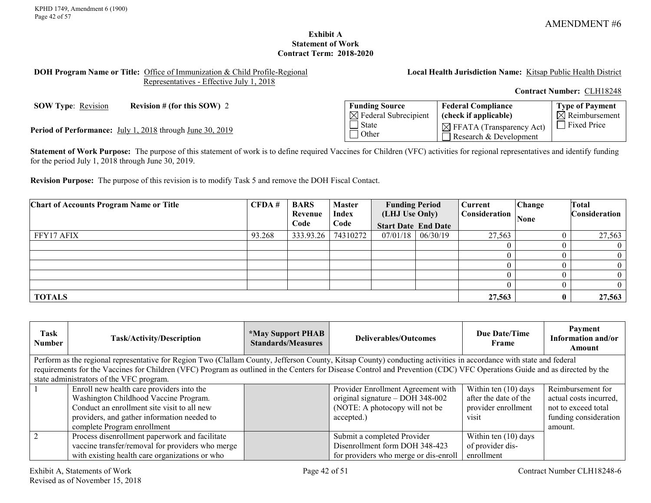**Type of Payment**  $\overline{\boxtimes}$  Reimbursement

### **Exhibit A Statement of Work Contract Term: 2018-2020**

#### <span id="page-41-0"></span>**DOH Program Name or Title:** Office of Immunization & Child Profile-Regional Representatives - Effective July 1, 2018

**Local Health Jurisdiction Name:** Kitsap Public Health District

**Federal Compliance (check if applicable)**

 $\boxtimes$  FFATA (Transparency Act) Research & Development

**Contract Number:** CLH18248

**SOW Type**: <u>Revision</u> **Revision # (for this SOW) 2 Funding Source** 

**Period of Performance:** July 1, 2018 through June 30, 2019

**Statement of Work Purpose:** The purpose of this statement of work is to define required Vaccines for Children (VFC) activities for regional representatives and identify funding for the period July 1, 2018 through June 30, 2019.

 $\boxtimes$  Federal Subrecipient

 $\overline{\Box}$  State **Other** 

**Revision Purpose:** The purpose of this revision is to modify Task 5 and remove the DOH Fiscal Contact.

| <b>Chart of Accounts Program Name or Title</b> | CFDA#  | <b>BARS</b> | <b>Master</b> | <b>Funding Period</b>      |          | Current       | Change | <b>Total</b>  |
|------------------------------------------------|--------|-------------|---------------|----------------------------|----------|---------------|--------|---------------|
|                                                |        | Revenue     | Index         | (LHJ Use Only)             |          | Consideration | None   | Consideration |
|                                                |        | Code        | Code          | <b>Start Date End Date</b> |          |               |        |               |
| FFY17 AFIX                                     | 93.268 | 333.93.26   | 74310272      | 07/01/18                   | 06/30/19 | 27,563        |        | 27,563        |
|                                                |        |             |               |                            |          |               |        |               |
|                                                |        |             |               |                            |          |               |        |               |
|                                                |        |             |               |                            |          |               |        |               |
|                                                |        |             |               |                            |          |               |        |               |
|                                                |        |             |               |                            |          |               |        |               |
| <b>TOTALS</b>                                  |        |             |               |                            |          | 27,563        |        | 27,563        |

| Task<br>Number | <b>Task/Activity/Description</b>                                                                                                                                         | <i><b>*May Support PHAB</b></i><br><b>Standards/Measures</b> | Deliverables/Outcomes                 | Due Date/Time<br>Frame | Payment<br>Information and/or<br>Amount |
|----------------|--------------------------------------------------------------------------------------------------------------------------------------------------------------------------|--------------------------------------------------------------|---------------------------------------|------------------------|-----------------------------------------|
|                | Perform as the regional representative for Region Two (Clallam County, Jefferson County, Kitsap County) conducting activities in accordance with state and federal       |                                                              |                                       |                        |                                         |
|                | requirements for the Vaccines for Children (VFC) Program as outlined in the Centers for Disease Control and Prevention (CDC) VFC Operations Guide and as directed by the |                                                              |                                       |                        |                                         |
|                | state administrators of the VFC program.                                                                                                                                 |                                                              |                                       |                        |                                         |
|                | Enroll new health care providers into the                                                                                                                                |                                                              | Provider Enrollment Agreement with    | Within ten (10) days   | Reimbursement for                       |
|                | Washington Childhood Vaccine Program.                                                                                                                                    |                                                              | original signature $-$ DOH 348-002    | after the date of the  | actual costs incurred,                  |
|                | Conduct an enrollment site visit to all new                                                                                                                              |                                                              | (NOTE: A photocopy will not be        | provider enrollment    | not to exceed total                     |
|                | providers, and gather information needed to                                                                                                                              |                                                              | accepted.)                            | visit                  | funding consideration                   |
|                | complete Program enrollment                                                                                                                                              |                                                              |                                       |                        | amount.                                 |
|                | Process disenrollment paperwork and facilitate                                                                                                                           |                                                              | Submit a completed Provider           | Within ten $(10)$ days |                                         |
|                | vaccine transfer/removal for providers who merge                                                                                                                         |                                                              | Disenrollment form DOH 348-423        | of provider dis-       |                                         |
|                | with existing health care organizations or who                                                                                                                           |                                                              | for providers who merge or dis-enroll | enrollment             |                                         |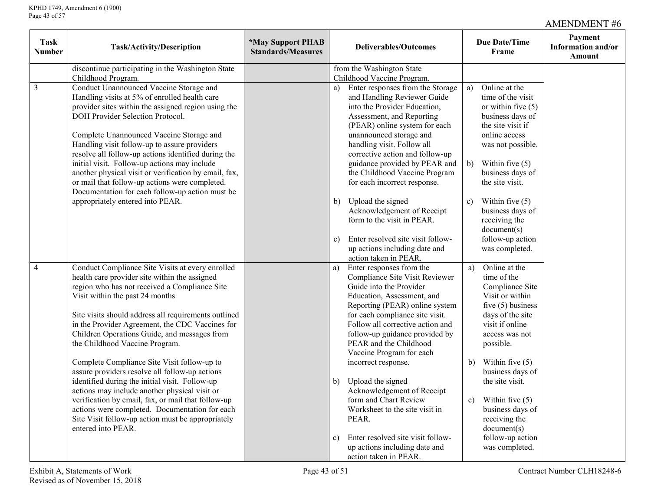| <b>Task</b><br>Number | Task/Activity/Description                                                                                                                                                                                                                                                                                                                                                                                                                                                                                                                                                                                                                                                                                                                                                 | <i><b>*May Support PHAB</b></i><br><b>Standards/Measures</b> | <b>Deliverables/Outcomes</b>                                                                                                                                                                                                                                                                                                                                                                                                                                                                                                                                                                                                                  | <b>Due Date/Time</b><br>Frame                                                                                                                                                                                                                                                                                                                                               | Payment<br>Information and/or<br>Amount |
|-----------------------|---------------------------------------------------------------------------------------------------------------------------------------------------------------------------------------------------------------------------------------------------------------------------------------------------------------------------------------------------------------------------------------------------------------------------------------------------------------------------------------------------------------------------------------------------------------------------------------------------------------------------------------------------------------------------------------------------------------------------------------------------------------------------|--------------------------------------------------------------|-----------------------------------------------------------------------------------------------------------------------------------------------------------------------------------------------------------------------------------------------------------------------------------------------------------------------------------------------------------------------------------------------------------------------------------------------------------------------------------------------------------------------------------------------------------------------------------------------------------------------------------------------|-----------------------------------------------------------------------------------------------------------------------------------------------------------------------------------------------------------------------------------------------------------------------------------------------------------------------------------------------------------------------------|-----------------------------------------|
|                       | discontinue participating in the Washington State                                                                                                                                                                                                                                                                                                                                                                                                                                                                                                                                                                                                                                                                                                                         |                                                              | from the Washington State                                                                                                                                                                                                                                                                                                                                                                                                                                                                                                                                                                                                                     |                                                                                                                                                                                                                                                                                                                                                                             |                                         |
| $\mathfrak{Z}$        | Childhood Program.<br>Conduct Unannounced Vaccine Storage and<br>Handling visits at 5% of enrolled health care<br>provider sites within the assigned region using the<br>DOH Provider Selection Protocol.<br>Complete Unannounced Vaccine Storage and<br>Handling visit follow-up to assure providers<br>resolve all follow-up actions identified during the<br>initial visit. Follow-up actions may include<br>another physical visit or verification by email, fax,<br>or mail that follow-up actions were completed.<br>Documentation for each follow-up action must be<br>appropriately entered into PEAR.                                                                                                                                                            |                                                              | Childhood Vaccine Program.<br>Enter responses from the Storage<br>a)<br>and Handling Reviewer Guide<br>into the Provider Education,<br>Assessment, and Reporting<br>(PEAR) online system for each<br>unannounced storage and<br>handling visit. Follow all<br>corrective action and follow-up<br>guidance provided by PEAR and<br>the Childhood Vaccine Program<br>for each incorrect response.<br>Upload the signed<br>b)<br>Acknowledgement of Receipt<br>form to the visit in PEAR.<br>Enter resolved site visit follow-<br>c)                                                                                                             | Online at the<br>a)<br>time of the visit<br>or within five $(5)$<br>business days of<br>the site visit if<br>online access<br>was not possible.<br>Within five $(5)$<br>b)<br>business days of<br>the site visit.<br>Within five $(5)$<br>c)<br>business days of<br>receiving the<br>document(s)<br>follow-up action                                                        |                                         |
| $\overline{4}$        | Conduct Compliance Site Visits at every enrolled<br>health care provider site within the assigned<br>region who has not received a Compliance Site<br>Visit within the past 24 months<br>Site visits should address all requirements outlined<br>in the Provider Agreement, the CDC Vaccines for<br>Children Operations Guide, and messages from<br>the Childhood Vaccine Program.<br>Complete Compliance Site Visit follow-up to<br>assure providers resolve all follow-up actions<br>identified during the initial visit. Follow-up<br>actions may include another physical visit or<br>verification by email, fax, or mail that follow-up<br>actions were completed. Documentation for each<br>Site Visit follow-up action must be appropriately<br>entered into PEAR. |                                                              | up actions including date and<br>action taken in PEAR.<br>Enter responses from the<br>a)<br>Compliance Site Visit Reviewer<br>Guide into the Provider<br>Education, Assessment, and<br>Reporting (PEAR) online system<br>for each compliance site visit.<br>Follow all corrective action and<br>follow-up guidance provided by<br>PEAR and the Childhood<br>Vaccine Program for each<br>incorrect response.<br>Upload the signed<br>b)<br>Acknowledgement of Receipt<br>form and Chart Review<br>Worksheet to the site visit in<br>PEAR.<br>Enter resolved site visit follow-<br>c)<br>up actions including date and<br>action taken in PEAR. | was completed.<br>Online at the<br>a)<br>time of the<br>Compliance Site<br>Visit or within<br>five $(5)$ business<br>days of the site<br>visit if online<br>access was not<br>possible.<br>Within five $(5)$<br>b)<br>business days of<br>the site visit.<br>c) Within five $(5)$<br>business days of<br>receiving the<br>document(s)<br>follow-up action<br>was completed. |                                         |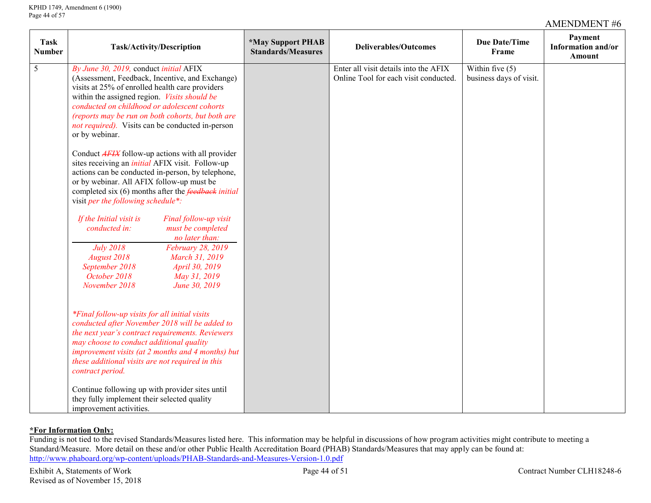| <b>Task</b><br><b>Number</b> | <b>Task/Activity/Description</b>                                                                                                                                                                                                                                                                                                                                                | <i><b>*May Support PHAB</b></i><br><b>Standards/Measures</b> | <b>Deliverables/Outcomes</b>                                                   | <b>Due Date/Time</b><br>Frame                | Payment<br>Information and/or<br><b>Amount</b> |
|------------------------------|---------------------------------------------------------------------------------------------------------------------------------------------------------------------------------------------------------------------------------------------------------------------------------------------------------------------------------------------------------------------------------|--------------------------------------------------------------|--------------------------------------------------------------------------------|----------------------------------------------|------------------------------------------------|
| $\overline{5}$               | By June 30, 2019, conduct initial AFIX<br>(Assessment, Feedback, Incentive, and Exchange)<br>visits at 25% of enrolled health care providers<br>within the assigned region. Visits should be<br>conducted on childhood or adolescent cohorts<br>(reports may be run on both cohorts, but both are<br><i>not required</i> ). Visits can be conducted in-person<br>or by webinar. |                                                              | Enter all visit details into the AFIX<br>Online Tool for each visit conducted. | Within five $(5)$<br>business days of visit. |                                                |
|                              | Conduct <b>AFIX</b> follow-up actions with all provider<br>sites receiving an <i>initial</i> AFIX visit. Follow-up<br>actions can be conducted in-person, by telephone,<br>or by webinar. All AFIX follow-up must be<br>completed six $(6)$ months after the <i>feedback initial</i><br>visit per the following schedule*:                                                      |                                                              |                                                                                |                                              |                                                |
|                              | Final follow-up visit<br>If the Initial visit is<br>conducted in:<br>must be completed<br>no later than:                                                                                                                                                                                                                                                                        |                                                              |                                                                                |                                              |                                                |
|                              | <b>July 2018</b><br>February 28, 2019<br><b>August 2018</b><br>March 31, 2019<br>September 2018<br>April 30, 2019<br>October 2018<br>May 31, 2019<br>November 2018<br>June 30, 2019                                                                                                                                                                                             |                                                              |                                                                                |                                              |                                                |
|                              | *Final follow-up visits for all initial visits<br>conducted after November 2018 will be added to<br>the next year's contract requirements. Reviewers<br>may choose to conduct additional quality<br>improvement visits (at 2 months and 4 months) but<br>these additional visits are not required in this<br>contract period.                                                   |                                                              |                                                                                |                                              |                                                |
|                              | Continue following up with provider sites until<br>they fully implement their selected quality<br>improvement activities.                                                                                                                                                                                                                                                       |                                                              |                                                                                |                                              |                                                |

#### **\*For Information Only:**

Funding is not tied to the revised Standards/Measures listed here. This information may be helpful in discussions of how program activities might contribute to meeting a Standard/Measure. More detail on these and/or other Public Health Accreditation Board (PHAB) Standards/Measures that may apply can be found at: <http://www.phaboard.org/wp-content/uploads/PHAB-Standards-and-Measures-Version-1.0.pdf>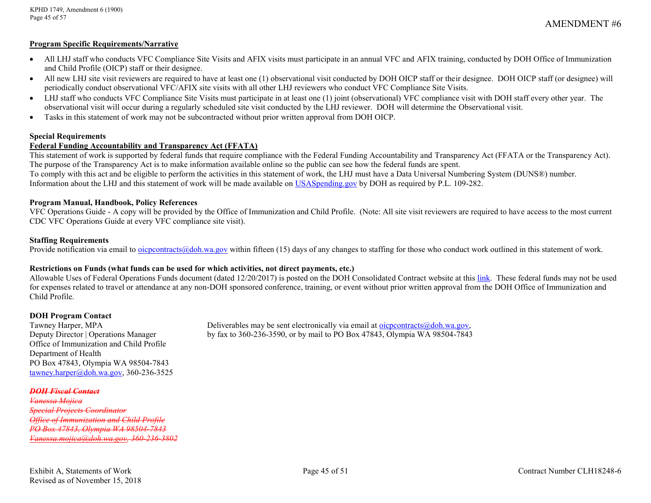#### **Program Specific Requirements/Narrative**

- All LHJ staff who conducts VFC Compliance Site Visits and AFIX visits must participate in an annual VFC and AFIX training, conducted by DOH Office of Immunization and Child Profile (OICP) staff or their designee.
- All new LHJ site visit reviewers are required to have at least one (1) observational visit conducted by DOH OICP staff or their designee. DOH OICP staff (or designee) will periodically conduct observational VFC/AFIX site visits with all other LHJ reviewers who conduct VFC Compliance Site Visits.
- LHJ staff who conducts VFC Compliance Site Visits must participate in at least one (1) joint (observational) VFC compliance visit with DOH staff every other year. The observational visit will occur during a regularly scheduled site visit conducted by the LHJ reviewer. DOH will determine the Observational visit.
- Tasks in this statement of work may not be subcontracted without prior written approval from DOH OICP.

#### **Special Requirements**

#### **Federal Funding Accountability and Transparency Act (FFATA)**

This statement of work is supported by federal funds that require compliance with the Federal Funding Accountability and Transparency Act (FFATA or the Transparency Act). The purpose of the Transparency Act is to make information available online so the public can see how the federal funds are spent.

To comply with this act and be eligible to perform the activities in this statement of work, the LHJ must have a Data Universal Numbering System (DUNS®) number. Information about the LHJ and this statement of work will be made available on [USASpending.gov](https://www.usaspending.gov/#/) by DOH as required by P.L. 109-282.

#### **Program Manual, Handbook, Policy References**

VFC Operations Guide - A copy will be provided by the Office of Immunization and Child Profile. (Note: All site visit reviewers are required to have access to the most current CDC VFC Operations Guide at every VFC compliance site visit).

#### **Staffing Requirements**

Provide notification via email to [oicpcontracts@doh.wa.gov](mailto:oicpcontracts@doh.wa.gov) within fifteen (15) days of any changes to staffing for those who conduct work outlined in this statement of work.

#### **Restrictions on Funds (what funds can be used for which activities, not direct payments, etc.)**

Allowable Uses of Federal Operations Funds document (dated 12/20/2017) is posted on the DOH Consolidated Contract website at thi[s link.](http://www.doh.wa.gov/PublicHealthandHealthcareProviders/PublicHealthSystemResourcesandServices/Funding/ConsolidatedContracts/FormsReportsandProgramInformation.aspx) These federal funds may not be used for expenses related to travel or attendance at any non-DOH sponsored conference, training, or event without prior written approval from the DOH Office of Immunization and Child Profile.

# **DOH Program Contact**<br>Tawney Harper, MPA

Office of Immunization and Child Profile Department of Health PO Box 47843, Olympia WA 98504-7843 [tawney.harper@doh.wa.gov,](mailto:tawney.harper@doh.wa.gov) 360-236-3525

#### *DOH Fiscal Contact*

*Vanessa Mojica Special Projects Coordinator Office of Immunization and Child Profile PO Box 47843, Olympia WA 98504-7843 [Vanessa.mojica@doh.wa.gov,](mailto:Vanessa.mojica@doh.wa.gov) 360-236-3802*

Deliverables may be sent electronically via email at oicpcontracts $\omega$ doh.wa.gov, Deputy Director | Operations Manager by fax to 360-236-3590, or by mail to PO Box 47843, Olympia WA 98504-7843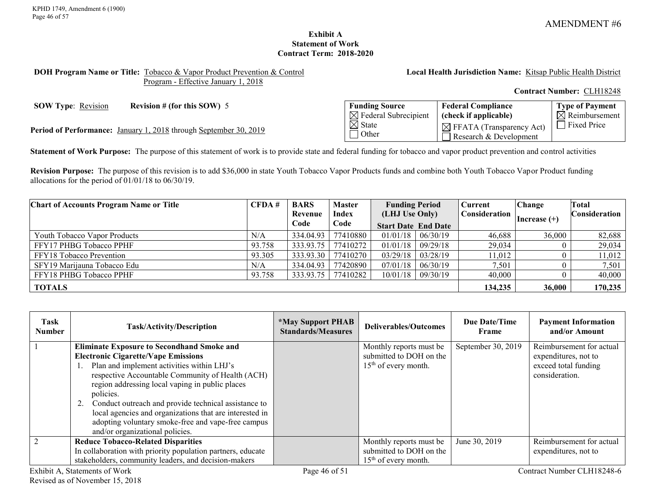## **Exhibit A Statement of Work Contract Term: 2018-2020**

#### <span id="page-45-0"></span>**DOH Program Name or Title:** Tobacco & Vapor Product Prevention & Control Program - Effective January 1, 2018

**Local Health Jurisdiction Name:** Kitsap Public Health District

**Contract Number:** CLH18248

**SOW Type:** <u>Revision</u> **Revision # (for this SOW)** 5

Period of Performance: January 1, 2018 through September 30, 2019

| <b>Funding Source</b>            | <b>Federal Compliance</b>            | <b>Type of Payment</b>    |
|----------------------------------|--------------------------------------|---------------------------|
| $\boxtimes$ Federal Subrecipient | (check if applicable)                | $\boxtimes$ Reimbursement |
| $\boxtimes$ State                | $\boxtimes$ FFATA (Transparency Act) | Fixed Price               |
| l Other                          | Research & Development               |                           |

**Statement of Work Purpose:** The purpose of this statement of work is to provide state and federal funding for tobacco and vapor product prevention and control activities

**Revision Purpose:** The purpose of this revision is to add \$36,000 in state Youth Tobacco Vapor Products funds and combine both Youth Tobacco Vapor Product funding allocations for the period of 01/01/18 to 06/30/19.

| <b>Chart of Accounts Program Name or Title</b> | CFDA#  | <b>BARS</b> | <b>Master</b> | <b>Funding Period</b>      |                         | Current              | <b>Change</b> | Total          |                      |
|------------------------------------------------|--------|-------------|---------------|----------------------------|-------------------------|----------------------|---------------|----------------|----------------------|
|                                                |        | Revenue     | <b>Index</b>  | (LHJ Use Only)             |                         | <b>Consideration</b> |               | Increase $(+)$ | <b>Consideration</b> |
|                                                |        | Code        | Code          | <b>Start Date End Date</b> |                         |                      |               |                |                      |
| Youth Tobacco Vapor Products                   | N/A    | 334.04.93   | 77410880      | $01/01/18$ $06/30/19$      |                         | 46,688               | 36,000        | 82,688         |                      |
| FFY17 PHBG Tobacco PPHF                        | 93.758 | 333.93.75   | 77410272      | $01/01/18$ 09/29/18        |                         | 29,034               |               | 29,034         |                      |
| FFY18 Tobacco Prevention                       | 93.305 | 333.93.30   | 77410270      |                            | $03/29/18$   $03/28/19$ | 11,012               |               | 11,012         |                      |
| SFY19 Marijauna Tobacco Edu                    | N/A    | 334.04.93   | 77420890      | 07/01/18                   | 06/30/19                | 7,501                |               | 7,501          |                      |
| FFY18 PHBG Tobacco PPHF                        | 93.758 | 333.93.75   | 77410282      |                            | $10/01/18$   09/30/19   | 40,000               |               | 40,000         |                      |
| <b>TOTALS</b>                                  |        |             |               |                            |                         | 134,235              | 36,000        | 170,235        |                      |

| Task<br><b>Number</b> | <b>Task/Activity/Description</b>                            | <i><b>*May Support PHAB</b></i><br><b>Standards/Measures</b> | Deliverables/Outcomes   | <b>Due Date/Time</b><br>Frame | <b>Payment Information</b><br>and/or Amount |
|-----------------------|-------------------------------------------------------------|--------------------------------------------------------------|-------------------------|-------------------------------|---------------------------------------------|
|                       | <b>Eliminate Exposure to Secondhand Smoke and</b>           |                                                              | Monthly reports must be | September 30, 2019            | Reimbursement for actual                    |
|                       | <b>Electronic Cigarette/Vape Emissions</b>                  |                                                              | submitted to DOH on the |                               | expenditures, not to                        |
|                       | Plan and implement activities within LHJ's                  |                                                              | $15th$ of every month.  |                               | exceed total funding                        |
|                       | respective Accountable Community of Health (ACH)            |                                                              |                         |                               | consideration.                              |
|                       | region addressing local vaping in public places             |                                                              |                         |                               |                                             |
|                       | policies.                                                   |                                                              |                         |                               |                                             |
|                       | Conduct outreach and provide technical assistance to        |                                                              |                         |                               |                                             |
|                       | local agencies and organizations that are interested in     |                                                              |                         |                               |                                             |
|                       | adopting voluntary smoke-free and vape-free campus          |                                                              |                         |                               |                                             |
|                       | and/or organizational policies.                             |                                                              |                         |                               |                                             |
|                       | <b>Reduce Tobacco-Related Disparities</b>                   |                                                              | Monthly reports must be | June 30, 2019                 | Reimbursement for actual                    |
|                       | In collaboration with priority population partners, educate |                                                              | submitted to DOH on the |                               | expenditures, not to                        |
|                       | stakeholders, community leaders, and decision-makers        |                                                              | $15th$ of every month.  |                               |                                             |
|                       | Exhibit A, Statements of Work                               | Page 46 of 51                                                |                         |                               | Contract Number CLH18248-6                  |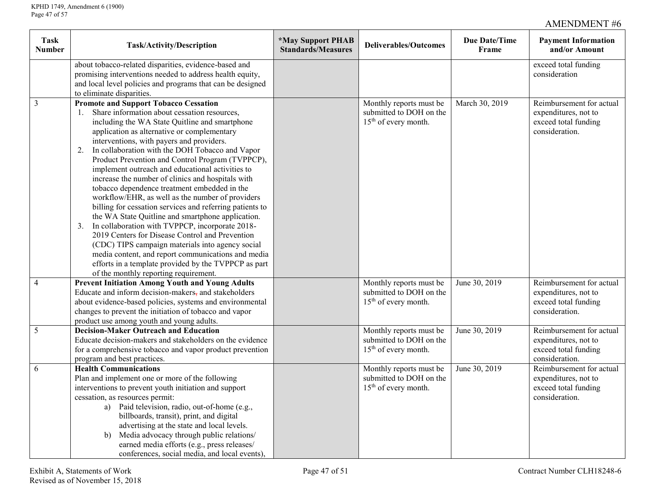|                                                                                                                                                                                            | <b>Payment Information</b><br>and/or Amount      |  |
|--------------------------------------------------------------------------------------------------------------------------------------------------------------------------------------------|--------------------------------------------------|--|
| about tobacco-related disparities, evidence-based and                                                                                                                                      | exceed total funding                             |  |
| promising interventions needed to address health equity,                                                                                                                                   | consideration                                    |  |
| and local level policies and programs that can be designed                                                                                                                                 |                                                  |  |
| to eliminate disparities.                                                                                                                                                                  |                                                  |  |
| $\overline{\mathbf{3}}$<br><b>Promote and Support Tobacco Cessation</b><br>March 30, 2019<br>Monthly reports must be                                                                       | Reimbursement for actual                         |  |
| Share information about cessation resources,<br>submitted to DOH on the                                                                                                                    | expenditures, not to                             |  |
| including the WA State Quitline and smartphone<br>15 <sup>th</sup> of every month.                                                                                                         | exceed total funding<br>consideration.           |  |
| application as alternative or complementary<br>interventions, with payers and providers.                                                                                                   |                                                  |  |
| In collaboration with the DOH Tobacco and Vapor<br>2.                                                                                                                                      |                                                  |  |
| Product Prevention and Control Program (TVPPCP),                                                                                                                                           |                                                  |  |
| implement outreach and educational activities to                                                                                                                                           |                                                  |  |
| increase the number of clinics and hospitals with                                                                                                                                          |                                                  |  |
| tobacco dependence treatment embedded in the                                                                                                                                               |                                                  |  |
| workflow/EHR, as well as the number of providers                                                                                                                                           |                                                  |  |
| billing for cessation services and referring patients to                                                                                                                                   |                                                  |  |
| the WA State Quitline and smartphone application.                                                                                                                                          |                                                  |  |
| In collaboration with TVPPCP, incorporate 2018-<br>3.                                                                                                                                      |                                                  |  |
| 2019 Centers for Disease Control and Prevention                                                                                                                                            |                                                  |  |
| (CDC) TIPS campaign materials into agency social                                                                                                                                           |                                                  |  |
| media content, and report communications and media                                                                                                                                         |                                                  |  |
| efforts in a template provided by the TVPPCP as part                                                                                                                                       |                                                  |  |
| of the monthly reporting requirement.                                                                                                                                                      |                                                  |  |
| 4<br><b>Prevent Initiation Among Youth and Young Adults</b><br>Monthly reports must be<br>June 30, 2019<br>Educate and inform decision-makers, and stakeholders<br>submitted to DOH on the | Reimbursement for actual<br>expenditures, not to |  |
| about evidence-based policies, systems and environmental<br>15 <sup>th</sup> of every month.                                                                                               | exceed total funding                             |  |
| changes to prevent the initiation of tobacco and vapor                                                                                                                                     | consideration.                                   |  |
| product use among youth and young adults.                                                                                                                                                  |                                                  |  |
| 5<br><b>Decision-Maker Outreach and Education</b><br>Monthly reports must be<br>June 30, 2019                                                                                              | Reimbursement for actual                         |  |
| Educate decision-makers and stakeholders on the evidence<br>submitted to DOH on the                                                                                                        | expenditures, not to                             |  |
| 15 <sup>th</sup> of every month.<br>for a comprehensive tobacco and vapor product prevention                                                                                               | exceed total funding                             |  |
| program and best practices.                                                                                                                                                                | consideration.                                   |  |
| <b>Health Communications</b><br>Monthly reports must be<br>June 30, 2019<br>6                                                                                                              | Reimbursement for actual                         |  |
| Plan and implement one or more of the following<br>submitted to DOH on the                                                                                                                 | expenditures, not to                             |  |
| 15 <sup>th</sup> of every month.<br>interventions to prevent youth initiation and support                                                                                                  | exceed total funding                             |  |
| cessation, as resources permit:                                                                                                                                                            | consideration.                                   |  |
| a) Paid television, radio, out-of-home (e.g.,                                                                                                                                              |                                                  |  |
| billboards, transit), print, and digital                                                                                                                                                   |                                                  |  |
| advertising at the state and local levels.                                                                                                                                                 |                                                  |  |
| Media advocacy through public relations/<br>b)                                                                                                                                             |                                                  |  |
| earned media efforts (e.g., press releases/<br>conferences, social media, and local events),                                                                                               |                                                  |  |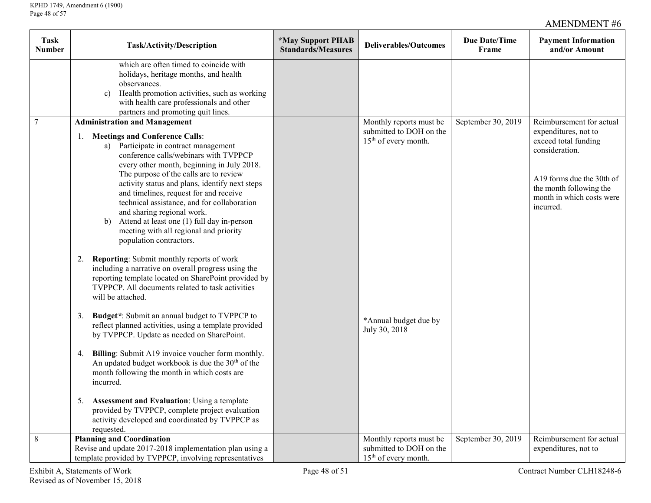| <b>Task</b><br><b>Number</b> | Task/Activity/Description                                                                                                                                                                                                                                                                                                                                                                                                                                                                                                                                                                                                                                                                                                                                                                              | *May Support PHAB<br><b>Standards/Measures</b> | <b>Deliverables/Outcomes</b>                                                           | <b>Due Date/Time</b><br>Frame | <b>Payment Information</b><br>and/or Amount                                                                                                                                                  |
|------------------------------|--------------------------------------------------------------------------------------------------------------------------------------------------------------------------------------------------------------------------------------------------------------------------------------------------------------------------------------------------------------------------------------------------------------------------------------------------------------------------------------------------------------------------------------------------------------------------------------------------------------------------------------------------------------------------------------------------------------------------------------------------------------------------------------------------------|------------------------------------------------|----------------------------------------------------------------------------------------|-------------------------------|----------------------------------------------------------------------------------------------------------------------------------------------------------------------------------------------|
|                              | which are often timed to coincide with<br>holidays, heritage months, and health<br>observances.<br>c) Health promotion activities, such as working<br>with health care professionals and other<br>partners and promoting quit lines.                                                                                                                                                                                                                                                                                                                                                                                                                                                                                                                                                                   |                                                |                                                                                        |                               |                                                                                                                                                                                              |
| $\overline{7}$               | <b>Administration and Management</b><br><b>Meetings and Conference Calls:</b><br>1.<br>a) Participate in contract management<br>conference calls/webinars with TVPPCP<br>every other month, beginning in July 2018.<br>The purpose of the calls are to review<br>activity status and plans, identify next steps<br>and timelines, request for and receive<br>technical assistance, and for collaboration<br>and sharing regional work.<br>Attend at least one (1) full day in-person<br>b)<br>meeting with all regional and priority                                                                                                                                                                                                                                                                   |                                                | Monthly reports must be<br>submitted to DOH on the<br>$15th$ of every month.           | September 30, 2019            | Reimbursement for actual<br>expenditures, not to<br>exceed total funding<br>consideration.<br>A19 forms due the 30th of<br>the month following the<br>month in which costs were<br>incurred. |
|                              | population contractors.<br>2. Reporting: Submit monthly reports of work<br>including a narrative on overall progress using the<br>reporting template located on SharePoint provided by<br>TVPPCP. All documents related to task activities<br>will be attached.<br>Budget*: Submit an annual budget to TVPPCP to<br>3.<br>reflect planned activities, using a template provided<br>by TVPPCP. Update as needed on SharePoint.<br>Billing: Submit A19 invoice voucher form monthly.<br>4.<br>An updated budget workbook is due the 30 <sup>th</sup> of the<br>month following the month in which costs are<br>incurred.<br><b>Assessment and Evaluation: Using a template</b><br>5.<br>provided by TVPPCP, complete project evaluation<br>activity developed and coordinated by TVPPCP as<br>requested. |                                                | *Annual budget due by<br>July 30, 2018                                                 |                               |                                                                                                                                                                                              |
| $\,8\,$                      | <b>Planning and Coordination</b><br>Revise and update 2017-2018 implementation plan using a<br>template provided by TVPPCP, involving representatives                                                                                                                                                                                                                                                                                                                                                                                                                                                                                                                                                                                                                                                  |                                                | Monthly reports must be<br>submitted to DOH on the<br>15 <sup>th</sup> of every month. | September 30, 2019            | Reimbursement for actual<br>expenditures, not to                                                                                                                                             |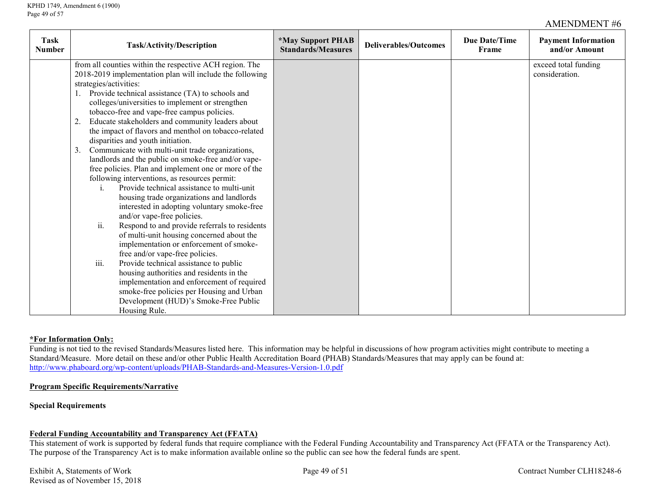| Task<br><b>Number</b> | Task/Activity/Description                                                                                                                                                                                                                                                                                                                                                                                                                                                                                                                                                                                                                                                                                                                                                                                                                                                                                                                                                                                                                                                                                                                                                                                                                     | <i><b>*May Support PHAB</b></i><br><b>Standards/Measures</b> | <b>Deliverables/Outcomes</b> | <b>Due Date/Time</b><br>Frame | <b>Payment Information</b><br>and/or Amount |
|-----------------------|-----------------------------------------------------------------------------------------------------------------------------------------------------------------------------------------------------------------------------------------------------------------------------------------------------------------------------------------------------------------------------------------------------------------------------------------------------------------------------------------------------------------------------------------------------------------------------------------------------------------------------------------------------------------------------------------------------------------------------------------------------------------------------------------------------------------------------------------------------------------------------------------------------------------------------------------------------------------------------------------------------------------------------------------------------------------------------------------------------------------------------------------------------------------------------------------------------------------------------------------------|--------------------------------------------------------------|------------------------------|-------------------------------|---------------------------------------------|
|                       | from all counties within the respective ACH region. The<br>2018-2019 implementation plan will include the following<br>strategies/activities:<br>Provide technical assistance (TA) to schools and<br>colleges/universities to implement or strengthen<br>tobacco-free and vape-free campus policies.<br>Educate stakeholders and community leaders about<br>the impact of flavors and menthol on tobacco-related<br>disparities and youth initiation.<br>Communicate with multi-unit trade organizations,<br>$\mathbf{3}$<br>landlords and the public on smoke-free and/or vape-<br>free policies. Plan and implement one or more of the<br>following interventions, as resources permit:<br>Provide technical assistance to multi-unit<br>housing trade organizations and landlords<br>interested in adopting voluntary smoke-free<br>and/or vape-free policies.<br>ii.<br>Respond to and provide referrals to residents<br>of multi-unit housing concerned about the<br>implementation or enforcement of smoke-<br>free and/or vape-free policies.<br>iii.<br>Provide technical assistance to public<br>housing authorities and residents in the<br>implementation and enforcement of required<br>smoke-free policies per Housing and Urban |                                                              |                              |                               | exceed total funding<br>consideration.      |
|                       | Development (HUD)'s Smoke-Free Public<br>Housing Rule.                                                                                                                                                                                                                                                                                                                                                                                                                                                                                                                                                                                                                                                                                                                                                                                                                                                                                                                                                                                                                                                                                                                                                                                        |                                                              |                              |                               |                                             |

### **\*For Information Only:**

Funding is not tied to the revised Standards/Measures listed here. This information may be helpful in discussions of how program activities might contribute to meeting a Standard/Measure. More detail on these and/or other Public Health Accreditation Board (PHAB) Standards/Measures that may apply can be found at: <http://www.phaboard.org/wp-content/uploads/PHAB-Standards-and-Measures-Version-1.0.pdf>

## **Program Specific Requirements/Narrative**

#### **Special Requirements**

### **Federal Funding Accountability and Transparency Act (FFATA)**

This statement of work is supported by federal funds that require compliance with the Federal Funding Accountability and Transparency Act (FFATA or the Transparency Act). The purpose of the Transparency Act is to make information available online so the public can see how the federal funds are spent.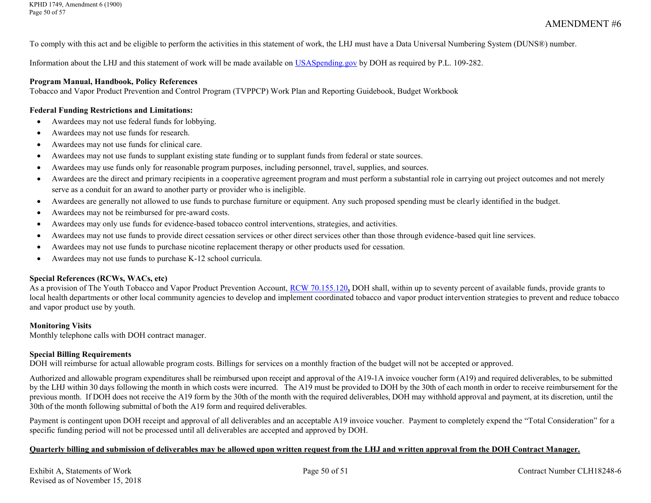To comply with this act and be eligible to perform the activities in this statement of work, the LHJ must have a Data Universal Numbering System (DUNS®) number.

Information about the LHJ and this statement of work will be made available on [USASpending.gov](https://www.usaspending.gov/#/) by DOH as required by P.L. 109-282.

#### **Program Manual, Handbook, Policy References**

Tobacco and Vapor Product Prevention and Control Program (TVPPCP) Work Plan and Reporting Guidebook, Budget Workbook

#### **Federal Funding Restrictions and Limitations:**

- Awardees may not use federal funds for lobbying.
- Awardees may not use funds for research.
- Awardees may not use funds for clinical care.
- Awardees may not use funds to supplant existing state funding or to supplant funds from federal or state sources.
- Awardees may use funds only for reasonable program purposes, including personnel, travel, supplies, and sources.
- Awardees are the direct and primary recipients in a cooperative agreement program and must perform a substantial role in carrying out project outcomes and not merely serve as a conduit for an award to another party or provider who is ineligible.
- Awardees are generally not allowed to use funds to purchase furniture or equipment. Any such proposed spending must be clearly identified in the budget.
- Awardees may not be reimbursed for pre-award costs.
- Awardees may only use funds for evidence-based tobacco control interventions, strategies, and activities.
- Awardees may not use funds to provide direct cessation services or other direct services other than those through evidence-based quit line services.
- Awardees may not use funds to purchase nicotine replacement therapy or other products used for cessation.
- Awardees may not use funds to purchase K-12 school curricula.

#### **Special References (RCWs, WACs, etc)**

As a provision of The Youth Tobacco and Vapor Product Prevention Account, [RCW 70.155.120](http://apps.leg.wa.gov/RCW/default.aspx?cite=70.155.120)**,** DOH shall, within up to seventy percent of available funds, provide grants to local health departments or other local community agencies to develop and implement coordinated tobacco and vapor product intervention strategies to prevent and reduce tobacco and vapor product use by youth.

#### **Monitoring Visits**

Monthly telephone calls with DOH contract manager.

#### **Special Billing Requirements**

DOH will reimburse for actual allowable program costs. Billings for services on a monthly fraction of the budget will not be accepted or approved.

Authorized and allowable program expenditures shall be reimbursed upon receipt and approval of the A19-1A invoice voucher form (A19) and required deliverables, to be submitted by the LHJ within 30 days following the month in which costs were incurred. The A19 must be provided to DOH by the 30th of each month in order to receive reimbursement for the previous month. If DOH does not receive the A19 form by the 30th of the month with the required deliverables, DOH may withhold approval and payment, at its discretion, until the 30th of the month following submittal of both the A19 form and required deliverables.

Payment is contingent upon DOH receipt and approval of all deliverables and an acceptable A19 invoice voucher. Payment to completely expend the "Total Consideration" for a specific funding period will not be processed until all deliverables are accepted and approved by DOH.

### **Quarterly billing and submission of deliverables may be allowed upon written request from the LHJ and written approval from the DOH Contract Manager.**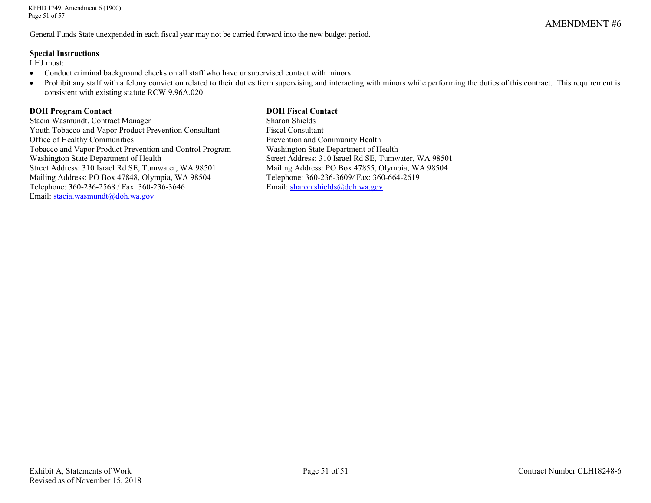KPHD 1749, Amendment 6 (1900) Page 51 of 57

General Funds State unexpended in each fiscal year may not be carried forward into the new budget period.

#### **Special Instructions**

LHJ must:

- Conduct criminal background checks on all staff who have unsupervised contact with minors
- Prohibit any staff with a felony conviction related to their duties from supervising and interacting with minors while performing the duties of this contract. This requirement is consistent with existing statute RCW 9.96A.020

# **DOH Program Contact**<br> **Contact Contract Manager**<br> **Contract Manager**<br> **Contract Manager**<br> **Contact Sharon Shields**

Stacia Wasmundt, Contract Manager Youth Tobacco and Vapor Product Prevention Consultant Fiscal Consultant Office of Healthy Communities<br>
Tobacco and Vapor Product Prevention and Control Program<br>
Washington State Department of Health Tobacco and Vapor Product Prevention and Control Program Washington State Department of Health Street Address: 310 Israel Rd SE, Tumwater, WA 98501 Mailing Address: PO Box 47848, Olympia, WA 98504 Telephone: 360-236-3609*/* Fax: 360-664-2619 Telephone: 360-236-2568 / Fax: 360-236-3646 Email: [sharon.shields@doh.wa.gov](mailto:sharon.shields@doh.wa.gov) Email: stacia.wasmundt@doh.wa.gov

Street Address: 310 Israel Rd SE, Tumwater, WA 98501<br>Mailing Address: PO Box 47855, Olympia, WA 98504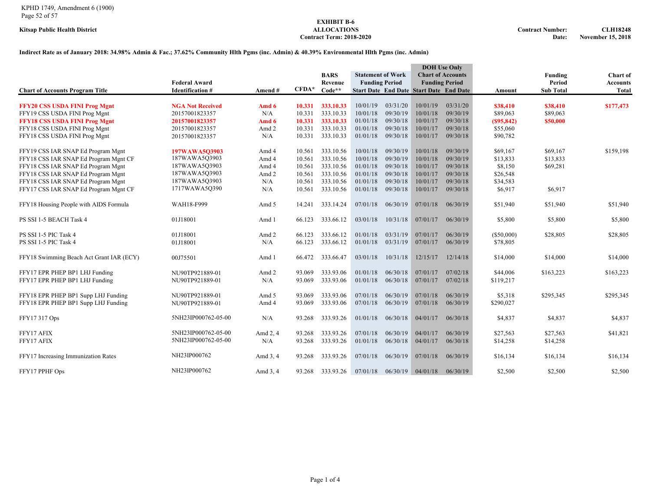## **EXHIBIT B-6 Contract Term: 2018-2020**

#### **Indirect Rate as of January 2018: 34.98% Admin & Fac.; 37.62% Community Hlth Pgms (inc. Admin) & 40.39% Environmental Hlth Pgms (inc. Admin)**

|                                                                |                                  |                |                  |                        |                      |                          |                                                | <b>DOH</b> Use Only      |                        |                      |                 |
|----------------------------------------------------------------|----------------------------------|----------------|------------------|------------------------|----------------------|--------------------------|------------------------------------------------|--------------------------|------------------------|----------------------|-----------------|
|                                                                |                                  |                |                  | <b>BARS</b>            |                      | <b>Statement of Work</b> |                                                | <b>Chart of Accounts</b> |                        | Funding              | <b>Chart of</b> |
|                                                                | <b>Federal Award</b>             |                |                  | Revenue                |                      | <b>Funding Period</b>    |                                                | <b>Funding Period</b>    |                        | Period               | <b>Accounts</b> |
| <b>Chart of Accounts Program Title</b>                         | <b>Identification #</b>          | Amend#         | $CFDA*$          | Code**                 |                      |                          | <b>Start Date End Date Start Date End Date</b> |                          | Amount                 | <b>Sub Total</b>     | Total           |
|                                                                |                                  |                |                  |                        | 10/01/19             | 03/31/20                 | 10/01/19                                       | 03/31/20                 |                        |                      |                 |
| <b>FFY20 CSS USDA FINI Prog Mgnt</b>                           | <b>NGA Not Received</b>          | Amd 6          | 10.331           | 333.10.33              |                      | 09/30/19                 |                                                |                          | \$38,410               | \$38,410             | \$177,473       |
| FFY19 CSS USDA FINI Prog Mgnt                                  | 20157001823357<br>20157001823357 | N/A            | 10.331<br>10.331 | 333.10.33<br>333.10.33 | 10/01/18<br>01/01/18 | 09/30/18                 | 10/01/18<br>10/01/17                           | 09/30/19<br>09/30/18     | \$89,063<br>(S95, 842) | \$89,063<br>\$50,000 |                 |
| FFY18 CSS USDA FINI Prog Mgnt<br>FFY18 CSS USDA FINI Prog Mgnt | 20157001823357                   | Amd 6<br>Amd 2 | 10.331           | 333.10.33              | 01/01/18             | 09/30/18                 | 10/01/17                                       | 09/30/18                 | \$55,060               |                      |                 |
| FFY18 CSS USDA FINI Prog Mgnt                                  | 20157001823357                   | N/A            | 10.331           | 333.10.33              | 01/01/18             | 09/30/18                 | 10/01/17                                       | 09/30/18                 | \$90,782               |                      |                 |
|                                                                |                                  |                |                  |                        |                      |                          |                                                |                          |                        |                      |                 |
| FFY19 CSS IAR SNAP Ed Program Mgnt                             | 197WAWA503903                    | Amd 4          | 10.561           | 333.10.56              | 10/01/18             | 09/30/19                 | 10/01/18                                       | 09/30/19                 | \$69,167               | \$69,167             | \$159,198       |
| FFY18 CSS IAR SNAP Ed Program Mgnt CF                          | 187WAWA5Q3903                    | Amd 4          | 10.561           | 333.10.56              | 10/01/18             | 09/30/19                 | 10/01/18                                       | 09/30/19                 | \$13,833               | \$13,833             |                 |
| FFY18 CSS IAR SNAP Ed Program Mgnt                             | 187WAWA5Q3903                    | Amd 4          | 10.561           | 333.10.56              | 01/01/18             | 09/30/18                 | 10/01/17                                       | 09/30/18                 | \$8,150                | \$69,281             |                 |
| FFY18 CSS IAR SNAP Ed Program Mgnt                             | 187WAWA5Q3903                    | Amd 2          | 10.561           | 333.10.56              | 01/01/18             | 09/30/18                 | 10/01/17                                       | 09/30/18                 | \$26,548               |                      |                 |
| FFY18 CSS IAR SNAP Ed Program Mgnt                             | 187WAWA5Q3903                    | N/A            | 10.561           | 333.10.56              | 01/01/18             | 09/30/18                 | 10/01/17                                       | 09/30/18                 | \$34,583               |                      |                 |
| FFY17 CSS IAR SNAP Ed Program Mgnt CF                          | 1717WAWA5Q390                    | N/A            | 10.561           | 333.10.56              | 01/01/18             | 09/30/18                 | 10/01/17                                       | 09/30/18                 | \$6,917                | \$6,917              |                 |
|                                                                |                                  |                |                  |                        |                      |                          |                                                |                          |                        |                      |                 |
| FFY18 Housing People with AIDS Formula                         | WAH18-F999                       | Amd 5          | 14.241           | 333.14.24              | 07/01/18             | 06/30/19                 | 07/01/18                                       | 06/30/19                 | \$51,940               | \$51,940             | \$51,940        |
| PS SSI 1-5 BEACH Task 4                                        | 01J18001                         | Amd 1          | 66.123           | 333.66.12              | 03/01/18             | 10/31/18                 | 07/01/17                                       | 06/30/19                 | \$5,800                | \$5,800              | \$5,800         |
|                                                                |                                  |                |                  |                        |                      |                          |                                                |                          |                        |                      |                 |
| PS SSI 1-5 PIC Task 4                                          | 01J18001                         | Amd 2          | 66.123           | 333.66.12              | 01/01/18             | 03/31/19                 | 07/01/17                                       | 06/30/19                 | $(\$50,000)$           | \$28,805             | \$28,805        |
| PS SSI 1-5 PIC Task 4                                          | 01J18001                         | N/A            | 66.123           | 333.66.12              | 01/01/18             | 03/31/19                 | 07/01/17                                       | 06/30/19                 | \$78,805               |                      |                 |
|                                                                |                                  |                |                  |                        |                      |                          |                                                |                          |                        |                      |                 |
| FFY18 Swimming Beach Act Grant IAR (ECY)                       | 00J75501                         | Amd 1          | 66.472           | 333.66.47              | 03/01/18             | 10/31/18                 | 12/15/17                                       | 12/14/18                 | \$14,000               | \$14,000             | \$14,000        |
| FFY17 EPR PHEP BP1 LHJ Funding                                 | NU90TP921889-01                  | Amd 2          | 93.069           | 333.93.06              | 01/01/18             | 06/30/18                 | 07/01/17                                       | 07/02/18                 | \$44,006               | \$163,223            | \$163,223       |
| FFY17 EPR PHEP BP1 LHJ Funding                                 | NU90TP921889-01                  | N/A            | 93.069           | 333.93.06              | 01/01/18             | 06/30/18                 | 07/01/17                                       | 07/02/18                 | \$119,217              |                      |                 |
|                                                                |                                  |                |                  |                        |                      |                          |                                                |                          |                        |                      |                 |
| FFY18 EPR PHEP BP1 Supp LHJ Funding                            | NU90TP921889-01                  | Amd 5          | 93.069           | 333.93.06              | 07/01/18             | 06/30/19                 | 07/01/18                                       | 06/30/19                 | \$5,318                | \$295,345            | \$295,345       |
| FFY18 EPR PHEP BP1 Supp LHJ Funding                            | NU90TP921889-01                  | Amd 4          | 93.069           | 333.93.06              | 07/01/18             | 06/30/19                 | 07/01/18                                       | 06/30/19                 | \$290,027              |                      |                 |
|                                                                |                                  |                |                  |                        |                      |                          |                                                |                          |                        |                      |                 |
| FFY17 317 Ops                                                  | 5NH23IP000762-05-00              | N/A            | 93.268           | 333.93.26              | 01/01/18             | 06/30/18                 | 04/01/17                                       | 06/30/18                 | \$4,837                | \$4,837              | \$4,837         |
| FFY17 AFIX                                                     | 5NH23IP000762-05-00              | Amd 2, 4       | 93.268           | 333.93.26              | 07/01/18             | 06/30/19                 | 04/01/17                                       | 06/30/19                 | \$27,563               | \$27,563             | \$41,821        |
| FFY17 AFIX                                                     | 5NH23IP000762-05-00              | N/A            | 93.268           | 333.93.26              | 01/01/18             | 06/30/18                 | 04/01/17                                       | 06/30/18                 | \$14,258               | \$14,258             |                 |
|                                                                |                                  |                |                  |                        |                      |                          |                                                |                          |                        |                      |                 |
| FFY17 Increasing Immunization Rates                            | NH23IP000762                     | Amd 3, 4       | 93.268           | 333.93.26              | 07/01/18             | 06/30/19                 | 07/01/18                                       | 06/30/19                 | \$16,134               | \$16,134             | \$16,134        |
|                                                                |                                  |                |                  |                        |                      |                          |                                                |                          |                        |                      |                 |
| FFY17 PPHF Ops                                                 | NH23IP000762                     | Amd 3, 4       | 93.268           | 333.93.26              | 07/01/18             | 06/30/19                 | 04/01/18                                       | 06/30/19                 | \$2.500                | \$2,500              | \$2.500         |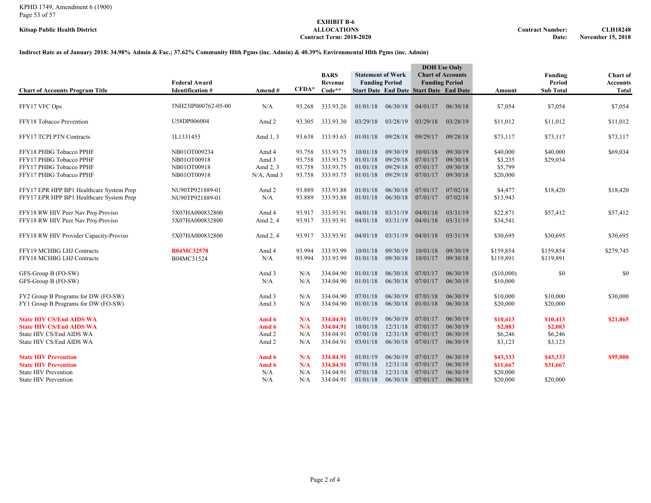## **EXHIBIT B-6 Contract Term: 2018-2020**

#### **Indirect Rate as of January 2018: 34.98% Admin & Fac.; 37.62% Community Hlth Pgms (inc. Admin) & 40.39% Environmental Hlth Pgms (inc. Admin)**

| <b>Chart of Accounts Program Title</b>                                                                                     | <b>Federal Award</b><br><b>Identification #</b>           | Amend#                                      | $CFDA*$                              | <b>BARS</b><br>Revenue<br>$Code**$               |                                              | <b>Statement of Work</b><br><b>Funding Period</b> | <b>Start Date End Date Start Date End Date</b> | <b>DOH</b> Use Only<br><b>Chart of Accounts</b><br><b>Funding Period</b> | Amount                                       | Funding<br>Period<br><b>Sub Total</b>     | Chart of<br><b>Accounts</b><br><b>Total</b> |
|----------------------------------------------------------------------------------------------------------------------------|-----------------------------------------------------------|---------------------------------------------|--------------------------------------|--------------------------------------------------|----------------------------------------------|---------------------------------------------------|------------------------------------------------|--------------------------------------------------------------------------|----------------------------------------------|-------------------------------------------|---------------------------------------------|
| FFY17 VFC Ops                                                                                                              | 5NH23IP000762-05-00                                       | N/A                                         | 93.268                               | 333.93.26                                        | 01/01/18                                     | 06/30/18                                          | 04/01/17                                       | 06/30/18                                                                 | \$7,054                                      | \$7,054                                   | \$7,054                                     |
| FFY18 Tobacco Prevention                                                                                                   | U58DP006004                                               | Amd 2                                       | 93.305                               | 333.93.30                                        | 03/29/18                                     | 03/28/19                                          | 03/29/18                                       | 03/28/19                                                                 | \$11,012                                     | \$11,012                                  | \$11,012                                    |
| FFY17 TCPI PTN Contracts                                                                                                   | 1L1331455                                                 | Amd 1, 3                                    | 93.638                               | 333.93.63                                        | 01/01/18                                     | 09/28/18                                          | 09/29/17                                       | 09/28/18                                                                 | \$73,117                                     | \$73,117                                  | \$73,117                                    |
| FFY18 PHBG Tobacco PPHF<br>FFY17 PHBG Tobacco PPHF<br>FFY17 PHBG Tobacco PPHF<br>FFY17 PHBG Tobacco PPHF                   | NB01OT009234<br>NB01OT00918<br>NB01OT00918<br>NB01OT00918 | Amd 4<br>Amd 3<br>Amd 2, 3<br>$N/A$ , Amd 3 | 93.758<br>93.758<br>93.758<br>93.758 | 333.93.75<br>333.93.75<br>333.93.75<br>333.93.75 | 10/01/18<br>01/01/18<br>01/01/18<br>01/01/18 | 09/30/19<br>09/29/18<br>09/29/18<br>09/29/18      | 10/01/18<br>07/01/17<br>07/01/17<br>07/01/17   | 09/30/19<br>09/30/18<br>09/30/18<br>09/30/18                             | \$40,000<br>\$3,235<br>\$5,799<br>\$20,000   | \$40,000<br>\$29,034                      | \$69,034                                    |
| FFY17 EPR HPP BP1 Healthcare System Prep<br>FFY17 EPR HPP BP1 Healthcare System Prep                                       | NU90TP921889-01<br>NU90TP921889-01                        | Amd 2<br>N/A                                | 93.889<br>93.889                     | 333.93.88<br>333.93.88                           | 01/01/18<br>01/01/18                         | 06/30/18<br>06/30/18                              | 07/01/17<br>07/01/17                           | 07/02/18<br>07/02/18                                                     | \$4,477<br>\$13,943                          | \$18,420                                  | \$18,420                                    |
| FFY18 RW HIV Peer Nav Proj-Proviso<br>FFY18 RW HIV Peer Nav Proj-Proviso                                                   | 5X07HA000832800<br>5X07HA000832800                        | Amd 4<br>Amd 2, 4                           | 93.917<br>93.917                     | 333.93.91<br>333.93.91                           | 04/01/18<br>04/01/18                         | 03/31/19<br>03/31/19                              | 04/01/18<br>04/01/18                           | 03/31/19<br>03/31/19                                                     | \$22,871<br>\$34,541                         | \$57,412                                  | \$57,412                                    |
| FFY18 RW HIV Provider Capacity-Proviso                                                                                     | 5X07HA000832800                                           | Amd 2, 4                                    | 93.917                               | 333.93.91                                        | 04/01/18                                     | 03/31/19                                          | 04/01/18                                       | 03/31/19                                                                 | \$30,695                                     | \$30,695                                  | \$30,695                                    |
| FFY19 MCHBG LHJ Contracts<br>FFY18 MCHBG LHJ Contracts                                                                     | <b>B04MC32578</b><br>B04MC31524                           | Amd 4<br>N/A                                | 93.994<br>93.994                     | 333.93.99<br>333.93.99                           | 10/01/18<br>01/01/18                         | 09/30/19<br>09/30/18                              | 10/01/18<br>10/01/17                           | 09/30/19<br>09/30/18                                                     | \$159,854<br>\$119,891                       | \$159,854<br>\$119,891                    | \$279,745                                   |
| GFS-Group B (FO-SW)<br>GFS-Group B (FO-SW)                                                                                 |                                                           | Amd 3<br>N/A                                | N/A<br>N/A                           | 334.04.90<br>334.04.90                           | 01/01/18<br>01/01/18                         | 06/30/18<br>06/30/18                              | 07/01/17<br>07/01/17                           | 06/30/19<br>06/30/19                                                     | (\$10,000)<br>\$10,000                       | \$0                                       | \$0                                         |
| FY2 Group B Programs for DW (FO-SW)<br>FY1 Group B Programs for DW (FO-SW)                                                 |                                                           | Amd 3<br>Amd 3                              | N/A<br>N/A                           | 334.04.90<br>334.04.90                           | 07/01/18<br>01/01/18                         | 06/30/19<br>06/30/18                              | 07/01/18<br>01/01/18                           | 06/30/19<br>06/30/18                                                     | \$10,000<br>\$20,000                         | \$10,000<br>\$20,000                      | \$30,000                                    |
| <b>State HIV CS/End AIDS WA</b><br><b>State HIV CS/End AIDS WA</b><br>State HIV CS/End AIDS WA<br>State HIV CS/End AIDS WA |                                                           | Amd 6<br>Amd 6<br>Amd 2<br>Amd 2            | N/A<br>N/A<br>N/A<br>N/A             | 334.04.91<br>334.04.91<br>334.04.91<br>334.04.91 | 01/01/19<br>10/01/18<br>07/01/18<br>03/01/18 | 06/30/19<br>12/31/18<br>12/31/18<br>06/30/18      | 07/01/17<br>07/01/17<br>07/01/17<br>07/01/17   | 06/30/19<br>06/30/19<br>06/30/19<br>06/30/19                             | \$10,413<br>\$2,083<br>\$6,246<br>\$3,123    | \$10,413<br>\$2,083<br>\$6,246<br>\$3,123 | \$21,865                                    |
| <b>State HIV Prevention</b><br><b>State HIV Prevention</b><br><b>State HIV Prevention</b><br><b>State HIV Prevention</b>   |                                                           | Amd 6<br>Amd 6<br>N/A<br>N/A                | N/A<br>N/A<br>N/A<br>N/A             | 334.04.91<br>334.04.91<br>334.04.91<br>334.04.91 | 01/01/19<br>07/01/18<br>07/01/18<br>01/01/18 | 06/30/19<br>12/31/18<br>12/31/18<br>06/30/18      | 07/01/17<br>07/01/17<br>07/01/17<br>07/01/17   | 06/30/19<br>06/30/19<br>06/30/19<br>06/30/19                             | \$43,333<br>\$11,667<br>\$20,000<br>\$20,000 | \$43,333<br>\$31,667<br>\$20,000          | \$95,000                                    |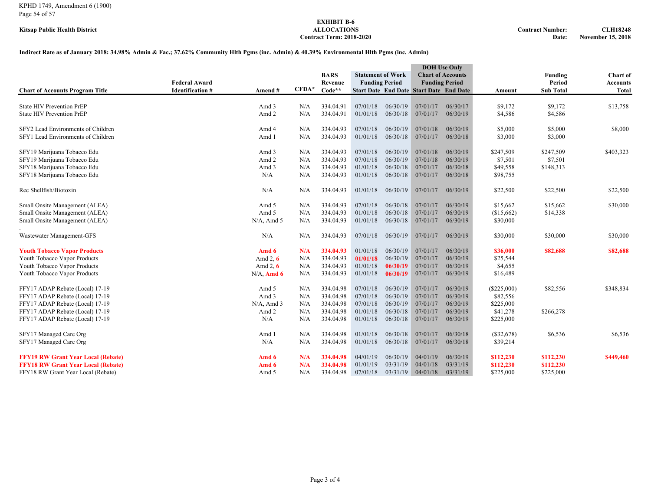#### KPHD 1749, Amendment 6 (1900) Page 54 of 57

## **EXHIBIT B-6**  $Contract Term: 2018-2020$

#### **Indirect Rate as of January 2018: 34.98% Admin & Fac.; 37.62% Community Hlth Pgms (inc. Admin) & 40.39% Environmental Hlth Pgms (inc. Admin)**

| <b>Chart of Accounts Program Title</b>                                   | <b>Federal Award</b><br><b>Identification #</b> | Amend#         | $\mathbf{CFDA}^*$ | <b>BARS</b><br>Revenue<br>$Code**$ |                      | <b>Statement of Work</b><br><b>Funding Period</b> | <b>Start Date End Date Start Date End Date</b> | <b>DOH</b> Use Only<br><b>Chart of Accounts</b><br><b>Funding Period</b> | Amount               | Funding<br>Period<br><b>Sub Total</b> | Chart of<br><b>Accounts</b><br><b>Total</b> |
|--------------------------------------------------------------------------|-------------------------------------------------|----------------|-------------------|------------------------------------|----------------------|---------------------------------------------------|------------------------------------------------|--------------------------------------------------------------------------|----------------------|---------------------------------------|---------------------------------------------|
|                                                                          |                                                 |                |                   |                                    |                      |                                                   |                                                |                                                                          |                      |                                       |                                             |
| <b>State HIV Prevention PrEP</b><br><b>State HIV Prevention PrEP</b>     |                                                 | Amd 3<br>Amd 2 | N/A<br>N/A        | 334.04.91<br>334.04.91             | 07/01/18<br>01/01/18 | 06/30/19<br>06/30/18                              | 07/01/17<br>07/01/17                           | 06/30/17<br>06/30/19                                                     | \$9,172<br>\$4,586   | \$9,172<br>\$4,586                    | \$13,758                                    |
| SFY2 Lead Environments of Children<br>SFY1 Lead Environments of Children |                                                 | Amd 4<br>Amd 1 | N/A<br>N/A        | 334.04.93<br>334.04.93             | 07/01/18<br>01/01/18 | 06/30/19<br>06/30/18                              | 07/01/18<br>07/01/17                           | 06/30/19<br>06/30/18                                                     | \$5,000<br>\$3,000   | \$5,000<br>\$3,000                    | \$8,000                                     |
| SFY19 Marijuana Tobacco Edu                                              |                                                 | Amd 3          | N/A               | 334.04.93                          | 07/01/18             | 06/30/19                                          | 07/01/18                                       | 06/30/19                                                                 | \$247,509            | \$247,509                             | \$403,323                                   |
| SFY19 Marijuana Tobacco Edu                                              |                                                 | Amd 2          | N/A               | 334.04.93                          | 07/01/18             | 06/30/19                                          | 07/01/18                                       | 06/30/19                                                                 | \$7,501              | \$7,501                               |                                             |
| SFY18 Marijuana Tobacco Edu<br>SFY18 Marijuana Tobacco Edu               |                                                 | Amd 3<br>N/A   | N/A<br>N/A        | 334.04.93<br>334.04.93             | 01/01/18<br>01/01/18 | 06/30/18<br>06/30/18                              | 07/01/17<br>07/01/17                           | 06/30/18<br>06/30/18                                                     | \$49,558<br>\$98,755 | \$148,313                             |                                             |
| Rec Shellfish/Biotoxin                                                   |                                                 | N/A            | N/A               | 334.04.93                          | 01/01/18             | 06/30/19                                          | 07/01/17                                       | 06/30/19                                                                 | \$22,500             | \$22,500                              | \$22,500                                    |
| Small Onsite Management (ALEA)                                           |                                                 | Amd 5          | N/A               | 334.04.93                          | 07/01/18             | 06/30/18                                          | 07/01/17                                       | 06/30/19                                                                 | \$15,662             | \$15,662                              | \$30,000                                    |
| Small Onsite Management (ALEA)                                           |                                                 | Amd 5          | N/A               | 334.04.93                          | 01/01/18             | 06/30/18                                          | 07/01/17                                       | 06/30/19                                                                 | (\$15,662)           | \$14,338                              |                                             |
| Small Onsite Management (ALEA)                                           |                                                 | $N/A$ , Amd 5  | N/A               | 334.04.93                          | 01/01/18             | 06/30/18                                          | 07/01/17                                       | 06/30/19                                                                 | \$30,000             |                                       |                                             |
| Wastewater Management-GFS                                                |                                                 | N/A            | N/A               | 334.04.93                          | 07/01/18             | 06/30/19                                          | 07/01/17                                       | 06/30/19                                                                 | \$30,000             | \$30,000                              | \$30,000                                    |
| <b>Youth Tobacco Vapor Products</b>                                      |                                                 | Amd 6          | N/A               | 334.04.93                          | 01/01/18             | 06/30/19                                          | 07/01/17                                       | 06/30/19                                                                 | \$36,000             | \$82,688                              | \$82,688                                    |
| Youth Tobacco Vapor Products                                             |                                                 | Amd $2, 6$     | N/A               | 334.04.93                          | 01/01/18             | 06/30/19                                          | 07/01/17                                       | 06/30/19                                                                 | \$25,544             |                                       |                                             |
| Youth Tobacco Vapor Products                                             |                                                 | Amd 2, $6$     | N/A               | 334.04.93                          | 01/01/18             | 06/30/19                                          | 07/01/17                                       | 06/30/19                                                                 | \$4,655              |                                       |                                             |
| Youth Tobacco Vapor Products                                             |                                                 | $N/A$ , Amd 6  | N/A               | 334.04.93                          | 01/01/18             | 06/30/19                                          | 07/01/17                                       | 06/30/19                                                                 | \$16,489             |                                       |                                             |
| FFY17 ADAP Rebate (Local) 17-19                                          |                                                 | Amd 5          | N/A               | 334.04.98                          | 07/01/18             | 06/30/19                                          | 07/01/17                                       | 06/30/19                                                                 | $(\$225,000)$        | \$82,556                              | \$348,834                                   |
| FFY17 ADAP Rebate (Local) 17-19                                          |                                                 | Amd 3          | N/A               | 334.04.98                          | 07/01/18             | 06/30/19                                          | 07/01/17                                       | 06/30/19                                                                 | \$82,556             |                                       |                                             |
| FFY17 ADAP Rebate (Local) 17-19                                          |                                                 | $N/A$ , Amd 3  | N/A               | 334.04.98                          | 07/01/18             | 06/30/19                                          | 07/01/17                                       | 06/30/19                                                                 | \$225,000            |                                       |                                             |
| FFY17 ADAP Rebate (Local) 17-19                                          |                                                 | Amd 2          | N/A               | 334.04.98                          | 01/01/18             | 06/30/18                                          | 07/01/17                                       | 06/30/19                                                                 | \$41,278             | \$266,278                             |                                             |
| FFY17 ADAP Rebate (Local) 17-19                                          |                                                 | N/A            | N/A               | 334.04.98                          | 01/01/18             | 06/30/18                                          | 07/01/17                                       | 06/30/19                                                                 | \$225,000            |                                       |                                             |
| SFY17 Managed Care Org                                                   |                                                 | Amd 1          | N/A               | 334.04.98                          | 01/01/18             | 06/30/18                                          | 07/01/17                                       | 06/30/18                                                                 | (\$32,678)           | \$6,536                               | \$6,536                                     |
| SFY17 Managed Care Org                                                   |                                                 | N/A            | N/A               | 334.04.98                          | 01/01/18             | 06/30/18                                          | 07/01/17                                       | 06/30/18                                                                 | \$39,214             |                                       |                                             |
| <b>FFY19 RW Grant Year Local (Rebate)</b>                                |                                                 | Amd 6          | N/A               | 334.04.98                          | 04/01/19             | 06/30/19                                          | 04/01/19                                       | 06/30/19                                                                 | \$112,230            | \$112,230                             | \$449,460                                   |
| <b>FFY18 RW Grant Year Local (Rebate)</b>                                |                                                 | Amd 6          | N/A               | 334.04.98                          | 01/01/19             | 03/31/19                                          | 04/01/18                                       | 03/31/19                                                                 | \$112,230            | \$112,230                             |                                             |
| FFY18 RW Grant Year Local (Rebate)                                       |                                                 | Amd 5          | N/A               | 334.04.98                          | 07/01/18             | 03/31/19                                          | 04/01/18                                       | 03/31/19                                                                 | \$225,000            | \$225,000                             |                                             |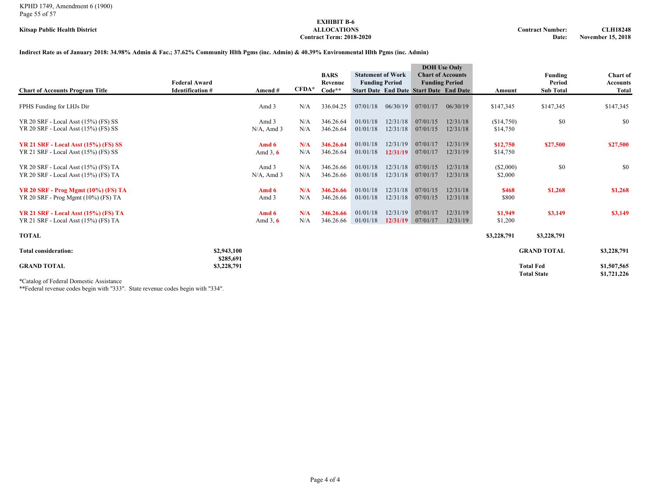#### KPHD 1749, Amendment 6 (1900) Page 55 of 57

## **EXHIBIT B-6 Contract Term: 2018-2020**

#### **Indirect Rate as of January 2018: 34.98% Admin & Fac.; 37.62% Community Hlth Pgms (inc. Admin) & 40.39% Environmental Hlth Pgms (inc. Admin)**

|                                                                                     | <b>Federal Award</b>     |                        |            | <b>BARS</b><br>Revenue | <b>Statement of Work</b><br><b>Funding Period</b> |                      | <b>DOH</b> Use Only<br><b>Chart of Accounts</b><br><b>Funding Period</b> |                      |                        | Funding<br>Period                      | Chart of<br><b>Accounts</b> |
|-------------------------------------------------------------------------------------|--------------------------|------------------------|------------|------------------------|---------------------------------------------------|----------------------|--------------------------------------------------------------------------|----------------------|------------------------|----------------------------------------|-----------------------------|
| <b>Chart of Accounts Program Title</b>                                              | <b>Identification #</b>  | Amend#                 | $CFDA*$    | Code**                 |                                                   |                      | <b>Start Date End Date Start Date End Date</b>                           |                      | Amount                 | <b>Sub Total</b>                       | <b>Total</b>                |
| FPHS Funding for LHJs Dir                                                           |                          | Amd 3                  | N/A        | 336.04.25              | 07/01/18                                          | 06/30/19             | 07/01/17                                                                 | 06/30/19             | \$147,345              | \$147,345                              | \$147,345                   |
| YR 20 SRF - Local Asst (15%) (FS) SS<br>YR 20 SRF - Local Asst (15%) (FS) SS        |                          | Amd 3<br>$N/A$ , Amd 3 | N/A<br>N/A | 346.26.64<br>346.26.64 | 01/01/18<br>01/01/18                              | 12/31/18<br>12/31/18 | 07/01/15<br>07/01/15                                                     | 12/31/18<br>12/31/18 | (\$14,750)<br>\$14,750 | \$0                                    | \$0                         |
| <b>YR 21 SRF - Local Asst (15%) (FS) SS</b><br>YR 21 SRF - Local Asst (15%) (FS) SS |                          | Amd 6<br>Amd $3, 6$    | N/A<br>N/A | 346.26.64<br>346.26.64 | 01/01/18<br>01/01/18                              | 12/31/19<br>12/31/19 | 07/01/17<br>07/01/17                                                     | 12/31/19<br>12/31/19 | \$12,750<br>\$14,750   | \$27,500                               | \$27,500                    |
| YR 20 SRF - Local Asst (15%) (FS) TA<br>YR 20 SRF - Local Asst (15%) (FS) TA        |                          | Amd 3<br>$N/A$ , Amd 3 | N/A<br>N/A | 346.26.66<br>346.26.66 | 01/01/18<br>01/01/18                              | 12/31/18<br>12/31/18 | 07/01/15<br>07/01/17                                                     | 12/31/18<br>12/31/18 | $(\$2,000)$<br>\$2,000 | \$0                                    | \$0                         |
| <b>YR 20 SRF - Prog Mgmt (10%) (FS) TA</b><br>YR 20 SRF - Prog Mgmt (10%) (FS) TA   |                          | Amd 6<br>Amd 3         | N/A<br>N/A | 346.26.66<br>346.26.66 | 01/01/18<br>01/01/18                              | 12/31/18<br>12/31/18 | 07/01/15<br>07/01/15                                                     | 12/31/18<br>12/31/18 | \$468<br>\$800         | \$1,268                                | \$1,268                     |
| <b>YR 21 SRF - Local Asst (15%) (FS) TA</b><br>YR 21 SRF - Local Asst (15%) (FS) TA |                          | Amd 6<br>Amd $3, 6$    | N/A<br>N/A | 346.26.66<br>346.26.66 | 01/01/18<br>01/01/18                              | 12/31/19<br>12/31/19 | 07/01/17<br>07/01/17                                                     | 12/31/19<br>12/31/19 | \$1,949<br>\$1,200     | \$3,149                                | \$3,149                     |
| <b>TOTAL</b>                                                                        |                          |                        |            |                        |                                                   |                      |                                                                          |                      | \$3,228,791            | \$3,228,791                            |                             |
| <b>Total consideration:</b>                                                         | \$2,943,100              |                        |            |                        |                                                   |                      |                                                                          |                      |                        | <b>GRAND TOTAL</b>                     | \$3,228,791                 |
| <b>GRAND TOTAL</b>                                                                  | \$285,691<br>\$3,228,791 |                        |            |                        |                                                   |                      |                                                                          |                      |                        | <b>Total Fed</b><br><b>Total State</b> | \$1,507,565<br>\$1,721,226  |

\*Catalog of Federal Domestic Assistance

\*\*Federal revenue codes begin with "333". State revenue codes begin with "334".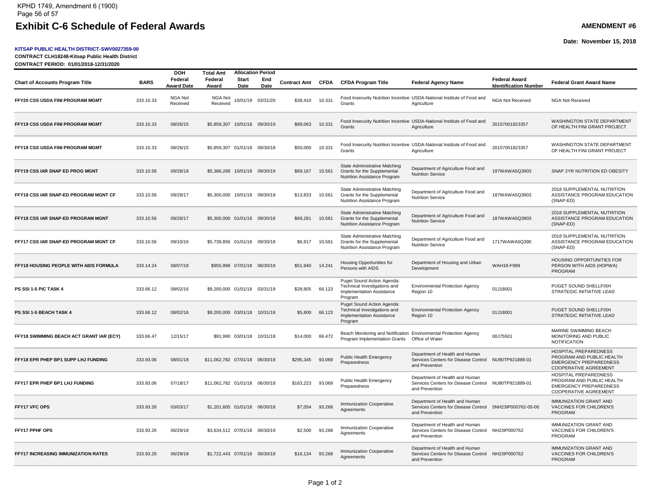#### Exhibit C-6 Schedule of Federal Awards **AMENT AMENT #6** AMENDMENT #6 KPHD 1749, Amendment 6 (1900) Page 56 of 57

#### **KITSAP PUBLIC HEALTH DISTRICT-SWV0027359-00**

**CONTRACT CLH18248-Kitsap Public Health District**

**CONTRACT PERIOD: 01/01/2018-12/31/2020**

#### **Date: November 15, 2018**

|                                          |             | <b>DOH</b><br>Federal      | <b>Total Amt</b><br>Federal    | Start | <b>Allocation Period</b><br>End |                     |             |                                                                                                           |                                                                                                          | <b>Federal Award</b>         |                                                                                                                            |
|------------------------------------------|-------------|----------------------------|--------------------------------|-------|---------------------------------|---------------------|-------------|-----------------------------------------------------------------------------------------------------------|----------------------------------------------------------------------------------------------------------|------------------------------|----------------------------------------------------------------------------------------------------------------------------|
| <b>Chart of Accounts Program Title</b>   | <b>BARS</b> | Award Date                 | Award                          | Date  | Date                            | <b>Contract Amt</b> | <b>CFDA</b> | <b>CFDA Program Title</b>                                                                                 | <b>Federal Agency Name</b>                                                                               | <b>Identification Number</b> | <b>Federal Grant Award Name</b>                                                                                            |
| FFY20 CSS USDA FINI PROGRAM MGMT         | 333.10.33   | <b>NGA Not</b><br>Received | NGA Not<br>Received            |       | 10/01/19 03/31/20               | \$38,410            | 10.331      | Grants                                                                                                    | Food Insecurity Nutrition Incentive USDA-National Institute of Food and<br>Agriculture                   | NGA Not Received             | <b>NGA Not Received</b>                                                                                                    |
| FFY19 CSS USDA FINI PROGRAM MGMT         | 333.10.33   | 08/26/15                   | \$5,859,307 10/01/18 09/30/19  |       |                                 | \$89,063            | 10.331      | Grants                                                                                                    | Food Insecurity Nutrition Incentive USDA-National Institute of Food and<br>Agriculture                   | 20157001823357               | WASHINGTON STATE DEPARTMENT<br>OF HEALTH FINI GRANT PROJECT                                                                |
| FFY18 CSS USDA FINI PROGRAM MGMT         | 333.10.33   | 08/26/15                   | \$5,859,307 01/01/18 09/30/18  |       |                                 | \$50,000            | 10.331      | Grants                                                                                                    | Food Insecurity Nutrition Incentive USDA-National Institute of Food and<br>Agriculture                   | 20157001823357               | WASHINGTON STATE DEPARTMENT<br>OF HEALTH FINI GRANT PROJECT                                                                |
| FFY19 CSS IAR SNAP ED PROG MGNT          | 333.10.56   | 09/28/18                   | \$5,386,268 10/01/18 09/30/19  |       |                                 | \$69,167            | 10.561      | State Administrative Matching<br>Grants for the Supplemental<br>Nutrition Assistance Program              | Department of Agriculture Food and<br><b>Nutrition Service</b>                                           | 197WAWA5Q3903                | SNAP 2YR NUTRITION ED OBESITY                                                                                              |
| FFY18 CSS IAR SNAP-ED PROGRAM MGNT CF    | 333.10.56   | 09/28/17                   | \$5,300,000 10/01/18 09/30/19  |       |                                 | \$13,833            | 10.561      | State Administrative Matching<br>Grants for the Supplemental<br>Nutrition Assistance Program              | Department of Agriculture Food and<br><b>Nutrition Service</b>                                           | 187WAWA5Q3903                | 2018 SUPPLEMENTAL NUTRITION<br>ASSISTANCE PROGRAM EDUCATION<br>(SNAP-ED)                                                   |
| FFY18 CSS IAR SNAP-ED PROGRAM MGNT       | 333.10.56   | 09/28/17                   | \$5,300,000 01/01/18 09/30/18  |       |                                 | \$69,281            | 10.561      | State Administrative Matching<br>Grants for the Supplemental<br>Nutrition Assistance Program              | Department of Agriculture Food and<br><b>Nutrition Service</b>                                           | 187WAWA5Q3903                | 2018 SUPPLEMENTAL NUTRITION<br>ASSISTANCE PROGRAM EDUCATION<br>(SNAP-ED)                                                   |
| FFY17 CSS IAR SNAP-ED PROGRAM MGNT CF    | 333.10.56   | 09/10/16                   | \$5,739,856 01/01/18 09/30/18  |       |                                 | \$6,917             | 10.561      | State Administrative Matching<br>Grants for the Supplemental<br>Nutrition Assistance Program              | Department of Agriculture Food and<br><b>Nutrition Service</b>                                           | 1717WAWA5Q390                | 2018 SUPPLEMENTAL NUTRITION<br>ASSISTANCE PROGRAM EDUCATION<br>(SNAP-ED)                                                   |
| FFY18 HOUSING PEOPLE WITH AIDS FORMULA   | 333.14.24   | 08/07/18                   |                                |       | \$955,996 07/01/18 06/30/19     | \$51,940            | 14.241      | Housing Opportunities for<br>Persons with AIDS                                                            | Department of Housing and Urban<br>Development                                                           | WAH18-F999                   | HOUSING OPPORTUNITIES FOR<br>PERSON WITH AIDS (HOPWA)<br>PROGRAM                                                           |
| PS SSI 1-5 PIC TASK 4                    | 333.66.12   | 08/02/16                   | \$9,200,000 01/01/18 03/31/19  |       |                                 | \$28,805            | 66.123      | Puget Sound Action Agenda:<br>Technical Investigations and<br><b>Implementation Assistance</b><br>Program | <b>Environmental Protection Agency</b><br>Region 10                                                      | 01J18001                     | PUGET SOUND SHELLFISH<br>STRATEGIC INITIATIVE LEAD                                                                         |
| PS SSI 1-5 BEACH TASK 4                  | 333.66.12   | 08/02/16                   | \$9,200,000 03/01/18 10/31/18  |       |                                 | \$5,800             | 66.123      | Puget Sound Action Agenda:<br>Technical Investigations and<br>Implementation Assistance<br>Program        | <b>Environmental Protection Agency</b><br>Region 10                                                      | 01J18001                     | PUGET SOUND SHELLFISH<br>STRATEGIC INITIATIVE LEAD                                                                         |
| FFY18 SWIMMING BEACH ACT GRANT IAR (ECY) | 333.66.47   | 12/15/17                   |                                |       | \$91,990 03/01/18 10/31/18      | \$14,000            | 66.472      | Program Implementation Grants                                                                             | Beach Monitoring and Notificaiton Environmental Protection Agency<br>Office of Water                     | 00J75501                     | MARINE SWIMMING BEACH<br>MONITORING AND PUBLIC<br><b>NOTIFICATION</b>                                                      |
| FFY18 EPR PHEP BP1 SUPP LHJ FUNDING      | 333.93.06   | 08/01/18                   | \$11,062,782 07/01/18 06/30/19 |       |                                 | \$295,345           | 93.069      | Public Health Emergency<br>Preparedness                                                                   | Department of Health and Human<br>Services Centers for Disease Control NU90TP921889-01<br>and Prevention |                              | <b>HOSPITAL PREPAREDNESS</b><br>PROGRAM AND PUBLIC HEALTH<br><b>EMERGENCY PREPAREDNESS</b><br><b>COOPERATIVE AGREEMENT</b> |
| FFY17 EPR PHEP BP1 LHJ FUNDING           | 333.93.06   | 07/18/17                   | \$11.062.782 01/01/18 06/30/18 |       |                                 | \$163.223           | 93.069      | Public Health Emergency<br>Preparedness                                                                   | Department of Health and Human<br>Services Centers for Disease Control<br>and Prevention                 | NU90TP921889-01              | HOSPITAL PREPAREDNESS<br>PROGRAM AND PUBLIC HEALTH<br><b>EMERGENCY PREPAREDNESS</b><br><b>COOPERATIVE AGREEMENT</b>        |
| FFY17 VFC OPS                            | 333.93.26   | 03/03/17                   | \$1,201,605 01/01/18 06/30/18  |       |                                 | \$7,054             | 93.268      | <b>Immunization Cooperative</b><br>Agreements                                                             | Department of Health and Human<br>Services Centers for Disease Control<br>and Prevention                 | 5NH23IP000762-05-00          | <b>IMMUNIZATION GRANT AND</b><br>VACCINES FOR CHILDREN'S<br><b>PROGRAM</b>                                                 |
| FFY17 PPHF OPS                           | 333.93.26   | 06/29/18                   | \$3,634,512 07/01/18 06/30/19  |       |                                 | \$2,500             | 93.268      | Immunization Cooperative<br>Agreements                                                                    | Department of Health and Human<br>Services Centers for Disease Control<br>and Prevention                 | NH23IP000762                 | IMMUNIZATION GRANT AND<br>VACCINES FOR CHILDREN'S<br>PROGRAM                                                               |
| FFY17 INCREASING IMMUNIZATION RATES      | 333.93.26   | 06/29/18                   | \$1,722,443 07/01/18 06/30/19  |       |                                 | \$16,134            | 93.268      | <b>Immunization Cooperative</b><br>Agreements                                                             | Department of Health and Human<br>Services Centers for Disease Control NH23IP000762<br>and Prevention    |                              | <b>IMMUNIZATION GRANT AND</b><br>VACCINES FOR CHILDREN'S<br>PROGRAM                                                        |